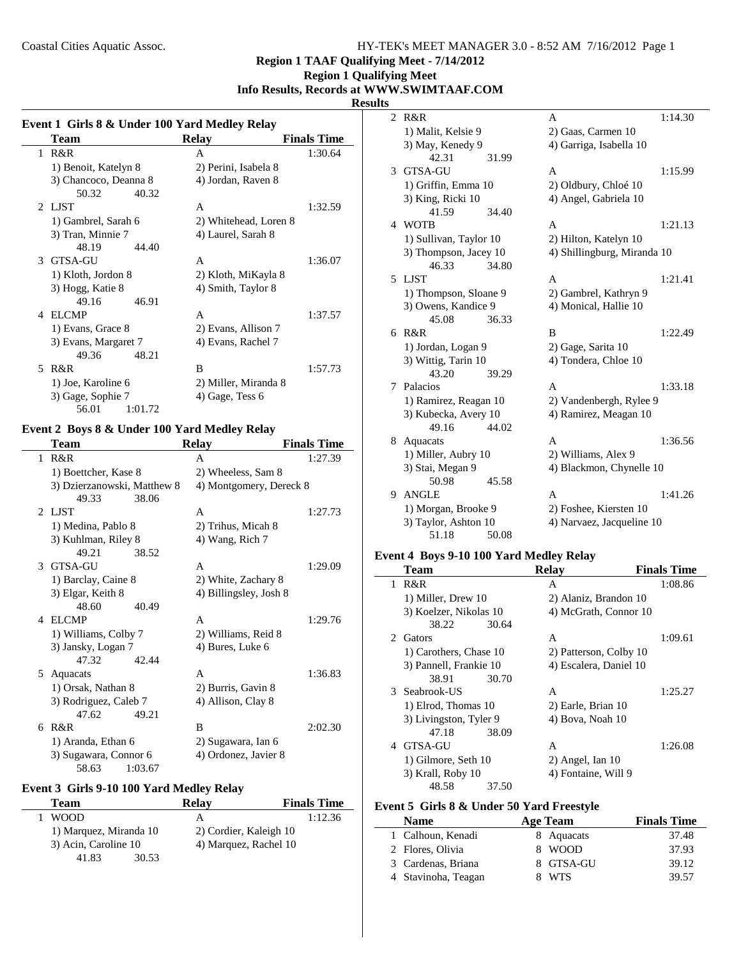# **Region 1 Qualifying Meet Info Results, Records at WWW.SWIMTAAF.COM**

## **Results**

| Event 1 Girls 8 & Under 100 Yard Medley Relay |  |  |
|-----------------------------------------------|--|--|
|                                               |  |  |

|   | <b>Team</b>           | <b>Relay</b>          | <b>Finals Time</b> |
|---|-----------------------|-----------------------|--------------------|
| 1 | R&R                   | A                     | 1:30.64            |
|   | 1) Benoit, Katelyn 8  | 2) Perini, Isabela 8  |                    |
|   | 3) Chancoco, Deanna 8 | 4) Jordan, Raven 8    |                    |
|   | 50.32<br>40.32        |                       |                    |
|   | 2 LJST                | A                     | 1:32.59            |
|   | 1) Gambrel, Sarah 6   | 2) Whitehead, Loren 8 |                    |
|   | 3) Tran, Minnie 7     | 4) Laurel, Sarah 8    |                    |
|   | 48.19<br>44.40        |                       |                    |
| 3 | GTSA-GU               | A                     | 1:36.07            |
|   | 1) Kloth, Jordon 8    | 2) Kloth, MiKayla 8   |                    |
|   | 3) Hogg, Katie 8      | 4) Smith, Taylor 8    |                    |
|   | 49.16<br>46.91        |                       |                    |
| 4 | <b>ELCMP</b>          | A                     | 1:37.57            |
|   | 1) Evans, Grace 8     | 2) Evans, Allison 7   |                    |
|   | 3) Evans, Margaret 7  | 4) Evans, Rachel 7    |                    |
|   | 48.21<br>49.36        |                       |                    |
| 5 | R&R                   | B                     | 1:57.73            |
|   | 1) Joe, Karoline 6    | 2) Miller, Miranda 8  |                    |
|   | 3) Gage, Sophie 7     | 4) Gage, Tess 6       |                    |
|   | 56.01<br>1:01.72      |                       |                    |

# **Event 2 Boys 8 & Under 100 Yard Medley Relay**

 $\overline{\phantom{a}}$ 

|    | Team                        |         | <b>Relay</b>            | <b>Finals Time</b> |
|----|-----------------------------|---------|-------------------------|--------------------|
| 1  | R&R                         |         | A                       | 1:27.39            |
|    | 1) Boettcher, Kase 8        |         | 2) Wheeless, Sam 8      |                    |
|    | 3) Dzierzanowski, Matthew 8 |         | 4) Montgomery, Dereck 8 |                    |
|    | 49.33                       | 38.06   |                         |                    |
|    | 2 LJST                      |         | A                       | 1:27.73            |
|    | 1) Medina, Pablo 8          |         | 2) Trihus, Micah 8      |                    |
|    | 3) Kuhlman, Riley 8         |         | 4) Wang, Rich 7         |                    |
|    | 49.21                       | 38.52   |                         |                    |
|    | 3 GTSA-GU                   |         | A                       | 1:29.09            |
|    | 1) Barclay, Caine 8         |         | 2) White, Zachary 8     |                    |
|    | 3) Elgar, Keith 8           |         | 4) Billingsley, Josh 8  |                    |
|    | 48.60                       | 40.49   |                         |                    |
| 4  | <b>ELCMP</b>                |         | A                       | 1:29.76            |
|    | 1) Williams, Colby 7        |         | 2) Williams, Reid 8     |                    |
|    | 3) Jansky, Logan 7          |         | 4) Bures, Luke 6        |                    |
|    | 47.32                       | 42.44   |                         |                    |
| 5. | Aquacats                    |         | $\mathsf{A}$            | 1:36.83            |
|    | 1) Orsak, Nathan 8          |         | 2) Burris, Gavin 8      |                    |
|    | 3) Rodriguez, Caleb 7       |         | 4) Allison, Clay 8      |                    |
|    | 47.62                       | 49.21   |                         |                    |
| 6  | R&R                         |         | B                       | 2:02.30            |
|    | 1) Aranda, Ethan 6          |         | 2) Sugawara, Ian 6      |                    |
|    | 3) Sugawara, Connor 6       |         | 4) Ordonez, Javier 8    |                    |
|    | 58.63                       | 1:03.67 |                         |                    |

# **Event 3 Girls 9-10 100 Yard Medley Relay**

| Team                   | <b>Relay</b>           | <b>Finals Time</b> |
|------------------------|------------------------|--------------------|
| <b>WOOD</b>            | А                      | 1:12.36            |
| 1) Marquez, Miranda 10 | 2) Cordier, Kaleigh 10 |                    |
| 3) Acin, Caroline 10   | 4) Marquez, Rachel 10  |                    |
| 41.83<br>30.53         |                        |                    |

| $\overline{2}$ | R&R                    |       | A                           | 1:14.30 |
|----------------|------------------------|-------|-----------------------------|---------|
|                | 1) Malit, Kelsie 9     |       | 2) Gaas, Carmen 10          |         |
|                | 3) May, Kenedy 9       |       | 4) Garriga, Isabella 10     |         |
|                | 42.31                  | 31.99 |                             |         |
| 3              | <b>GTSA-GU</b>         |       | A                           | 1:15.99 |
|                | 1) Griffin, Emma 10    |       | 2) Oldbury, Chloé 10        |         |
|                | 3) King, Ricki 10      |       | 4) Angel, Gabriela 10       |         |
|                | 41.59                  | 34.40 |                             |         |
|                | 4 WOTB                 |       | A                           | 1:21.13 |
|                | 1) Sullivan, Taylor 10 |       | 2) Hilton, Katelyn 10       |         |
|                | 3) Thompson, Jacey 10  |       | 4) Shillingburg, Miranda 10 |         |
|                | 46.33                  | 34.80 |                             |         |
|                | 5 LJST                 |       | A                           | 1:21.41 |
|                | 1) Thompson, Sloane 9  |       | 2) Gambrel, Kathryn 9       |         |
|                | 3) Owens, Kandice 9    |       | 4) Monical, Hallie 10       |         |
|                | 45.08                  | 36.33 |                             |         |
|                | 6 R&R                  |       | B                           | 1:22.49 |
|                | 1) Jordan, Logan 9     |       | 2) Gage, Sarita 10          |         |
|                | 3) Wittig, Tarin 10    |       | 4) Tondera, Chloe 10        |         |
|                | 43.20                  | 39.29 |                             |         |
| 7              | Palacios               |       | A                           | 1:33.18 |
|                | 1) Ramirez, Reagan 10  |       | 2) Vandenbergh, Rylee 9     |         |
|                | 3) Kubecka, Avery 10   |       | 4) Ramirez, Meagan 10       |         |
|                | 49.16                  | 44.02 |                             |         |
| 8              | Aquacats               |       | A                           | 1:36.56 |
|                | 1) Miller, Aubry 10    |       | 2) Williams, Alex 9         |         |
|                | 3) Stai, Megan 9       |       | 4) Blackmon, Chynelle 10    |         |
|                | 50.98                  | 45.58 |                             |         |
| 9              | <b>ANGLE</b>           |       | A                           | 1:41.26 |
|                | 1) Morgan, Brooke 9    |       | 2) Foshee, Kiersten 10      |         |
|                | 3) Taylor, Ashton 10   |       | 4) Narvaez, Jacqueline 10   |         |
|                | 51.18                  | 50.08 |                             |         |

## **Event 4 Boys 9-10 100 Yard Medley Relay**

|              | Team                   | <b>Relay</b>           | <b>Finals Time</b> |
|--------------|------------------------|------------------------|--------------------|
| $\mathbf{1}$ | R&R                    | A                      | 1:08.86            |
|              | 1) Miller, Drew 10     | 2) Alaniz, Brandon 10  |                    |
|              | 3) Koelzer, Nikolas 10 | 4) McGrath, Connor 10  |                    |
|              | 38.22<br>30.64         |                        |                    |
|              | 2 Gators               | A                      | 1:09.61            |
|              | 1) Carothers, Chase 10 | 2) Patterson, Colby 10 |                    |
|              | 3) Pannell, Frankie 10 | 4) Escalera, Daniel 10 |                    |
|              | 30.70<br>38.91         |                        |                    |
|              | 3 Seabrook-US          | A                      | 1:25.27            |
|              | 1) Elrod, Thomas 10    | 2) Earle, Brian 10     |                    |
|              | 3) Livingston, Tyler 9 | 4) Bova, Noah 10       |                    |
|              | 47.18<br>38.09         |                        |                    |
| 4            | GTSA-GU                | A                      | 1:26.08            |
|              | 1) Gilmore, Seth 10    | $2)$ Angel, Ian 10     |                    |
|              | 3) Krall, Roby 10      | 4) Fontaine, Will 9    |                    |
|              | 48.58<br>37.50         |                        |                    |

# **Event 5 Girls 8 & Under 50 Yard Freestyle**

| <b>Name</b>         | Age Team   | <b>Finals Time</b> |
|---------------------|------------|--------------------|
| 1 Calhoun, Kenadi   | 8 Aquacats | 37.48              |
| 2 Flores, Olivia    | 8 WOOD     | 37.93              |
| 3 Cardenas, Briana  | 8 GTSA-GU  | 39.12              |
| 4 Stavinoha, Teagan | <b>WTS</b> | 39.57              |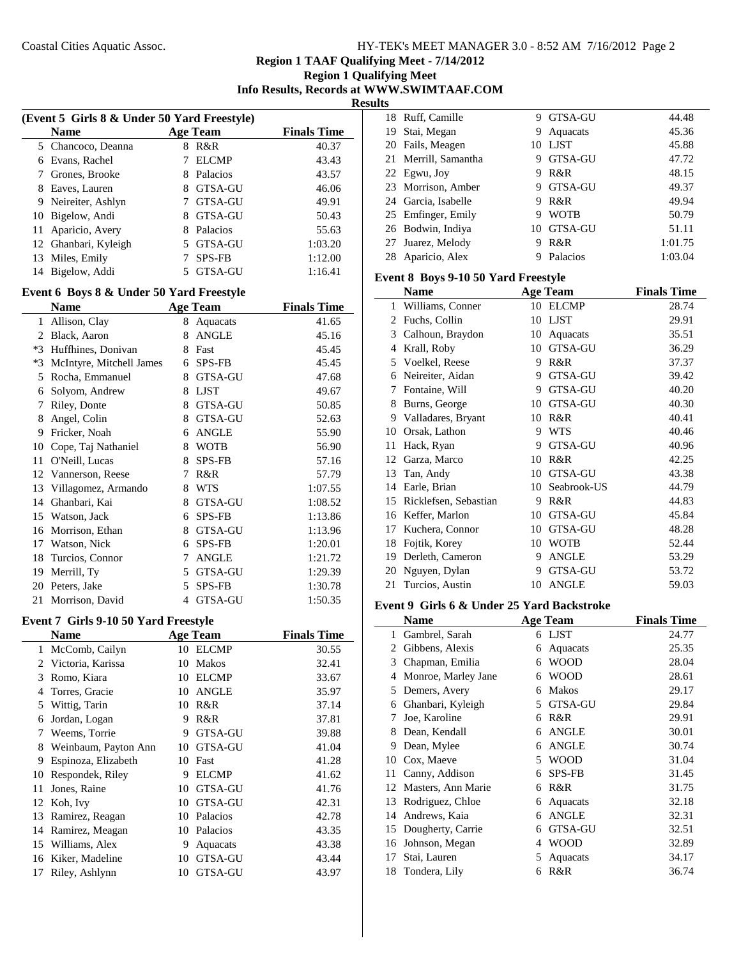| HY-TEK's MEET MANAGER 3.0 - 8:52 AM 7/16/2012 Page 2 |  |  |
|------------------------------------------------------|--|--|
|------------------------------------------------------|--|--|

**Region 1 Qualifying Meet Info Results, Records at WWW.SWIMTAAF.COM**

**Results**

| (Event 5 Girls 8 & Under 50 Yard Freestyle) |                      |   |                 |                    |  |
|---------------------------------------------|----------------------|---|-----------------|--------------------|--|
|                                             | <b>Name</b>          |   | <b>Age Team</b> | <b>Finals Time</b> |  |
|                                             | 5 Chancoco, Deanna   | 8 | R&R             | 40.37              |  |
| 6                                           | Evans, Rachel        |   | ELCMP           | 43.43              |  |
|                                             | Grones, Brooke       | 8 | Palacios        | 43.57              |  |
| 8                                           | Eaves, Lauren        | 8 | GTSA-GU         | 46.06              |  |
| 9                                           | Neireiter, Ashlyn    |   | <b>GTSA-GU</b>  | 49.91              |  |
| 10                                          | Bigelow, Andi        |   | <b>GTSA-GU</b>  | 50.43              |  |
| 11                                          | Aparicio, Avery      | 8 | Palacios        | 55.63              |  |
|                                             | 12 Ghanbari, Kyleigh |   | GTSA-GU         | 1:03.20            |  |
| 13                                          | Miles, Emily         |   | <b>SPS-FB</b>   | 1:12.00            |  |
| 14                                          | Bigelow, Addi        |   | <b>GTSA-GU</b>  | 1:16.41            |  |

# **Event 6 Boys 8 & Under 50 Yard Freestyle**

|      | Name                     |   | <b>Age Team</b> | <b>Finals Time</b> |
|------|--------------------------|---|-----------------|--------------------|
| 1    | Allison, Clay            | 8 | Aquacats        | 41.65              |
| 2    | Black, Aaron             | 8 | <b>ANGLE</b>    | 45.16              |
| $*3$ | Huffhines, Donivan       | 8 | Fast            | 45.45              |
| $*3$ | McIntyre, Mitchell James | 6 | SPS-FB          | 45.45              |
| 5    | Rocha, Emmanuel          | 8 | GTSA-GU         | 47.68              |
| 6    | Solyom, Andrew           | 8 | <b>LJST</b>     | 49.67              |
| 7    | Riley, Donte             | 8 | GTSA-GU         | 50.85              |
| 8    | Angel, Colin             | 8 | <b>GTSA-GU</b>  | 52.63              |
| 9    | Fricker, Noah            | 6 | <b>ANGLE</b>    | 55.90              |
| 10   | Cope, Taj Nathaniel      | 8 | <b>WOTB</b>     | 56.90              |
| 11   | O'Neill, Lucas           | 8 | SPS-FB          | 57.16              |
| 12   | Vannerson, Reese         | 7 | R&R             | 57.79              |
| 13   | Villagomez, Armando      | 8 | <b>WTS</b>      | 1:07.55            |
| 14   | Ghanbari, Kai            | 8 | GTSA-GU         | 1:08.52            |
| 15   | Watson, Jack             | 6 | <b>SPS-FB</b>   | 1:13.86            |
| 16   | Morrison, Ethan          | 8 | <b>GTSA-GU</b>  | 1:13.96            |
| 17   | Watson, Nick             | 6 | SPS-FB          | 1:20.01            |
| 18   | Turcios, Connor          | 7 | <b>ANGLE</b>    | 1:21.72            |
| 19   | Merrill, Ty              | 5 | <b>GTSA-GU</b>  | 1:29.39            |
| 20   | Peters, Jake             | 5 | <b>SPS-FB</b>   | 1:30.78            |
| 21   | Morrison, David          | 4 | <b>GTSA-GU</b>  | 1:50.35            |

# **Event 7 Girls 9-10 50 Yard Freestyle**

|    | <b>Name</b>          |    | <b>Age Team</b> | <b>Finals Time</b> |
|----|----------------------|----|-----------------|--------------------|
| 1  | McComb, Cailyn       | 10 | <b>ELCMP</b>    | 30.55              |
|    | 2 Victoria, Karissa  | 10 | Makos           | 32.41              |
| 3  | Romo, Kiara          | 10 | <b>ELCMP</b>    | 33.67              |
| 4  | Torres, Gracie       | 10 | <b>ANGLE</b>    | 35.97              |
| 5  | Wittig, Tarin        | 10 | R&R             | 37.14              |
| 6  | Jordan, Logan        | 9  | R&R             | 37.81              |
| 7  | Weems, Torrie        | 9  | <b>GTSA-GU</b>  | 39.88              |
| 8  | Weinbaum, Payton Ann | 10 | GTSA-GU         | 41.04              |
| 9  | Espinoza, Elizabeth  | 10 | Fast            | 41.28              |
| 10 | Respondek, Riley     | 9  | <b>ELCMP</b>    | 41.62              |
| 11 | Jones, Raine         | 10 | <b>GTSA-GU</b>  | 41.76              |
|    | 12 Koh, Ivy          | 10 | <b>GTSA-GU</b>  | 42.31              |
| 13 | Ramirez, Reagan      | 10 | Palacios        | 42.78              |
| 14 | Ramirez, Meagan      | 10 | Palacios        | 43.35              |
| 15 | Williams, Alex       | 9  | Aquacats        | 43.38              |
| 16 | Kiker, Madeline      | 10 | <b>GTSA-GU</b>  | 43.44              |
| 17 | Riley, Ashlynn       | 10 | GTSA-GU         | 43.97              |

|    | 18 Ruff, Camille     | 9  | GTSA-GU     | 44.48   |
|----|----------------------|----|-------------|---------|
| 19 | Stai, Megan          | 9  | Aquacats    | 45.36   |
|    | 20 Fails, Meagen     | 10 | <b>LIST</b> | 45.88   |
|    | 21 Merrill, Samantha |    | GTSA-GU     | 47.72   |
|    | 22 Egwu, Joy         | 9  | R&R         | 48.15   |
|    | 23 Morrison, Amber   |    | GTSA-GU     | 49.37   |
|    | 24 Garcia, Isabelle  | 9  | R&R         | 49.94   |
|    | 25 Emfinger, Emily   | 9  | <b>WOTB</b> | 50.79   |
|    | 26 Bodwin, Indiya    | 10 | GTSA-GU     | 51.11   |
|    | 27 Juarez, Melody    | 9  | R&R         | 1:01.75 |
| 28 | Aparicio, Alex       |    | Palacios    | 1:03.04 |

# **Event 8 Boys 9-10 50 Yard Freestyle**

|                | <b>Name</b>           |    | <b>Age Team</b> | <b>Finals Time</b> |  |  |
|----------------|-----------------------|----|-----------------|--------------------|--|--|
| $\mathbf{1}$   | Williams, Conner      | 10 | <b>ELCMP</b>    | 28.74              |  |  |
| $\mathfrak{D}$ | Fuchs, Collin         | 10 | <b>LJST</b>     | 29.91              |  |  |
| 3              | Calhoun, Braydon      | 10 | Aquacats        | 35.51              |  |  |
| 4              | Krall, Roby           | 10 | <b>GTSA-GU</b>  | 36.29              |  |  |
| 5              | Voelkel, Reese        | 9  | R&R             | 37.37              |  |  |
| 6              | Neireiter, Aidan      | 9  | GTSA-GU         | 39.42              |  |  |
| 7              | Fontaine, Will        | 9  | <b>GTSA-GU</b>  | 40.20              |  |  |
| 8              | Burns, George         | 10 | <b>GTSA-GU</b>  | 40.30              |  |  |
| 9              | Valladares, Bryant    | 10 | R&R             | 40.41              |  |  |
| 10             | Orsak, Lathon         | 9  | <b>WTS</b>      | 40.46              |  |  |
| 11             | Hack, Ryan            | 9  | <b>GTSA-GU</b>  | 40.96              |  |  |
| 12             | Garza, Marco          | 10 | R&R             | 42.25              |  |  |
| 13             | Tan, Andy             | 10 | GTSA-GU         | 43.38              |  |  |
| 14             | Earle, Brian          | 10 | Seabrook-US     | 44.79              |  |  |
| 15             | Ricklefsen, Sebastian | 9  | R&R             | 44.83              |  |  |
| 16             | Keffer, Marlon        | 10 | GTSA-GU         | 45.84              |  |  |
| 17             | Kuchera, Connor       | 10 | <b>GTSA-GU</b>  | 48.28              |  |  |
| 18             | Fojtik, Korey         | 10 | <b>WOTB</b>     | 52.44              |  |  |
| 19             | Derleth, Cameron      | 9  | <b>ANGLE</b>    | 53.29              |  |  |
| 20             | Nguyen, Dylan         | 9  | <b>GTSA-GU</b>  | 53.72              |  |  |
| 21             | Turcios, Austin       | 10 | <b>ANGLE</b>    | 59.03              |  |  |

#### **Event 9 Girls 6 & Under 25 Yard Backstroke**

|    | Name                | <b>Age Team</b>  |                | <b>Finals Time</b> |
|----|---------------------|------------------|----------------|--------------------|
| 1  | Gambrel, Sarah      | <b>LJST</b><br>6 |                | 24.77              |
| 2  | Gibbens, Alexis     | 6                | Aquacats       | 25.35              |
| 3  | Chapman, Emilia     | 6                | WOOD           | 28.04              |
| 4  | Monroe, Marley Jane | 6                | WOOD           | 28.61              |
| 5  | Demers, Avery       | 6                | <b>Makos</b>   | 29.17              |
| 6  | Ghanbari, Kyleigh   | 5                | <b>GTSA-GU</b> | 29.84              |
| 7  | Joe, Karoline       | R&R<br>6         |                | 29.91              |
| 8  | Dean, Kendall       | 6                | <b>ANGLE</b>   | 30.01              |
| 9  | Dean, Mylee         | 6                | <b>ANGLE</b>   | 30.74              |
| 10 | Cox, Maeve          | 5                | WOOD           | 31.04              |
| 11 | Canny, Addison      | 6                | <b>SPS-FB</b>  | 31.45              |
| 12 | Masters, Ann Marie  | R&R<br>6         |                | 31.75              |
| 13 | Rodriguez, Chloe    | 6                | Aquacats       | 32.18              |
| 14 | Andrews, Kaia       | 6                | <b>ANGLE</b>   | 32.31              |
| 15 | Dougherty, Carrie   | 6                | <b>GTSA-GU</b> | 32.51              |
| 16 | Johnson, Megan      | 4                | WOOD           | 32.89              |
| 17 | Stai, Lauren        | 5                | Aquacats       | 34.17              |
| 18 | Tondera, Lily       | R&R<br>6         |                | 36.74              |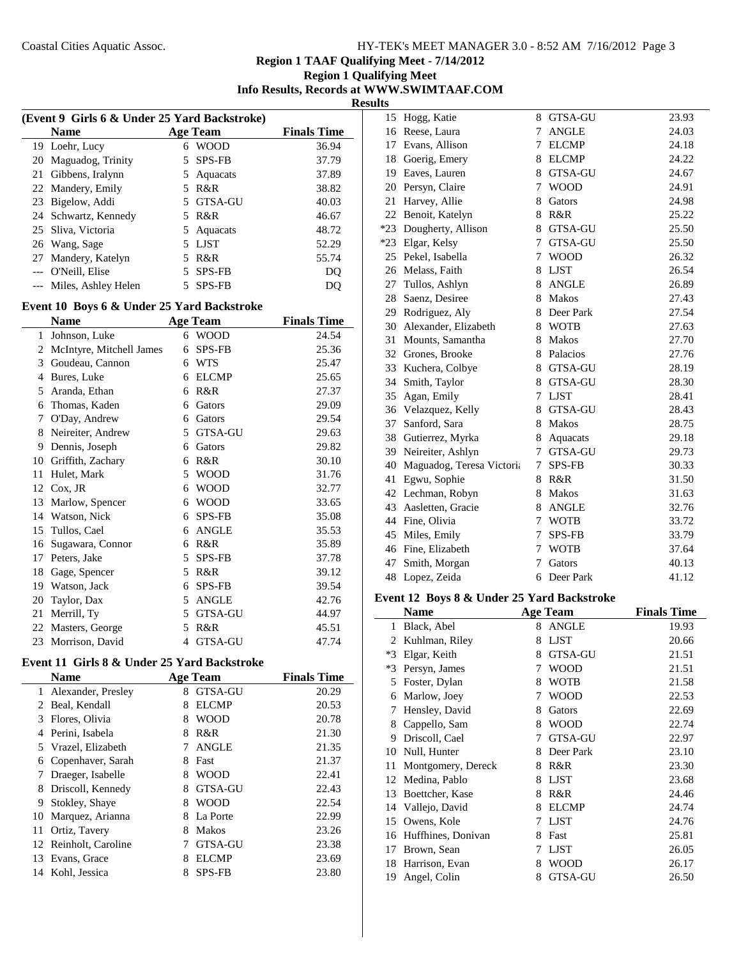**Region 1 Qualifying Meet Info Results, Records at WWW.SWIMTAAF.COM**

**Results**

|    | (Event 9 Girls 6 & Under 25 Yard Backstroke) |    |               |                    |  |  |
|----|----------------------------------------------|----|---------------|--------------------|--|--|
|    | <b>Name</b>                                  |    | Age Team      | <b>Finals Time</b> |  |  |
|    | 19 Loehr, Lucy                               | 6  | <b>WOOD</b>   | 36.94              |  |  |
| 20 | Maguadog, Trinity                            |    | 5 SPS-FB      | 37.79              |  |  |
| 21 | Gibbens, Iralynn                             | 5  | Aquacats      | 37.89              |  |  |
|    | 22 Mandery, Emily                            | 5. | R&R           | 38.82              |  |  |
| 23 | Bigelow, Addi                                |    | 5 GTSA-GU     | 40.03              |  |  |
|    | 24 Schwartz, Kennedy                         |    | 5 R&R         | 46.67              |  |  |
|    | 25 Sliva, Victoria                           |    | 5 Aquacats    | 48.72              |  |  |
|    | 26 Wang, Sage                                | 5  | <b>LIST</b>   | 52.29              |  |  |
| 27 | Mandery, Katelyn                             | 5. | R&R           | 55.74              |  |  |
|    | --- O'Neill, Elise                           | 5  | <b>SPS-FB</b> | D <sub>O</sub>     |  |  |
|    | Miles, Ashley Helen                          |    | <b>SPS-FB</b> |                    |  |  |
|    |                                              |    |               |                    |  |  |

# **Event 10 Boys 6 & Under 25 Yard Backstroke**

|    | <b>Name</b>              |   | <b>Age Team</b> | <b>Finals Time</b> |
|----|--------------------------|---|-----------------|--------------------|
| 1  | Johnson, Luke            | 6 | <b>WOOD</b>     | 24.54              |
| 2  | McIntyre, Mitchell James | 6 | SPS-FB          | 25.36              |
| 3  | Goudeau, Cannon          | 6 | <b>WTS</b>      | 25.47              |
| 4  | Bures, Luke              | 6 | <b>ELCMP</b>    | 25.65              |
| 5  | Aranda, Ethan            | 6 | R&R             | 27.37              |
| 6  | Thomas, Kaden            | 6 | Gators          | 29.09              |
| 7  | O'Day, Andrew            | 6 | Gators          | 29.54              |
| 8  | Neireiter, Andrew        | 5 | GTSA-GU         | 29.63              |
| 9  | Dennis, Joseph           | 6 | Gators          | 29.82              |
| 10 | Griffith, Zachary        | 6 | R&R             | 30.10              |
| 11 | Hulet, Mark              | 5 | <b>WOOD</b>     | 31.76              |
| 12 | $Cox$ , JR               | 6 | <b>WOOD</b>     | 32.77              |
| 13 | Marlow, Spencer          | 6 | <b>WOOD</b>     | 33.65              |
| 14 | Watson, Nick             | 6 | SPS-FB          | 35.08              |
| 15 | Tullos, Cael             | 6 | <b>ANGLE</b>    | 35.53              |
| 16 | Sugawara, Connor         | 6 | R&R             | 35.89              |
| 17 | Peters, Jake             | 5 | SPS-FB          | 37.78              |
| 18 | Gage, Spencer            | 5 | R&R             | 39.12              |
| 19 | Watson, Jack             | 6 | SPS-FB          | 39.54              |
| 20 | Taylor, Dax              | 5 | <b>ANGLE</b>    | 42.76              |
| 21 | Merrill, Ty              | 5 | <b>GTSA-GU</b>  | 44.97              |
| 22 | Masters, George          | 5 | R&R             | 45.51              |
| 23 | Morrison, David          | 4 | <b>GTSA-GU</b>  | 47.74              |

# **Event 11 Girls 8 & Under 25 Yard Backstroke**

|    | Name                  |   | <b>Age Team</b> | <b>Finals Time</b> |
|----|-----------------------|---|-----------------|--------------------|
| 1  | Alexander, Presley    | 8 | <b>GTSA-GU</b>  | 20.29              |
| 2  | Beal, Kendall         | 8 | <b>ELCMP</b>    | 20.53              |
| 3  | Flores, Olivia        | 8 | <b>WOOD</b>     | 20.78              |
| 4  | Perini, Isabela       | 8 | R&R             | 21.30              |
| 5. | Vrazel, Elizabeth     |   | <b>ANGLE</b>    | 21.35              |
| 6  | Copenhaver, Sarah     | 8 | Fast            | 21.37              |
| 7  | Draeger, Isabelle     | 8 | <b>WOOD</b>     | 22.41              |
| 8  | Driscoll, Kennedy     | 8 | <b>GTSA-GU</b>  | 22.43              |
| 9  | Stokley, Shaye        | 8 | <b>WOOD</b>     | 22.54              |
| 10 | Marquez, Arianna      | 8 | La Porte        | 22.99              |
| 11 | Ortiz, Tavery         | 8 | <b>Makos</b>    | 23.26              |
|    | 12 Reinholt, Caroline |   | GTSA-GU         | 23.38              |
| 13 | Evans, Grace          |   | <b>ELCMP</b>    | 23.69              |
| 14 | Kohl, Jessica         |   | <b>SPS-FB</b>   | 23.80              |
|    |                       |   |                 |                    |

| 15    | Hogg, Katie               | 8 | <b>GTSA-GU</b> | 23.93 |
|-------|---------------------------|---|----------------|-------|
| 16    | Reese, Laura              | 7 | <b>ANGLE</b>   | 24.03 |
| 17    | Evans, Allison            | 7 | <b>ELCMP</b>   | 24.18 |
| 18    | Goerig, Emery             | 8 | <b>ELCMP</b>   | 24.22 |
| 19    | Eaves, Lauren             | 8 | <b>GTSA-GU</b> | 24.67 |
| 20    | Persyn, Claire            | 7 | <b>WOOD</b>    | 24.91 |
| 21    | Harvey, Allie             | 8 | Gators         | 24.98 |
| 22    | Benoit, Katelyn           | 8 | R&R            | 25.22 |
| $*23$ | Dougherty, Allison        | 8 | GTSA-GU        | 25.50 |
| $*23$ | Elgar, Kelsy              | 7 | <b>GTSA-GU</b> | 25.50 |
| 25    | Pekel, Isabella           | 7 | <b>WOOD</b>    | 26.32 |
| 26    | Melass, Faith             | 8 | <b>LJST</b>    | 26.54 |
| 27    | Tullos, Ashlyn            | 8 | <b>ANGLE</b>   | 26.89 |
| 28    | Saenz, Desiree            | 8 | Makos          | 27.43 |
| 29    | Rodriguez, Aly            | 8 | Deer Park      | 27.54 |
| 30    | Alexander, Elizabeth      | 8 | <b>WOTB</b>    | 27.63 |
| 31    | Mounts, Samantha          | 8 | <b>Makos</b>   | 27.70 |
| 32    | Grones, Brooke            | 8 | Palacios       | 27.76 |
| 33    | Kuchera, Colbye           | 8 | GTSA-GU        | 28.19 |
| 34    | Smith, Taylor             | 8 | <b>GTSA-GU</b> | 28.30 |
| 35    | Agan, Emily               | 7 | <b>LJST</b>    | 28.41 |
| 36    | Velazquez, Kelly          | 8 | GTSA-GU        | 28.43 |
| 37    | Sanford, Sara             | 8 | Makos          | 28.75 |
| 38    | Gutierrez, Myrka          | 8 | Aquacats       | 29.18 |
| 39    | Neireiter, Ashlyn         | 7 | GTSA-GU        | 29.73 |
| 40    | Maguadog, Teresa Victoria | 7 | <b>SPS-FB</b>  | 30.33 |
| 41    | Egwu, Sophie              | 8 | R&R            | 31.50 |
| 42    | Lechman, Robyn            | 8 | <b>Makos</b>   | 31.63 |
| 43    | Aasletten, Gracie         | 8 | <b>ANGLE</b>   | 32.76 |
| 44    | Fine, Olivia              | 7 | <b>WOTB</b>    | 33.72 |
| 45    | Miles, Emily              | 7 | <b>SPS-FB</b>  | 33.79 |
| 46    | Fine, Elizabeth           | 7 | <b>WOTB</b>    | 37.64 |
| 47    | Smith, Morgan             | 7 | Gators         | 40.13 |
| 48    | Lopez, Zeida              | 6 | Deer Park      | 41.12 |

#### **Event 12 Boys 8 & Under 25 Yard Backstroke**

|      | <b>Name</b>        |   | <b>Age Team</b> | <b>Finals Time</b> |
|------|--------------------|---|-----------------|--------------------|
| 1    | Black, Abel        | 8 | <b>ANGLE</b>    | 19.93              |
| 2    | Kuhlman, Riley     | 8 | <b>LJST</b>     | 20.66              |
| $*3$ | Elgar, Keith       | 8 | <b>GTSA-GU</b>  | 21.51              |
| $*3$ | Persyn, James      | 7 | <b>WOOD</b>     | 21.51              |
| 5    | Foster, Dylan      | 8 | <b>WOTB</b>     | 21.58              |
| 6    | Marlow, Joey       | 7 | <b>WOOD</b>     | 22.53              |
| 7    | Hensley, David     | 8 | Gators          | 22.69              |
| 8    | Cappello, Sam      | 8 | WOOD            | 22.74              |
| 9    | Driscoll, Cael     | 7 | <b>GTSA-GU</b>  | 22.97              |
| 10   | Null, Hunter       | 8 | Deer Park       | 23.10              |
| 11   | Montgomery, Dereck | 8 | R&R             | 23.30              |
| 12   | Medina, Pablo      | 8 | <b>LJST</b>     | 23.68              |
| 13   | Boettcher, Kase    | 8 | R&R             | 24.46              |
| 14   | Vallejo, David     | 8 | <b>ELCMP</b>    | 24.74              |
| 15   | Owens, Kole        | 7 | <b>LJST</b>     | 24.76              |
| 16   | Huffhines, Donivan | 8 | Fast            | 25.81              |
| 17   | Brown, Sean        | 7 | <b>LJST</b>     | 26.05              |
| 18   | Harrison, Evan     | 8 | <b>WOOD</b>     | 26.17              |
| 19   | Angel, Colin       | 8 | <b>GTSA-GU</b>  | 26.50              |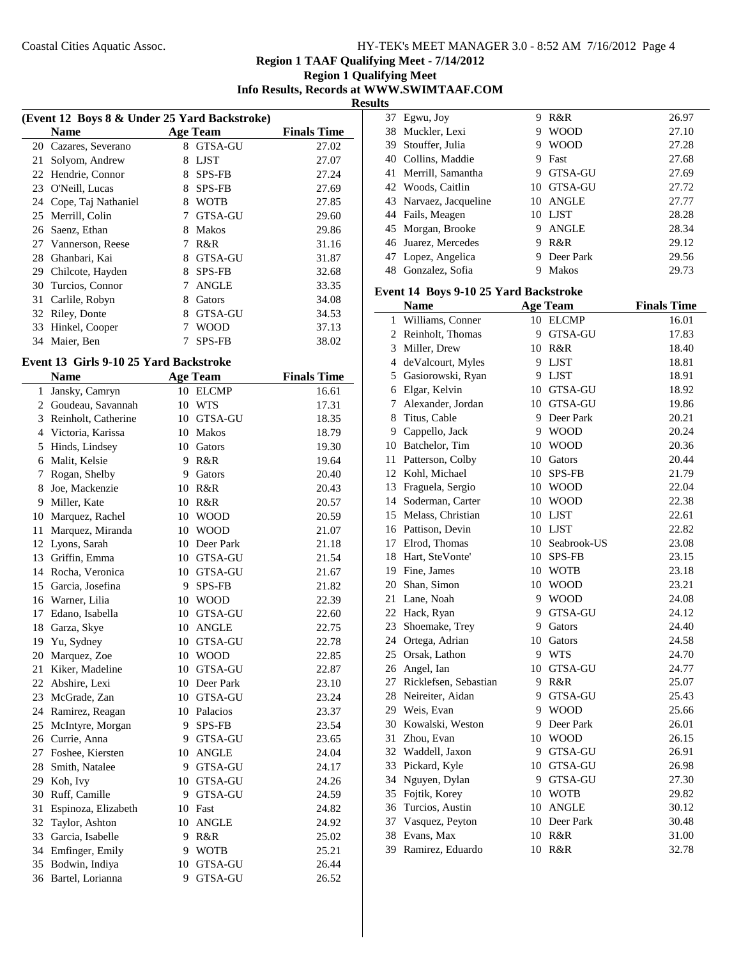# **Region 1 Qualifying Meet**

**Info Results, Records at WWW.SWIMTAAF.COM Results**

|    | (Event 12 Boys 8 & Under 25 Yard Backstroke) |   |                |                    |  |  |
|----|----------------------------------------------|---|----------------|--------------------|--|--|
|    | <b>Name</b>                                  |   | Age Team       | <b>Finals Time</b> |  |  |
| 20 | Cazares, Severano                            | 8 | <b>GTSA-GU</b> | 27.02              |  |  |
| 21 | Solyom, Andrew                               | 8 | <b>LJST</b>    | 27.07              |  |  |
| 22 | Hendrie, Connor                              | 8 | <b>SPS-FB</b>  | 27.24              |  |  |
| 23 | O'Neill, Lucas                               | 8 | <b>SPS-FB</b>  | 27.69              |  |  |
| 24 | Cope, Taj Nathaniel                          | 8 | <b>WOTB</b>    | 27.85              |  |  |
| 25 | Merrill, Colin                               |   | <b>GTSA-GU</b> | 29.60              |  |  |
| 26 | Saenz, Ethan                                 | 8 | <b>Makos</b>   | 29.86              |  |  |
| 27 | Vannerson, Reese                             |   | R&R            | 31.16              |  |  |
| 28 | Ghanbari, Kai                                | 8 | GTSA-GU        | 31.87              |  |  |
| 29 | Chilcote, Hayden                             | 8 | <b>SPS-FB</b>  | 32.68              |  |  |
| 30 | Turcios, Connor                              |   | <b>ANGLE</b>   | 33.35              |  |  |
| 31 | Carlile, Robyn                               | 8 | Gators         | 34.08              |  |  |
| 32 | Riley, Donte                                 | 8 | GTSA-GU        | 34.53              |  |  |
| 33 | Hinkel, Cooper                               |   | WOOD           | 37.13              |  |  |
| 34 | Maier, Ben                                   |   | <b>SPS-FB</b>  | 38.02              |  |  |

## **Event 13 Girls 9-10 25 Yard Backstroke**

|    | <b>Name</b>         |    | <b>Age Team</b> | <b>Finals Time</b> |
|----|---------------------|----|-----------------|--------------------|
| 1  | Jansky, Camryn      |    | 10 ELCMP        | 16.61              |
| 2  | Goudeau, Savannah   | 10 | <b>WTS</b>      | 17.31              |
| 3  | Reinholt, Catherine | 10 | GTSA-GU         | 18.35              |
|    | 4 Victoria, Karissa | 10 | Makos           | 18.79              |
| 5  | Hinds, Lindsey      | 10 | Gators          | 19.30              |
| 6  | Malit, Kelsie       | 9  | R&R             | 19.64              |
| 7  | Rogan, Shelby       | 9  | Gators          | 20.40              |
| 8  | Joe, Mackenzie      | 10 | R&R             | 20.43              |
| 9  | Miller, Kate        | 10 | R&R             | 20.57              |
| 10 | Marquez, Rachel     | 10 | <b>WOOD</b>     | 20.59              |
| 11 | Marquez, Miranda    | 10 | <b>WOOD</b>     | 21.07              |
| 12 | Lyons, Sarah        | 10 | Deer Park       | 21.18              |
| 13 | Griffin, Emma       |    | 10 GTSA-GU      | 21.54              |
| 14 | Rocha, Veronica     |    | 10 GTSA-GU      | 21.67              |
| 15 | Garcia, Josefina    | 9  | <b>SPS-FB</b>   | 21.82              |
| 16 | Warner, Lilia       | 10 | <b>WOOD</b>     | 22.39              |
| 17 | Edano, Isabella     | 10 | GTSA-GU         | 22.60              |
| 18 | Garza, Skye         | 10 | <b>ANGLE</b>    | 22.75              |
| 19 | Yu, Sydney          | 10 | GTSA-GU         | 22.78              |
| 20 | Marquez, Zoe        | 10 | <b>WOOD</b>     | 22.85              |
| 21 | Kiker, Madeline     |    | 10 GTSA-GU      | 22.87              |
| 22 | Abshire, Lexi       |    | 10 Deer Park    | 23.10              |
| 23 | McGrade, Zan        |    | 10 GTSA-GU      | 23.24              |
| 24 | Ramirez, Reagan     |    | 10 Palacios     | 23.37              |
| 25 | McIntyre, Morgan    | 9  | <b>SPS-FB</b>   | 23.54              |
| 26 | Currie, Anna        | 9  | <b>GTSA-GU</b>  | 23.65              |
| 27 | Foshee, Kiersten    |    | 10 ANGLE        | 24.04              |
| 28 | Smith, Natalee      | 9  | GTSA-GU         | 24.17              |
| 29 | Koh, Ivy            |    | 10 GTSA-GU      | 24.26              |
| 30 | Ruff, Camille       | 9  | GTSA-GU         | 24.59              |
| 31 | Espinoza, Elizabeth |    | 10 Fast         | 24.82              |
| 32 | Taylor, Ashton      |    | 10 ANGLE        | 24.92              |
| 33 | Garcia, Isabelle    | 9  | R&R             | 25.02              |
| 34 | Emfinger, Emily     | 9  | <b>WOTB</b>     | 25.21              |
| 35 | Bodwin, Indiya      | 10 | GTSA-GU         | 26.44              |
| 36 | Bartel, Lorianna    | 9  | <b>GTSA-GU</b>  | 26.52              |

|    | 37 Egwu, Joy           | 9  | R&R            | 26.97 |
|----|------------------------|----|----------------|-------|
|    | 38 Muckler, Lexi       | 9  | <b>WOOD</b>    | 27.10 |
|    | 39 Stouffer, Julia     | 9  | <b>WOOD</b>    | 27.28 |
|    | 40 Collins, Maddie     | 9  | Fast           | 27.68 |
|    | 41 Merrill, Samantha   | 9  | <b>GTSA-GU</b> | 27.69 |
|    | 42 Woods, Caitlin      | 10 | <b>GTSA-GU</b> | 27.72 |
|    | 43 Narvaez, Jacqueline | 10 | <b>ANGLE</b>   | 27.77 |
|    | 44 Fails, Meagen       | 10 | LJST           | 28.28 |
|    | 45 Morgan, Brooke      | 9  | <b>ANGLE</b>   | 28.34 |
|    | 46 Juarez, Mercedes    | 9  | R&R            | 29.12 |
|    | 47 Lopez, Angelica     | 9  | Deer Park      | 29.56 |
| 48 | Gonzalez, Sofia        |    | <b>Makos</b>   | 29.73 |
|    |                        |    |                |       |

#### **Event 14 Boys 9-10 25 Yard Backstroke**

|    | <b>Name</b>           |    | <b>Age Team</b> | <b>Finals Time</b> |
|----|-----------------------|----|-----------------|--------------------|
| 1  | Williams, Conner      |    | 10 ELCMP        | 16.01              |
| 2  | Reinholt, Thomas      | 9  | GTSA-GU         | 17.83              |
| 3  | Miller, Drew          |    | 10 R&R          | 18.40              |
|    | 4 deValcourt, Myles   |    | 9 LJST          | 18.81              |
| 5  | Gasiorowski, Ryan     | 9  | <b>LJST</b>     | 18.91              |
| 6  | Elgar, Kelvin         | 10 | GTSA-GU         | 18.92              |
| 7  | Alexander, Jordan     |    | 10 GTSA-GU      | 19.86              |
| 8  | Titus, Cable          | 9  | Deer Park       | 20.21              |
|    | 9 Cappello, Jack      | 9  | <b>WOOD</b>     | 20.24              |
|    | 10 Batchelor, Tim     | 10 | <b>WOOD</b>     | 20.36              |
| 11 | Patterson, Colby      | 10 | Gators          | 20.44              |
|    | 12 Kohl, Michael      | 10 | <b>SPS-FB</b>   | 21.79              |
|    | 13 Fraguela, Sergio   |    | 10 WOOD         | 22.04              |
|    | 14 Soderman, Carter   |    | 10 WOOD         | 22.38              |
|    | 15 Melass, Christian  | 10 | LJST            | 22.61              |
|    | 16 Pattison, Devin    |    | 10 LJST         | 22.82              |
|    | 17 Elrod, Thomas      |    | 10 Seabrook-US  | 23.08              |
|    | 18 Hart, SteVonte'    |    | 10 SPS-FB       | 23.15              |
|    | 19 Fine, James        | 10 | <b>WOTB</b>     | 23.18              |
|    | 20 Shan, Simon        | 10 | <b>WOOD</b>     | 23.21              |
|    | 21 Lane, Noah         | 9  | <b>WOOD</b>     | 24.08              |
|    | 22 Hack, Ryan         | 9  | GTSA-GU         | 24.12              |
|    | 23 Shoemake, Trey     | 9  | Gators          | 24.40              |
|    | 24 Ortega, Adrian     | 10 | Gators          | 24.58              |
|    | 25 Orsak, Lathon      | 9  | <b>WTS</b>      | 24.70              |
|    | 26 Angel, Ian         | 10 | GTSA-GU         | 24.77              |
| 27 | Ricklefsen, Sebastian | 9  | R&R             | 25.07              |
|    | 28 Neireiter, Aidan   | 9  | GTSA-GU         | 25.43              |
|    | 29 Weis, Evan         | 9  | <b>WOOD</b>     | 25.66              |
|    | 30 Kowalski, Weston   | 9  | Deer Park       | 26.01              |
| 31 | Zhou, Evan            | 10 | <b>WOOD</b>     | 26.15              |
|    | 32 Waddell, Jaxon     | 9  | GTSA-GU         | 26.91              |
| 33 | Pickard, Kyle         |    | 10 GTSA-GU      | 26.98              |
| 34 | Nguyen, Dylan         | 9  | GTSA-GU         | 27.30              |
| 35 | Fojtik, Korey         | 10 | <b>WOTB</b>     | 29.82              |
|    | 36 Turcios, Austin    | 10 | <b>ANGLE</b>    | 30.12              |
|    | 37 Vasquez, Peyton    |    | 10 Deer Park    | 30.48              |
| 38 | Evans, Max            | 10 | R&R             | 31.00              |
| 39 | Ramirez, Eduardo      | 10 | R&R             | 32.78              |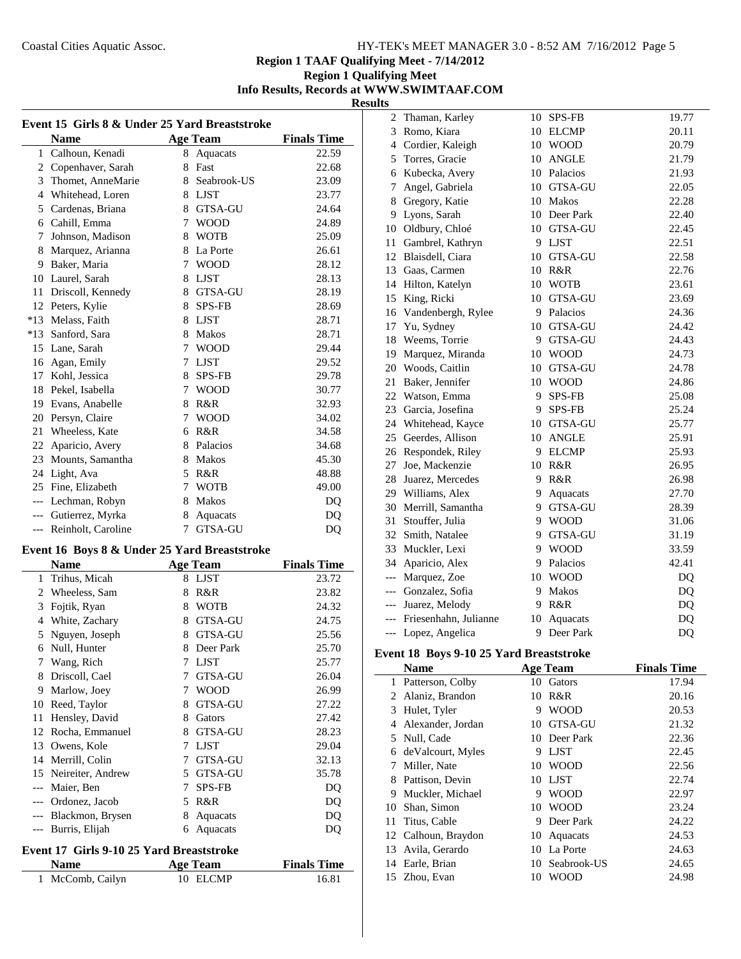#### **Region 1 Qualifying Meet Info Results, Records at WWW.SWIMTAAF.COM Results**

| Event 15 Girls 8 & Under 25 Yard Breaststroke |                    |   |                 |                    |
|-----------------------------------------------|--------------------|---|-----------------|--------------------|
|                                               | <b>Name</b>        |   | <b>Age Team</b> | <b>Finals Time</b> |
|                                               | 1 Calhoun, Kenadi  | 8 | Aquacats        | 22.59              |
| 2                                             | Copenhaver, Sarah  | 8 | Fast            | 22.68              |
| 3                                             | Thomet, AnneMarie  |   | 8 Seabrook-US   | 23.09              |
| $\overline{4}$                                | Whitehead, Loren   |   | 8 LJST          | 23.77              |
| 5                                             | Cardenas, Briana   | 8 | <b>GTSA-GU</b>  | 24.64              |
| 6                                             | Cahill, Emma       | 7 | <b>WOOD</b>     | 24.89              |
| 7                                             | Johnson, Madison   | 8 | <b>WOTB</b>     | 25.09              |
| 8                                             | Marquez, Arianna   |   | 8 La Porte      | 26.61              |
| 9                                             | Baker, Maria       | 7 | <b>WOOD</b>     | 28.12              |
| 10                                            | Laurel, Sarah      | 8 | LJST            | 28.13              |
| 11                                            | Driscoll, Kennedy  | 8 | <b>GTSA-GU</b>  | 28.19              |
| 12                                            | Peters, Kylie      |   | 8 SPS-FB        | 28.69              |
| $*13$                                         | Melass, Faith      | 8 | LJST            | 28.71              |
| $*13$                                         | Sanford, Sara      | 8 | Makos           | 28.71              |
| 15                                            | Lane, Sarah        | 7 | <b>WOOD</b>     | 29.44              |
| 16                                            | Agan, Emily        | 7 | <b>LJST</b>     | 29.52              |
| 17                                            | Kohl, Jessica      | 8 | <b>SPS-FB</b>   | 29.78              |
| 18                                            | Pekel, Isabella    | 7 | <b>WOOD</b>     | 30.77              |
| 19                                            | Evans, Anabelle    | 8 | R&R             | 32.93              |
| 20                                            | Persyn, Claire     | 7 | <b>WOOD</b>     | 34.02              |
| 21                                            | Wheeless, Kate     | 6 | R&R             | 34.58              |
| 22                                            | Aparicio, Avery    | 8 | Palacios        | 34.68              |
| 23                                            | Mounts, Samantha   | 8 | <b>Makos</b>    | 45.30              |
| 24                                            | Light, Ava         | 5 | R&R             | 48.88              |
| 25                                            | Fine, Elizabeth    | 7 | <b>WOTB</b>     | 49.00              |
| $---$                                         | Lechman, Robyn     | 8 | Makos           | D <sub>O</sub>     |
| $---$                                         | Gutierrez, Myrka   | 8 | Aquacats        | DQ                 |
| $---$                                         | Reinholt, Caroline | 7 | <b>GTSA-GU</b>  | DQ                 |
|                                               |                    |   |                 |                    |

## **Event 16 Boys 8 & Under 25 Yard Breaststroke**

|     | Name              |   | <b>Age Team</b> | <b>Finals Time</b> |
|-----|-------------------|---|-----------------|--------------------|
| 1   | Trihus, Micah     | 8 | <b>LJST</b>     | 23.72              |
| 2   | Wheeless, Sam     | 8 | R&R             | 23.82              |
| 3   | Fojtik, Ryan      | 8 | <b>WOTB</b>     | 24.32              |
| 4   | White, Zachary    | 8 | <b>GTSA-GU</b>  | 24.75              |
| 5   | Nguyen, Joseph    | 8 | <b>GTSA-GU</b>  | 25.56              |
| 6   | Null, Hunter      | 8 | Deer Park       | 25.70              |
| 7   | Wang, Rich        | 7 | <b>LJST</b>     | 25.77              |
| 8   | Driscoll, Cael    | 7 | <b>GTSA-GU</b>  | 26.04              |
| 9   | Marlow, Joey      | 7 | <b>WOOD</b>     | 26.99              |
| 10  | Reed, Taylor      | 8 | GTSA-GU         | 27.22              |
| 11  | Hensley, David    | 8 | Gators          | 27.42              |
| 12  | Rocha, Emmanuel   | 8 | GTSA-GU         | 28.23              |
| 13  | Owens, Kole       | 7 | <b>LJST</b>     | 29.04              |
| 14  | Merrill, Colin    | 7 | <b>GTSA-GU</b>  | 32.13              |
| 15  | Neireiter, Andrew | 5 | <b>GTSA-GU</b>  | 35.78              |
| --- | Maier, Ben        | 7 | <b>SPS-FB</b>   | DQ                 |
|     | Ordonez, Jacob    | 5 | R&R             | DQ                 |
|     | Blackmon, Brysen  | 8 | Aquacats        | DQ                 |
|     | Burris, Elijah    | 6 | Aquacats        | DQ                 |

# **Event 17 Girls 9-10 25 Yard Breaststroke**

| <b>Name</b>      | <b>Age Team</b> | <b>Finals Time</b> |
|------------------|-----------------|--------------------|
| 1 McComb, Cailyn | 10 ELCMP        | 16.81              |

| 2     | Thaman, Karley        | 10      | <b>SPS-FB</b>  | 19.77 |
|-------|-----------------------|---------|----------------|-------|
| 3     | Romo, Kiara           | 10      | <b>ELCMP</b>   | 20.11 |
| 4     | Cordier, Kaleigh      | 10      | <b>WOOD</b>    | 20.79 |
| 5     | Torres, Gracie        | 10      | <b>ANGLE</b>   | 21.79 |
| 6     | Kubecka, Avery        |         | 10 Palacios    | 21.93 |
| 7     | Angel, Gabriela       | $10-10$ | GTSA-GU        | 22.05 |
| 8     | Gregory, Katie        |         | 10 Makos       | 22.28 |
| 9     | Lyons, Sarah          |         | 10 Deer Park   | 22.40 |
| 10    | Oldbury, Chloé        |         | 10 GTSA-GU     | 22.45 |
| 11    | Gambrel, Kathryn      |         | 9 LJST         | 22.51 |
| 12    | Blaisdell, Ciara      | 10      | GTSA-GU        | 22.58 |
| 13    | Gaas, Carmen          | 10      | R&R            | 22.76 |
| 14    | Hilton, Katelyn       | 10      | <b>WOTB</b>    | 23.61 |
| 15    | King, Ricki           | 10      | GTSA-GU        | 23.69 |
| 16    | Vandenbergh, Rylee    | 9.      | Palacios       | 24.36 |
| 17    | Yu, Sydney            | 10      | <b>GTSA-GU</b> | 24.42 |
| 18    | Weems, Torrie         | 9       | GTSA-GU        | 24.43 |
| 19    | Marquez, Miranda      | 10      | <b>WOOD</b>    | 24.73 |
| 20    | Woods, Caitlin        | 10      | <b>GTSA-GU</b> | 24.78 |
| 21    | Baker, Jennifer       | 10      | <b>WOOD</b>    | 24.86 |
| 22    | Watson, Emma          | 9       | SPS-FB         | 25.08 |
| 23    | Garcia, Josefina      | 9       | <b>SPS-FB</b>  | 25.24 |
| 24    | Whitehead, Kayce      | 10      | GTSA-GU        | 25.77 |
| 25    | Geerdes, Allison      | 10      | <b>ANGLE</b>   | 25.91 |
| 26    | Respondek, Riley      | 9       | <b>ELCMP</b>   | 25.93 |
| 27    | Joe, Mackenzie        | 10      | R&R            | 26.95 |
| 28    | Juarez, Mercedes      | 9.      | R&R            | 26.98 |
| 29    | Williams, Alex        | 9.      | Aquacats       | 27.70 |
| 30    | Merrill, Samantha     | 9.      | <b>GTSA-GU</b> | 28.39 |
| 31    | Stouffer, Julia       | 9       | <b>WOOD</b>    | 31.06 |
| 32    | Smith, Natalee        | 9       | <b>GTSA-GU</b> | 31.19 |
| 33    | Muckler, Lexi         | 9       | <b>WOOD</b>    | 33.59 |
| 34    | Aparicio, Alex        | 9       | Palacios       | 42.41 |
| $---$ | Marquez, Zoe          | 10      | <b>WOOD</b>    | DQ    |
| $---$ | Gonzalez, Sofia       | 9       | Makos          | DQ    |
| $---$ | Juarez, Melody        | 9       | R&R            | DQ    |
| $---$ | Friesenhahn, Julianne | 10      | Aquacats       | DQ    |
| $---$ | Lopez, Angelica       | 9       | Deer Park      | DQ    |

# **Event 18 Boys 9-10 25 Yard Breaststroke**

L,

|    | Name                |     | <b>Age Team</b> | <b>Finals Time</b> |
|----|---------------------|-----|-----------------|--------------------|
| 1  | Patterson, Colby    | 10. | Gators          | 17.94              |
| 2  | Alaniz, Brandon     | 10  | R&R             | 20.16              |
| 3  | Hulet, Tyler        | 9   | <b>WOOD</b>     | 20.53              |
| 4  | Alexander, Jordan   | 10  | <b>GTSA-GU</b>  | 21.32              |
|    | 5 Null, Cade        |     | 10 Deer Park    | 22.36              |
| 6  | deValcourt, Myles   | 9   | <b>LJST</b>     | 22.45              |
| 7  | Miller, Nate        | 10. | <b>WOOD</b>     | 22.56              |
| 8  | Pattison, Devin     |     | 10 LJST         | 22.74              |
| 9  | Muckler, Michael    | 9   | <b>WOOD</b>     | 22.97              |
| 10 | Shan, Simon         |     | 10 WOOD         | 23.24              |
| 11 | Titus, Cable        | 9   | Deer Park       | 24.22              |
|    | 12 Calhoun, Braydon | 10  | Aquacats        | 24.53              |
| 13 | Avila, Gerardo      |     | 10 La Porte     | 24.63              |
| 14 | Earle, Brian        | 10. | Seabrook-US     | 24.65              |
|    | 15 Zhou, Evan       | 10. | <b>WOOD</b>     | 24.98              |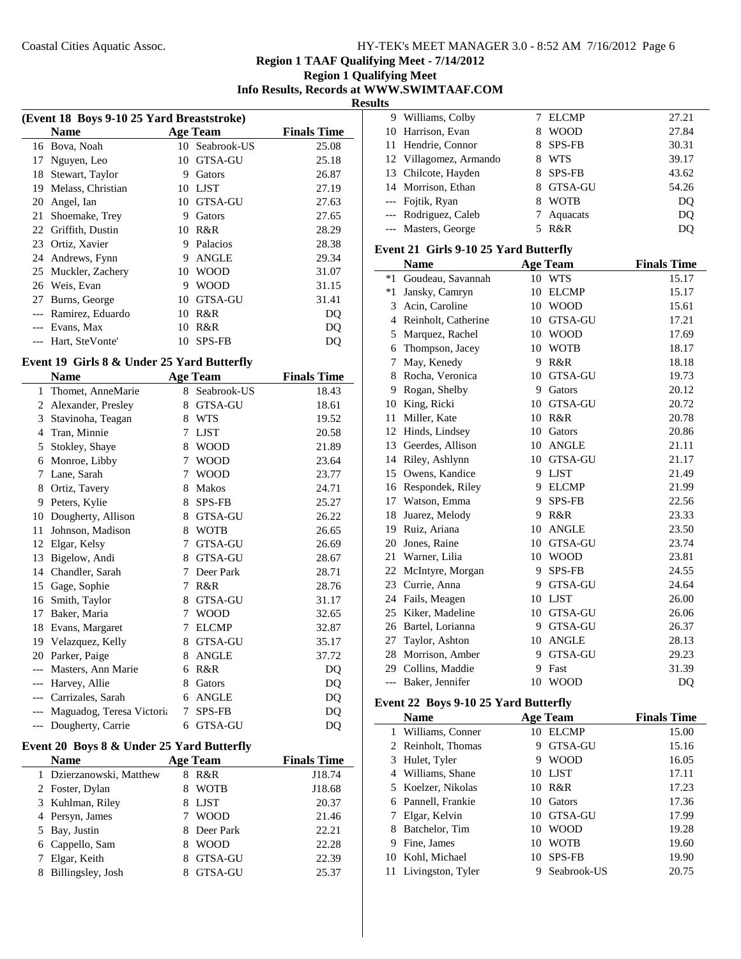## **Region 1 Qualifying Meet Info Results, Records at WWW.SWIMTAAF.COM Results**

| (Event 18 Boys 9-10 25 Yard Breaststroke) |                   |                    |                |       |  |
|-------------------------------------------|-------------------|--------------------|----------------|-------|--|
|                                           | <b>Name</b>       | <b>Finals Time</b> |                |       |  |
|                                           | 16 Bova, Noah     |                    | 10 Seabrook-US | 25.08 |  |
| 17                                        | Nguyen, Leo       | 10                 | GTSA-GU        | 25.18 |  |
| 18                                        | Stewart, Taylor   | 9                  | Gators         | 26.87 |  |
| 19                                        | Melass, Christian | 10                 | LJST           | 27.19 |  |
| 20                                        | Angel, Ian        | 10                 | GTSA-GU        | 27.63 |  |
| 21                                        | Shoemake, Trey    | 9                  | Gators         | 27.65 |  |
| 22                                        | Griffith, Dustin  | 10                 | R&R            | 28.29 |  |
| 23                                        | Ortiz, Xavier     | 9                  | Palacios       | 28.38 |  |
| 24                                        | Andrews, Fynn     | 9                  | <b>ANGLE</b>   | 29.34 |  |
| 25                                        | Muckler, Zachery  | 10                 | <b>WOOD</b>    | 31.07 |  |
| 26                                        | Weis, Evan        | 9                  | WOOD           | 31.15 |  |
| 27                                        | Burns, George     | 10                 | GTSA-GU        | 31.41 |  |
|                                           | Ramirez, Eduardo  | 10                 | R&R            | DO    |  |
|                                           | Evans, Max        | 10                 | R&R            | DO    |  |
|                                           | Hart, SteVonte'   | 10                 | <b>SPS-FB</b>  | DO    |  |
|                                           |                   |                    |                |       |  |

## **Event 19 Girls 8 & Under 25 Yard Butterfly**

|                | <b>Name</b>               |   | <b>Age Team</b> | <b>Finals Time</b> |
|----------------|---------------------------|---|-----------------|--------------------|
| 1              | Thomet, AnneMarie         | 8 | Seabrook-US     | 18.43              |
| $\overline{2}$ | Alexander, Presley        | 8 | <b>GTSA-GU</b>  | 18.61              |
| 3              | Stavinoha, Teagan         | 8 | <b>WTS</b>      | 19.52              |
| 4              | Tran, Minnie              | 7 | <b>LJST</b>     | 20.58              |
| 5              | Stokley, Shaye            | 8 | <b>WOOD</b>     | 21.89              |
| 6              | Monroe, Libby             | 7 | <b>WOOD</b>     | 23.64              |
| 7              | Lane, Sarah               | 7 | <b>WOOD</b>     | 23.77              |
| 8              | Ortiz, Tavery             | 8 | Makos           | 24.71              |
| 9              | Peters, Kylie             | 8 | <b>SPS-FB</b>   | 25.27              |
| 10             | Dougherty, Allison        | 8 | GTSA-GU         | 26.22              |
| 11             | Johnson, Madison          | 8 | <b>WOTB</b>     | 26.65              |
| 12             | Elgar, Kelsy              | 7 | GTSA-GU         | 26.69              |
| 13             | Bigelow, Andi             | 8 | <b>GTSA-GU</b>  | 28.67              |
| 14             | Chandler, Sarah           | 7 | Deer Park       | 28.71              |
| 15             | Gage, Sophie              | 7 | R&R             | 28.76              |
| 16             | Smith, Taylor             | 8 | <b>GTSA-GU</b>  | 31.17              |
| 17             | Baker, Maria              | 7 | <b>WOOD</b>     | 32.65              |
| 18             | Evans, Margaret           | 7 | <b>ELCMP</b>    | 32.87              |
| 19             | Velazquez, Kelly          | 8 | <b>GTSA-GU</b>  | 35.17              |
| 20             | Parker, Paige             | 8 | <b>ANGLE</b>    | 37.72              |
|                | Masters, Ann Marie        | 6 | R&R             | DQ                 |
| ---            | Harvey, Allie             | 8 | Gators          | DQ                 |
| $---$          | Carrizales, Sarah         | 6 | <b>ANGLE</b>    | DQ                 |
| ---            | Maguadog, Teresa Victoria | 7 | <b>SPS-FB</b>   | DQ                 |
| ---            | Dougherty, Carrie         | 6 | <b>GTSA-GU</b>  | DQ                 |

# **Event 20 Boys 8 & Under 25 Yard Butterfly**

| <b>Name</b>              | <b>Age Team</b>  | <b>Finals Time</b> |
|--------------------------|------------------|--------------------|
| 1 Dzierzanowski, Matthew | R&R<br>8         | J18.74             |
| 2 Foster, Dylan          | <b>WOTB</b>      | J18.68             |
| 3 Kuhlman, Riley         | <b>LJST</b><br>8 | 20.37              |
| 4 Persyn, James          | <b>WOOD</b>      | 21.46              |
| 5 Bay, Justin            | Deer Park<br>8.  | 22.21              |
| 6 Cappello, Sam          | <b>WOOD</b><br>x | 22.28              |
| 7 Elgar, Keith           | GTSA-GU          | 22.39              |
| Billingsley, Josh<br>8   | GTSA-GU          | 25.37              |

| 9 Williams, Colby      | <b>ELCMP</b>     | 27.21 |
|------------------------|------------------|-------|
| 10 Harrison, Evan      | <b>WOOD</b>      | 27.84 |
| 11 Hendrie, Connor     | <b>SPS-FB</b>    | 30.31 |
| 12 Villagomez, Armando | <b>WTS</b>       | 39.17 |
| 13 Chilcote, Hayden    | 8 SPS-FB         | 43.62 |
| 14 Morrison, Ethan     | 8 GTSA-GU        | 54.26 |
| --- Fojtik, Ryan       | <b>WOTB</b><br>8 | DO    |
| --- Rodriguez, Caleb   | 7 Aquacats       | DQ    |
| --- Masters, George    | R&R              | DO    |

#### **Event 21 Girls 9-10 25 Yard Butterfly**

|       | <b>Name</b>         |    | <b>Age Team</b> | <b>Finals Time</b> |
|-------|---------------------|----|-----------------|--------------------|
| $*1$  | Goudeau, Savannah   | 10 | <b>WTS</b>      | 15.17              |
| $*1$  | Jansky, Camryn      | 10 | <b>ELCMP</b>    | 15.17              |
| 3     | Acin. Caroline      | 10 | <b>WOOD</b>     | 15.61              |
| 4     | Reinholt, Catherine | 10 | <b>GTSA-GU</b>  | 17.21              |
| 5     | Marquez, Rachel     | 10 | <b>WOOD</b>     | 17.69              |
| 6     | Thompson, Jacey     | 10 | <b>WOTB</b>     | 18.17              |
| 7     | May, Kenedy         | 9  | R&R             | 18.18              |
| 8     | Rocha, Veronica     | 10 | <b>GTSA-GU</b>  | 19.73              |
| 9     | Rogan, Shelby       | 9  | Gators          | 20.12              |
| 10    | King, Ricki         | 10 | <b>GTSA-GU</b>  | 20.72              |
| 11    | Miller, Kate        | 10 | R&R             | 20.78              |
| 12    | Hinds, Lindsey      | 10 | Gators          | 20.86              |
|       | 13 Geerdes, Allison | 10 | <b>ANGLE</b>    | 21.11              |
| 14    | Riley, Ashlynn      | 10 | <b>GTSA-GU</b>  | 21.17              |
|       | 15 Owens, Kandice   | 9  | <b>LJST</b>     | 21.49              |
| 16    | Respondek, Riley    | 9  | <b>ELCMP</b>    | 21.99              |
| 17    | Watson, Emma        | 9  | <b>SPS-FB</b>   | 22.56              |
| 18    | Juarez, Melody      | 9  | R&R             | 23.33              |
|       | 19 Ruiz, Ariana     | 10 | <b>ANGLE</b>    | 23.50              |
| 20    | Jones, Raine        | 10 | GTSA-GU         | 23.74              |
| 21    | Warner, Lilia       | 10 | <b>WOOD</b>     | 23.81              |
| 22    | McIntyre, Morgan    | 9  | <b>SPS-FB</b>   | 24.55              |
| 23    | Currie, Anna        | 9  | <b>GTSA-GU</b>  | 24.64              |
| 24    | Fails, Meagen       | 10 | <b>LIST</b>     | 26.00              |
| 25    | Kiker, Madeline     | 10 | GTSA-GU         | 26.06              |
| 26    | Bartel, Lorianna    | 9  | <b>GTSA-GU</b>  | 26.37              |
| 27    | Taylor, Ashton      | 10 | <b>ANGLE</b>    | 28.13              |
| 28    | Morrison, Amber     | 9  | <b>GTSA-GU</b>  | 29.23              |
| 29    | Collins, Maddie     | 9  | Fast            | 31.39              |
| $---$ | Baker, Jennifer     | 10 | <b>WOOD</b>     | D <sub>O</sub>     |

## **Event 22 Boys 9-10 25 Yard Butterfly**

|   | <b>Name</b>          |    | <b>Age Team</b> | <b>Finals Time</b> |
|---|----------------------|----|-----------------|--------------------|
|   | 1 Williams, Conner   | 10 | <b>ELCMP</b>    | 15.00              |
|   | 2 Reinholt, Thomas   | 9  | <b>GTSA-GU</b>  | 15.16              |
|   | 3 Hulet, Tyler       | 9  | <b>WOOD</b>     | 16.05              |
|   | 4 Williams, Shane    |    | 10 LJST         | 17.11              |
|   | 5 Koelzer, Nikolas   | 10 | R&R             | 17.23              |
|   | 6 Pannell, Frankie   | 10 | Gators          | 17.36              |
|   | 7 Elgar, Kelvin      |    | 10 GTSA-GU      | 17.99              |
|   | Batchelor, Tim       | 10 | <b>WOOD</b>     | 19.28              |
| 9 | Fine, James          | 10 | <b>WOTB</b>     | 19.60              |
|   | 10 Kohl, Michael     | 10 | <b>SPS-FB</b>   | 19.90              |
|   | 11 Livingston, Tyler | 9  | Seabrook-US     | 20.75              |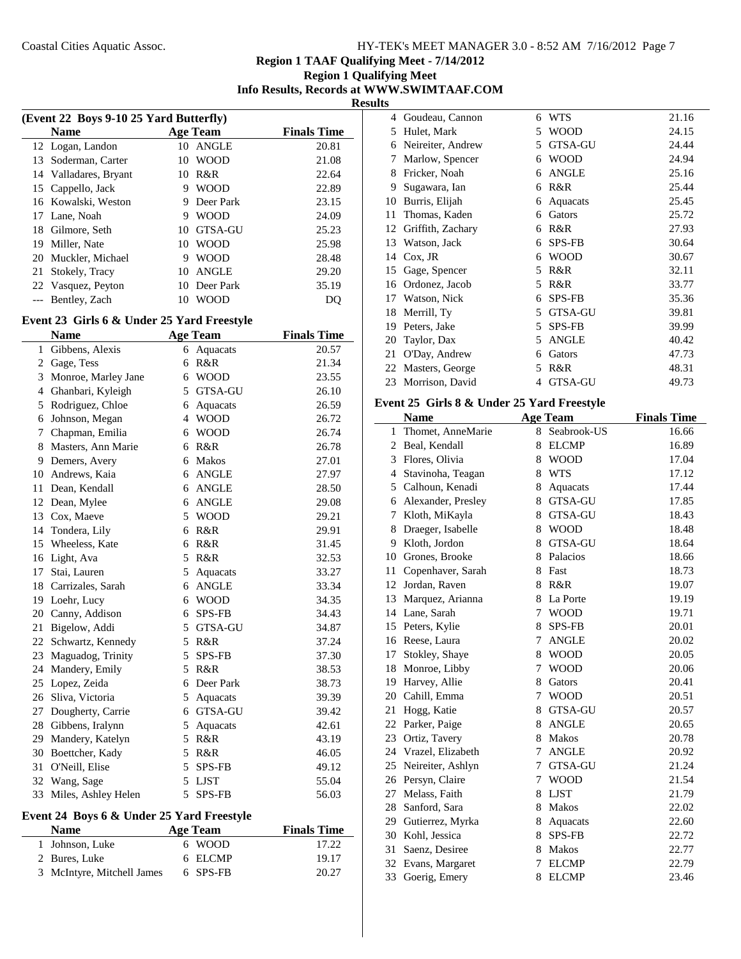## **Region 1 Qualifying Meet Info Results, Records at WWW.SWIMTAAF.COM Results**

| (Event 22 Boys 9-10 25 Yard Butterfly) |                       |    |                 |                    |
|----------------------------------------|-----------------------|----|-----------------|--------------------|
|                                        | <b>Name</b>           |    | <b>Age Team</b> | <b>Finals Time</b> |
|                                        | 12 Logan, Landon      | 10 | ANGLE           | 20.81              |
| 13                                     | Soderman, Carter      | 10 | <b>WOOD</b>     | 21.08              |
|                                        | 14 Valladares, Bryant | 10 | R&R             | 22.64              |
| 15                                     | Cappello, Jack        | 9  | <b>WOOD</b>     | 22.89              |
|                                        | 16 Kowalski, Weston   | 9  | Deer Park       | 23.15              |
|                                        | 17 Lane, Noah         | 9  | <b>WOOD</b>     | 24.09              |
| 18                                     | Gilmore, Seth         | 10 | <b>GTSA-GU</b>  | 25.23              |
| 19                                     | Miller, Nate          | 10 | <b>WOOD</b>     | 25.98              |
| 20                                     | Muckler, Michael      | 9  | <b>WOOD</b>     | 28.48              |
| 21                                     | Stokely, Tracy        | 10 | <b>ANGLE</b>    | 29.20              |
|                                        | 22 Vasquez, Peyton    | 10 | Deer Park       | 35.19              |
|                                        | Bentley, Zach         | 10 | <b>WOOD</b>     | DО                 |

# **Event 23 Girls 6 & Under 25 Yard Freestyle**

 $\overline{a}$ 

|    | Name                |                          | <b>Age Team</b> | <b>Finals Time</b> |
|----|---------------------|--------------------------|-----------------|--------------------|
| 1  | Gibbens, Alexis     | 6                        | Aquacats        | 20.57              |
| 2  | Gage, Tess          | 6                        | R&R             | 21.34              |
| 3  | Monroe, Marley Jane | 6                        | <b>WOOD</b>     | 23.55              |
| 4  | Ghanbari, Kyleigh   | 5                        | GTSA-GU         | 26.10              |
| 5  | Rodriguez, Chloe    | 6                        | Aquacats        | 26.59              |
| 6  | Johnson, Megan      | $\overline{\mathcal{L}}$ | <b>WOOD</b>     | 26.72              |
| 7  | Chapman, Emilia     | 6                        | <b>WOOD</b>     | 26.74              |
| 8  | Masters, Ann Marie  | 6                        | R&R             | 26.78              |
| 9  | Demers, Avery       | 6                        | <b>Makos</b>    | 27.01              |
| 10 | Andrews, Kaia       | 6                        | <b>ANGLE</b>    | 27.97              |
| 11 | Dean, Kendall       | 6                        | <b>ANGLE</b>    | 28.50              |
| 12 | Dean, Mylee         | 6                        | <b>ANGLE</b>    | 29.08              |
| 13 | Cox, Maeve          | 5                        | <b>WOOD</b>     | 29.21              |
|    | 14 Tondera, Lily    | 6                        | R&R             | 29.91              |
| 15 | Wheeless, Kate      | 6                        | R&R             | 31.45              |
| 16 | Light, Ava          | 5                        | R&R             | 32.53              |
| 17 | Stai, Lauren        | 5                        | Aquacats        | 33.27              |
| 18 | Carrizales, Sarah   | 6                        | <b>ANGLE</b>    | 33.34              |
|    | 19 Loehr, Lucy      | 6                        | <b>WOOD</b>     | 34.35              |
| 20 | Canny, Addison      | 6                        | <b>SPS-FB</b>   | 34.43              |
| 21 | Bigelow, Addi       | 5                        | GTSA-GU         | 34.87              |
| 22 | Schwartz, Kennedy   | 5                        | R&R             | 37.24              |
| 23 | Maguadog, Trinity   | 5                        | <b>SPS-FB</b>   | 37.30              |
| 24 | Mandery, Emily      | 5                        | R&R             | 38.53              |
| 25 | Lopez, Zeida        | 6                        | Deer Park       | 38.73              |
| 26 | Sliva, Victoria     | 5                        | Aquacats        | 39.39              |
| 27 | Dougherty, Carrie   | 6                        | GTSA-GU         | 39.42              |
| 28 | Gibbens, Iralynn    | 5                        | Aquacats        | 42.61              |
| 29 | Mandery, Katelyn    | 5                        | R&R             | 43.19              |
| 30 | Boettcher, Kady     | 5                        | R&R             | 46.05              |
| 31 | O'Neill, Elise      | 5                        | <b>SPS-FB</b>   | 49.12              |
| 32 | Wang, Sage          | 5                        | <b>LJST</b>     | 55.04              |
| 33 | Miles, Ashley Helen | 5                        | <b>SPS-FB</b>   | 56.03              |

#### **Event 24 Boys 6 & Under 25 Yard Freestyle**

| <b>Name</b>                | Age Team | <b>Finals Time</b> |
|----------------------------|----------|--------------------|
| 1 Johnson, Luke            | 6 WOOD   | 17.22              |
| 2 Bures, Luke              | 6 ELCMP  | 19.17              |
| 3 McIntyre, Mitchell James | 6 SPS-FB | 20.27              |

| 4  | Goudeau, Cannon   | 6 | <b>WTS</b>     | 21.16 |
|----|-------------------|---|----------------|-------|
| 5  | Hulet, Mark       | 5 | WOOD           | 24.15 |
| 6  | Neireiter, Andrew | 5 | <b>GTSA-GU</b> | 24.44 |
| 7  | Marlow, Spencer   | 6 | <b>WOOD</b>    | 24.94 |
| 8  | Fricker, Noah     | 6 | <b>ANGLE</b>   | 25.16 |
| 9  | Sugawara, Ian     | 6 | R&R            | 25.44 |
| 10 | Burris, Elijah    | 6 | Aquacats       | 25.45 |
| 11 | Thomas, Kaden     | 6 | Gators         | 25.72 |
| 12 | Griffith, Zachary | 6 | R&R            | 27.93 |
| 13 | Watson, Jack      | 6 | <b>SPS-FB</b>  | 30.64 |
| 14 | $Cox$ , JR        | 6 | <b>WOOD</b>    | 30.67 |
| 15 | Gage, Spencer     | 5 | R&R            | 32.11 |
| 16 | Ordonez, Jacob    | 5 | R&R            | 33.77 |
| 17 | Watson, Nick      | 6 | <b>SPS-FB</b>  | 35.36 |
| 18 | Merrill, Ty       | 5 | <b>GTSA-GU</b> | 39.81 |
| 19 | Peters, Jake      | 5 | <b>SPS-FB</b>  | 39.99 |
| 20 | Taylor, Dax       | 5 | <b>ANGLE</b>   | 40.42 |
| 21 | O'Day, Andrew     | 6 | Gators         | 47.73 |
| 22 | Masters, George   | 5 | R&R            | 48.31 |
| 23 | Morrison, David   | 4 | <b>GTSA-GU</b> | 49.73 |

#### **Event 25 Girls 8 & Under 25 Yard Freestyle**

|    | <b>Name</b>        |   | <b>Age Team</b> | <b>Finals Time</b> |
|----|--------------------|---|-----------------|--------------------|
| 1  | Thomet, AnneMarie  | 8 | Seabrook-US     | 16.66              |
| 2  | Beal, Kendall      | 8 | <b>ELCMP</b>    | 16.89              |
| 3  | Flores, Olivia     | 8 | <b>WOOD</b>     | 17.04              |
| 4  | Stavinoha, Teagan  | 8 | <b>WTS</b>      | 17.12              |
| 5  | Calhoun, Kenadi    | 8 | Aquacats        | 17.44              |
| 6  | Alexander, Presley | 8 | <b>GTSA-GU</b>  | 17.85              |
| 7  | Kloth, MiKayla     | 8 | GTSA-GU         | 18.43              |
| 8  | Draeger, Isabelle  | 8 | <b>WOOD</b>     | 18.48              |
| 9  | Kloth, Jordon      | 8 | <b>GTSA-GU</b>  | 18.64              |
| 10 | Grones, Brooke     |   | 8 Palacios      | 18.66              |
| 11 | Copenhaver, Sarah  |   | 8 Fast          | 18.73              |
| 12 | Jordan, Raven      | 8 | R&R             | 19.07              |
| 13 | Marquez, Arianna   | 8 | La Porte        | 19.19              |
|    | 14 Lane, Sarah     | 7 | <b>WOOD</b>     | 19.71              |
|    | 15 Peters, Kylie   | 8 | SPS-FB          | 20.01              |
| 16 | Reese, Laura       | 7 | <b>ANGLE</b>    | 20.02              |
| 17 | Stokley, Shaye     | 8 | <b>WOOD</b>     | 20.05              |
| 18 | Monroe, Libby      | 7 | <b>WOOD</b>     | 20.06              |
|    | 19 Harvey, Allie   | 8 | Gators          | 20.41              |
| 20 | Cahill, Emma       | 7 | <b>WOOD</b>     | 20.51              |
| 21 | Hogg, Katie        | 8 | <b>GTSA-GU</b>  | 20.57              |
| 22 | Parker, Paige      | 8 | <b>ANGLE</b>    | 20.65              |
|    | 23 Ortiz, Tavery   | 8 | <b>Makos</b>    | 20.78              |
| 24 | Vrazel, Elizabeth  | 7 | <b>ANGLE</b>    | 20.92              |
| 25 | Neireiter, Ashlyn  | 7 | <b>GTSA-GU</b>  | 21.24              |
| 26 | Persyn, Claire     | 7 | <b>WOOD</b>     | 21.54              |
| 27 | Melass, Faith      | 8 | <b>LJST</b>     | 21.79              |
| 28 | Sanford, Sara      | 8 | <b>Makos</b>    | 22.02              |
| 29 | Gutierrez, Myrka   | 8 | Aquacats        | 22.60              |
| 30 | Kohl, Jessica      | 8 | <b>SPS-FB</b>   | 22.72              |
| 31 | Saenz, Desiree     | 8 | Makos           | 22.77              |
| 32 | Evans, Margaret    | 7 | <b>ELCMP</b>    | 22.79              |
| 33 | Goerig, Emery      | 8 | <b>ELCMP</b>    | 23.46              |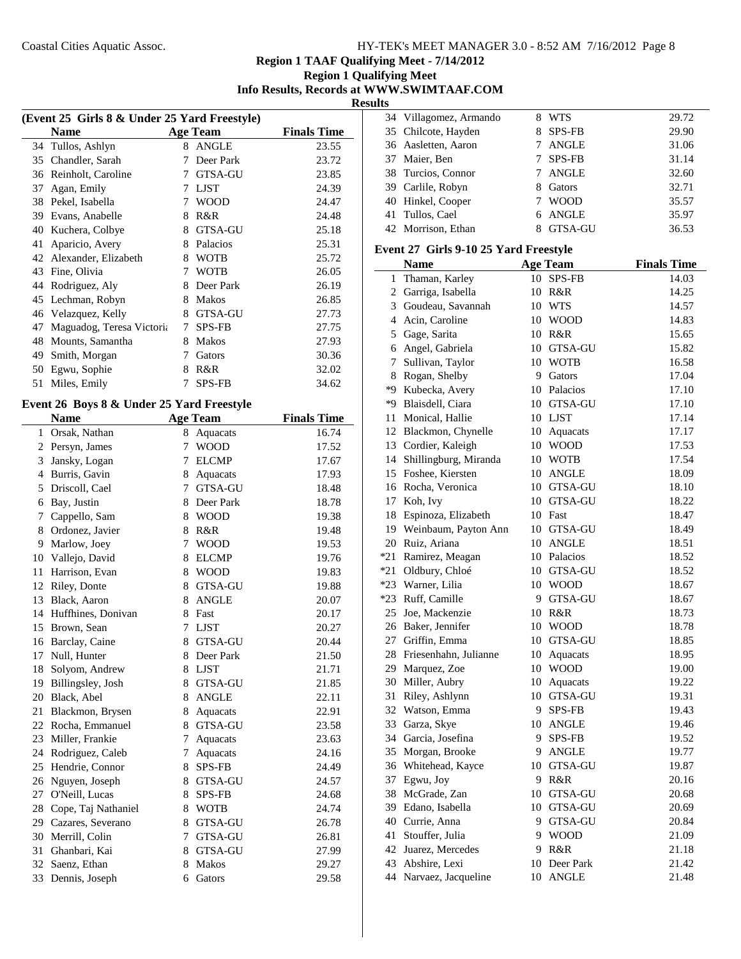## **Region 1 Qualifying Meet Info Results, Records at WWW.SWIMTAAF.COM Results**

| (Event 25 Girls 8 & Under 25 Yard Freestyle) |                           |   |                 |                    |  |
|----------------------------------------------|---------------------------|---|-----------------|--------------------|--|
|                                              | <b>Name</b>               |   | <b>Age Team</b> | <b>Finals Time</b> |  |
| 34                                           | Tullos, Ashlyn            | 8 | <b>ANGLE</b>    | 23.55              |  |
| 35                                           | Chandler, Sarah           | 7 | Deer Park       | 23.72              |  |
| 36                                           | Reinholt, Caroline        | 7 | <b>GTSA-GU</b>  | 23.85              |  |
| 37                                           | Agan, Emily               | 7 | <b>LJST</b>     | 24.39              |  |
| 38                                           | Pekel, Isabella           | 7 | WOOD            | 24.47              |  |
| 39                                           | Evans, Anabelle           | 8 | R&R             | 24.48              |  |
| 40                                           | Kuchera, Colbye           | 8 | <b>GTSA-GU</b>  | 25.18              |  |
| 41                                           | Aparicio, Avery           | 8 | Palacios        | 25.31              |  |
| 42                                           | Alexander, Elizabeth      | 8 | <b>WOTB</b>     | 25.72              |  |
| 43                                           | Fine, Olivia              | 7 | <b>WOTB</b>     | 26.05              |  |
| 44                                           | Rodriguez, Aly            | 8 | Deer Park       | 26.19              |  |
| 45                                           | Lechman, Robyn            | 8 | <b>Makos</b>    | 26.85              |  |
| 46                                           | Velazquez, Kelly          | 8 | <b>GTSA-GU</b>  | 27.73              |  |
| 47                                           | Maguadog, Teresa Victoria | 7 | SPS-FB          | 27.75              |  |
| 48                                           | Mounts, Samantha          | 8 | <b>Makos</b>    | 27.93              |  |
| 49                                           | Smith, Morgan             | 7 | Gators          | 30.36              |  |
| 50                                           | Egwu, Sophie              | 8 | R&R             | 32.02              |  |
| 51                                           | Miles, Emily              |   | <b>SPS-FB</b>   | 34.62              |  |

#### **Event 26 Boys 8 & Under 25 Yard Freestyle**

|              | <b>Name</b>         |   | <b>Age Team</b> | <b>Finals Time</b> |
|--------------|---------------------|---|-----------------|--------------------|
| $\mathbf{1}$ | Orsak, Nathan       | 8 | Aquacats        | 16.74              |
| 2            | Persyn, James       | 7 | <b>WOOD</b>     | 17.52              |
| 3            | Jansky, Logan       | 7 | <b>ELCMP</b>    | 17.67              |
| 4            | Burris, Gavin       | 8 | Aquacats        | 17.93              |
| 5            | Driscoll, Cael      |   | 7 GTSA-GU       | 18.48              |
| 6            | Bay, Justin         | 8 | Deer Park       | 18.78              |
| 7            | Cappello, Sam       | 8 | <b>WOOD</b>     | 19.38              |
| 8            | Ordonez, Javier     | 8 | R&R             | 19.48              |
| 9            | Marlow, Joey        | 7 | <b>WOOD</b>     | 19.53              |
| 10           | Vallejo, David      | 8 | <b>ELCMP</b>    | 19.76              |
| 11           | Harrison, Evan      | 8 | <b>WOOD</b>     | 19.83              |
| 12           | Riley, Donte        | 8 | GTSA-GU         | 19.88              |
| 13           | Black, Aaron        | 8 | <b>ANGLE</b>    | 20.07              |
| 14           | Huffhines, Donivan  | 8 | Fast            | 20.17              |
| 15           | Brown, Sean         | 7 | LJST            | 20.27              |
| 16           | Barclay, Caine      | 8 | GTSA-GU         | 20.44              |
| 17           | Null, Hunter        | 8 | Deer Park       | 21.50              |
| 18           | Solyom, Andrew      | 8 | <b>LJST</b>     | 21.71              |
| 19           | Billingsley, Josh   |   | 8 GTSA-GU       | 21.85              |
| 20           | Black, Abel         | 8 | <b>ANGLE</b>    | 22.11              |
| 21           | Blackmon, Brysen    | 8 | Aquacats        | 22.91              |
| 22           | Rocha, Emmanuel     | 8 | <b>GTSA-GU</b>  | 23.58              |
| 23           | Miller, Frankie     | 7 | Aquacats        | 23.63              |
| 24           | Rodriguez, Caleb    | 7 | Aquacats        | 24.16              |
| 25           | Hendrie, Connor     | 8 | SPS-FB          | 24.49              |
| 26           | Nguyen, Joseph      | 8 | GTSA-GU         | 24.57              |
| 27           | O'Neill, Lucas      | 8 | <b>SPS-FB</b>   | 24.68              |
| 28           | Cope, Taj Nathaniel | 8 | <b>WOTB</b>     | 24.74              |
| 29           | Cazares, Severano   | 8 | GTSA-GU         | 26.78              |
| 30           | Merrill, Colin      | 7 | GTSA-GU         | 26.81              |
| 31           | Ghanbari, Kai       | 8 | <b>GTSA-GU</b>  | 27.99              |
| 32           | Saenz, Ethan        | 8 | <b>Makos</b>    | 29.27              |
| 33           | Dennis, Joseph      | 6 | Gators          | 29.58              |

|  | 34 Villagomez, Armando |    | <b>WTS</b>  | 29.72 |
|--|------------------------|----|-------------|-------|
|  | 35 Chilcote, Hayden    |    | 8 SPS-FB    | 29.90 |
|  | 36 Aasletten, Aaron    | 7  | ANGLE       | 31.06 |
|  | 37 Maier, Ben          | 7  | SPS-FB      | 31.14 |
|  | 38 Turcios, Connor     | 7  | ANGLE       | 32.60 |
|  | 39 Carlile, Robyn      | 8. | Gators      | 32.71 |
|  | 40 Hinkel, Cooper      |    | <b>WOOD</b> | 35.57 |
|  | 41 Tullos, Cael        |    | 6 ANGLE     | 35.97 |
|  | 42 Morrison, Ethan     |    | GTSA-GU     | 36.53 |
|  |                        |    |             |       |

# **Event 27 Girls 9-10 25 Yard Freestyle**

|       | <b>Name</b>              |    | <b>Age Team</b> | <b>Finals Time</b> |
|-------|--------------------------|----|-----------------|--------------------|
| 1     | Thaman, Karley           |    | 10 SPS-FB       | 14.03              |
|       | 2 Garriga, Isabella      |    | 10 R&R          | 14.25              |
|       | 3 Goudeau, Savannah      |    | 10 WTS          | 14.57              |
|       | 4 Acin, Caroline         |    | 10 WOOD         | 14.83              |
|       | 5 Gage, Sarita           | 10 | R&R             | 15.65              |
| 6     | Angel, Gabriela          |    | 10 GTSA-GU      | 15.82              |
| 7     | Sullivan, Taylor         |    | 10 WOTB         | 16.58              |
| 8     | Rogan, Shelby            | 9  | Gators          | 17.04              |
| *9    | Kubecka, Avery           |    | 10 Palacios     | 17.10              |
| *9    | Blaisdell, Ciara         |    | 10 GTSA-GU      | 17.10              |
| 11    | Monical, Hallie          |    | 10 LJST         | 17.14              |
|       | 12 Blackmon, Chynelle    |    | 10 Aquacats     | 17.17              |
|       | 13 Cordier, Kaleigh      |    | 10 WOOD         | 17.53              |
|       | 14 Shillingburg, Miranda |    | 10 WOTB         | 17.54              |
|       | 15 Foshee, Kiersten      |    | 10 ANGLE        | 18.09              |
|       | 16 Rocha, Veronica       |    | 10 GTSA-GU      | 18.10              |
|       | 17 Koh, Ivy              |    | 10 GTSA-GU      | 18.22              |
|       | 18 Espinoza, Elizabeth   |    | 10 Fast         | 18.47              |
|       | 19 Weinbaum, Payton Ann  |    | 10 GTSA-GU      | 18.49              |
|       | 20 Ruiz, Ariana          |    | 10 ANGLE        | 18.51              |
| $*21$ | Ramirez, Meagan          |    | 10 Palacios     | 18.52              |
|       | *21 Oldbury, Chloé       |    | 10 GTSA-GU      | 18.52              |
|       | *23 Warner, Lilia        |    | 10 WOOD         | 18.67              |
|       | *23 Ruff, Camille        |    | 9 GTSA-GU       | 18.67              |
|       | 25 Joe, Mackenzie        |    | 10 R&R          | 18.73              |
|       | 26 Baker, Jennifer       |    | 10 WOOD         | 18.78              |
|       | 27 Griffin, Emma         |    | 10 GTSA-GU      | 18.85              |
|       | 28 Friesenhahn, Julianne | 10 | Aquacats        | 18.95              |
|       | 29 Marquez, Zoe          |    | 10 WOOD         | 19.00              |
|       | 30 Miller, Aubry         | 10 | Aquacats        | 19.22              |
| 31    | Riley, Ashlynn           |    | 10 GTSA-GU      | 19.31              |
| 32    | Watson, Emma             | 9. | SPS-FB          | 19.43              |
|       | 33 Garza, Skye           |    | 10 ANGLE        | 19.46              |
|       | 34 Garcia, Josefina      | 9  | SPS-FB          | 19.52              |
|       | 35 Morgan, Brooke        | 9  | <b>ANGLE</b>    | 19.77              |
|       | 36 Whitehead, Kayce      |    | 10 GTSA-GU      | 19.87              |
| 37    | Egwu, Joy                |    | 9 R&R           | 20.16              |
|       | 38 McGrade, Zan          |    | 10 GTSA-GU      | 20.68              |
|       | 39 Edano, Isabella       |    | 10 GTSA-GU      | 20.69              |
|       | 40 Currie, Anna          | 9  | GTSA-GU         | 20.84              |
| 41    | Stouffer, Julia          |    | 9 WOOD          | 21.09              |
|       | 42 Juarez, Mercedes      |    | 9 R&R           | 21.18              |
| 43    | Abshire, Lexi            | 10 | Deer Park       | 21.42              |
| 44    | Narvaez, Jacqueline      | 10 | <b>ANGLE</b>    | 21.48              |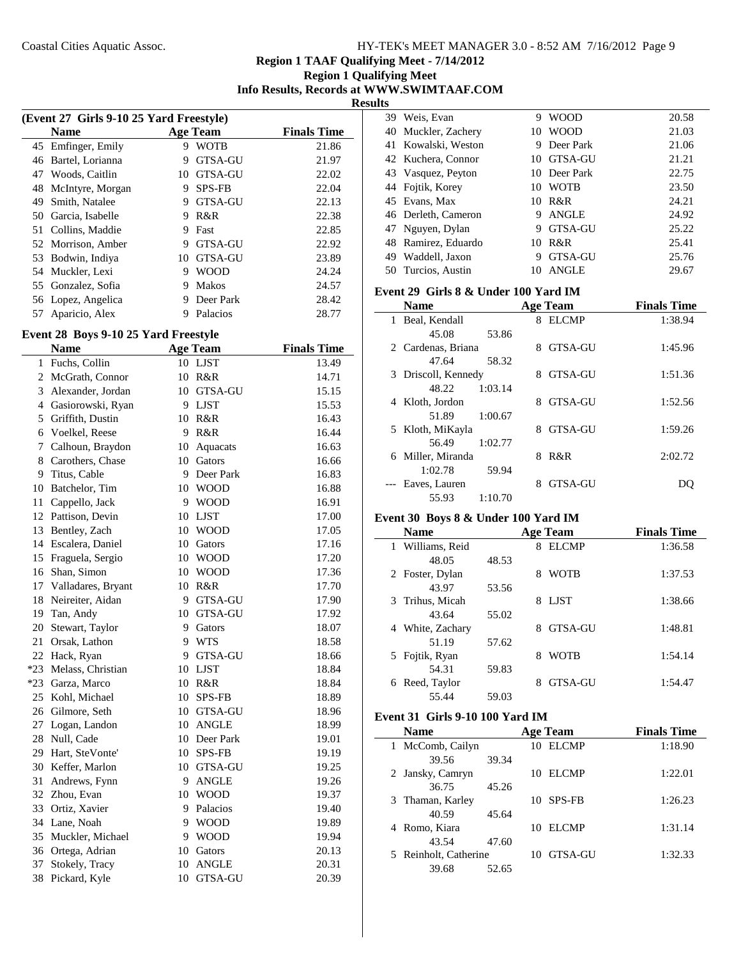**Region 1 Qualifying Meet Info Results, Records at WWW.SWIMTAAF.COM Results**

| (Event 27 Girls 9-10 25 Yard Freestyle) |                    |    |                |                    |  |  |
|-----------------------------------------|--------------------|----|----------------|--------------------|--|--|
|                                         | <b>Name</b>        |    | Age Team       | <b>Finals Time</b> |  |  |
| 45                                      | Emfinger, Emily    | 9  | <b>WOTB</b>    | 21.86              |  |  |
| 46                                      | Bartel, Lorianna   | 9  | <b>GTSA-GU</b> | 21.97              |  |  |
| 47                                      | Woods, Caitlin     | 10 | <b>GTSA-GU</b> | 22.02              |  |  |
| 48                                      | McIntyre, Morgan   | 9  | <b>SPS-FB</b>  | 22.04              |  |  |
| 49                                      | Smith, Natalee     | 9  | <b>GTSA-GU</b> | 22.13              |  |  |
| 50                                      | Garcia, Isabelle   | 9  | R&R            | 22.38              |  |  |
| 51                                      | Collins, Maddie    | 9  | Fast           | 22.85              |  |  |
|                                         | 52 Morrison, Amber | 9  | <b>GTSA-GU</b> | 22.92              |  |  |
| 53                                      | Bodwin, Indiya     | 10 | <b>GTSA-GU</b> | 23.89              |  |  |
|                                         | 54 Muckler, Lexi   | 9  | <b>WOOD</b>    | 24.24              |  |  |
|                                         | 55 Gonzalez, Sofia | 9  | <b>Makos</b>   | 24.57              |  |  |
|                                         | 56 Lopez, Angelica | 9  | Deer Park      | 28.42              |  |  |
| 57                                      | Aparicio, Alex     | 9  | Palacios       | 28.77              |  |  |

#### **Event 28 Boys 9-10 25 Yard Freestyle**

|       | <b>Name</b>         |    | <b>Age Team</b> | <b>Finals Time</b> |
|-------|---------------------|----|-----------------|--------------------|
| 1     | Fuchs, Collin       |    | 10 LJST         | 13.49              |
| 2     | McGrath, Connor     | 10 | R&R             | 14.71              |
| 3     | Alexander, Jordan   | 10 | GTSA-GU         | 15.15              |
|       | 4 Gasiorowski, Ryan | 9  | <b>LJST</b>     | 15.53              |
| 5     | Griffith, Dustin    | 10 | R&R             | 16.43              |
| 6     | Voelkel, Reese      | 9  | R&R             | 16.44              |
| 7     | Calhoun, Braydon    | 10 | Aquacats        | 16.63              |
|       | 8 Carothers, Chase  | 10 | Gators          | 16.66              |
|       | 9 Titus, Cable      | 9  | Deer Park       | 16.83              |
| 10    | Batchelor, Tim      | 10 | <b>WOOD</b>     | 16.88              |
| 11    | Cappello, Jack      | 9  | <b>WOOD</b>     | 16.91              |
|       | 12 Pattison, Devin  | 10 | <b>LJST</b>     | 17.00              |
| 13    | Bentley, Zach       | 10 | <b>WOOD</b>     | 17.05              |
|       | 14 Escalera, Daniel | 10 | Gators          | 17.16              |
|       | 15 Fraguela, Sergio | 10 | <b>WOOD</b>     | 17.20              |
|       | 16 Shan, Simon      | 10 | <b>WOOD</b>     | 17.36              |
| 17    | Valladares, Bryant  | 10 | R&R             | 17.70              |
|       | 18 Neireiter, Aidan | 9  | GTSA-GU         | 17.90              |
|       | 19 Tan, Andy        | 10 | GTSA-GU         | 17.92              |
|       | 20 Stewart, Taylor  | 9  | Gators          | 18.07              |
|       | 21 Orsak, Lathon    | 9  | WTS             | 18.58              |
|       | 22 Hack, Ryan       | 9  | GTSA-GU         | 18.66              |
| $*23$ | Melass, Christian   | 10 | <b>LJST</b>     | 18.84              |
|       | *23 Garza, Marco    | 10 | R&R             | 18.84              |
| 25    | Kohl, Michael       | 10 | <b>SPS-FB</b>   | 18.89              |
|       | 26 Gilmore, Seth    | 10 | GTSA-GU         | 18.96              |
| 27    | Logan, Landon       | 10 | <b>ANGLE</b>    | 18.99              |
| 28    | Null, Cade          | 10 | Deer Park       | 19.01              |
| 29    | Hart, SteVonte'     | 10 | SPS-FB          | 19.19              |
| 30    | Keffer, Marlon      | 10 | GTSA-GU         | 19.25              |
| 31    | Andrews, Fynn       | 9  | ANGLE           | 19.26              |
|       | 32 Zhou, Evan       | 10 | <b>WOOD</b>     | 19.37              |
|       | 33 Ortiz, Xavier    | 9  | Palacios        | 19.40              |
| 34    | Lane, Noah          | 9  | <b>WOOD</b>     | 19.89              |
| 35    | Muckler, Michael    | 9  | <b>WOOD</b>     | 19.94              |
|       | 36 Ortega, Adrian   | 10 | Gators          | 20.13              |
| 37    | Stokely, Tracy      | 10 | <b>ANGLE</b>    | 20.31              |
| 38    | Pickard, Kyle       | 10 | <b>GTSA-GU</b>  | 20.39              |
|       |                     |    |                 |                    |

| 21.03 |
|-------|
|       |
| 21.06 |
| 21.21 |
| 22.75 |
| 23.50 |
| 24.21 |
| 24.92 |
| 25.22 |
| 25.41 |
| 25.76 |
| 29.67 |
|       |

#### **Event 29 Girls 8 & Under 100 Yard IM**

| <b>Name</b>          | <b>Age Team</b>     | <b>Finals Time</b> |
|----------------------|---------------------|--------------------|
| 1 Beal, Kendall      | 8 ELCMP             | 1:38.94            |
| 45.08<br>53.86       |                     |                    |
| 2 Cardenas, Briana   | <b>GTSA-GU</b><br>8 | 1:45.96            |
| 47.64<br>58.32       |                     |                    |
| 3 Driscoll, Kennedy  | <b>GTSA-GU</b><br>8 | 1:51.36            |
| 48.22<br>1:03.14     |                     |                    |
| 4 Kloth, Jordon      | GTSA-GU<br>8        | 1:52.56            |
| 1:00.67<br>51.89     |                     |                    |
| Kloth, MiKayla<br>5. | <b>GTSA-GU</b><br>8 | 1:59.26            |
| 1:02.77<br>56.49     |                     |                    |
| 6 Miller, Miranda    | R&R<br>8            | 2:02.72            |
| 1:02.78<br>59.94     |                     |                    |
| --- Eaves, Lauren    | GTSA-GU<br>8        | DO                 |
| 1:10.70<br>55.93     |                     |                    |

#### **Event 30 Boys 8 & Under 100 Yard IM**

| <b>Name</b>                    |       | <b>Age Team</b>     | <b>Finals Time</b> |
|--------------------------------|-------|---------------------|--------------------|
| Williams, Reid<br>$\mathbf{1}$ |       | <b>ELCMP</b><br>8   | 1:36.58            |
| 48.05                          | 48.53 |                     |                    |
| 2 Foster, Dylan                |       | <b>WOTB</b><br>8    | 1:37.53            |
| 43.97                          | 53.56 |                     |                    |
| 3 Trihus, Micah                |       | LJST<br>8           | 1:38.66            |
| 43.64                          | 55.02 |                     |                    |
| White, Zachary<br>4            |       | <b>GTSA-GU</b><br>8 | 1:48.81            |
| 51.19                          | 57.62 |                     |                    |
| 5 Fojtik, Ryan                 |       | <b>WOTB</b><br>8    | 1:54.14            |
| 54.31                          | 59.83 |                     |                    |
| Reed, Taylor<br>6              |       | <b>GTSA-GU</b>      | 1:54.47            |
| 55.44                          | 59.03 |                     |                    |

# **Event 31 Girls 9-10 100 Yard IM**

| <b>Name</b>           |       |    | <b>Age Team</b> | <b>Finals Time</b> |
|-----------------------|-------|----|-----------------|--------------------|
| 1 McComb, Cailyn      |       |    | 10 ELCMP        | 1:18.90            |
| 39.56                 | 39.34 |    |                 |                    |
| 2 Jansky, Camryn      |       | 10 | EL CMP          | 1:22.01            |
| 36.75                 | 45.26 |    |                 |                    |
| 3 Thaman, Karley      |       |    | 10 SPS-FB       | 1:26.23            |
| 40.59                 | 45.64 |    |                 |                    |
| 4 Romo, Kiara         |       | 10 | ELCMP           | 1:31.14            |
| 43.54                 | 47.60 |    |                 |                    |
| 5 Reinholt, Catherine |       |    | 10 GTSA-GU      | 1:32.33            |
| 39.68                 | 52.65 |    |                 |                    |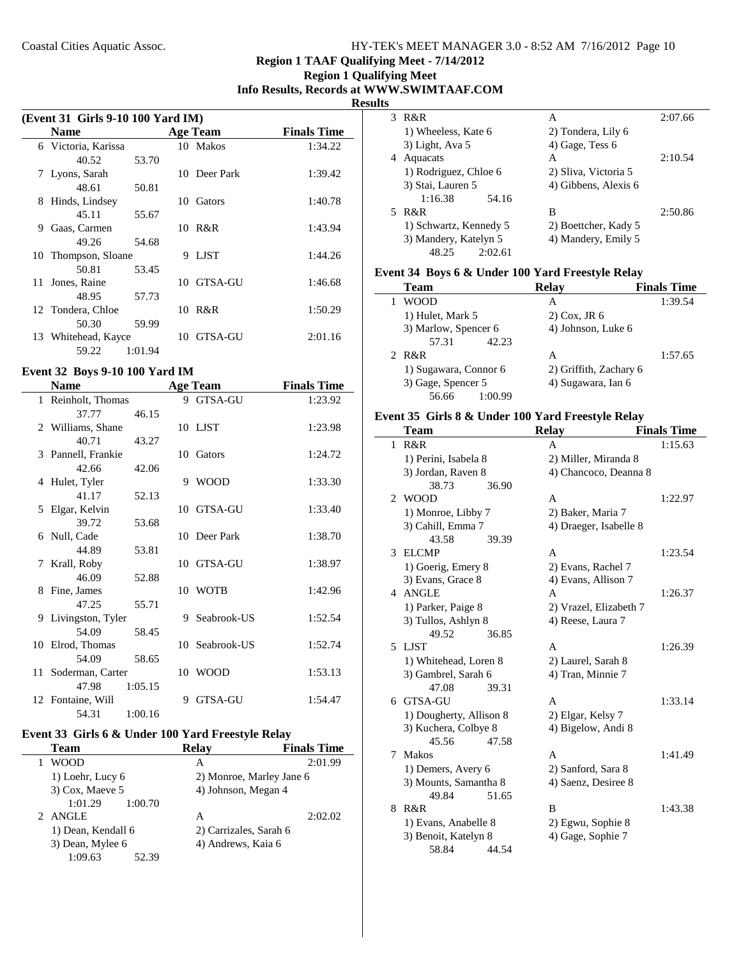# **Region 1 TAAF Qualifying Meet - 7/14/2012**

# **Region 1 Qualifying Meet Info Results, Records at WWW.SWIMTAAF.COM**

**Results**

| (Event 31 Girls 9-10 100 Yard IM) |                     |         |    |              |                    |
|-----------------------------------|---------------------|---------|----|--------------|--------------------|
|                                   | <b>Name</b>         |         |    | Age Team     | <b>Finals Time</b> |
|                                   | 6 Victoria, Karissa |         |    | 10 Makos     | 1:34.22            |
|                                   | 40.52               | 53.70   |    |              |                    |
|                                   | 7 Lyons, Sarah      |         |    | 10 Deer Park | 1:39.42            |
|                                   | 48.61               | 50.81   |    |              |                    |
| 8                                 | Hinds, Lindsey      |         | 10 | Gators       | 1:40.78            |
|                                   | 45.11               | 55.67   |    |              |                    |
| 9                                 | Gaas, Carmen        |         | 10 | R&R          | 1:43.94            |
|                                   | 49.26               | 54.68   |    |              |                    |
| 10                                | Thompson, Sloane    |         | 9  | LJST         | 1:44.26            |
|                                   | 50.81               | 53.45   |    |              |                    |
| 11                                | Jones, Raine        |         | 10 | - GTSA-GU    | 1:46.68            |
|                                   | 48.95               | 57.73   |    |              |                    |
|                                   | 12 Tondera, Chloe   |         |    | 10 R&R       | 1:50.29            |
|                                   | 50.30               | 59.99   |    |              |                    |
|                                   | 13 Whitehead, Kayce |         | 10 | GTSA-GU      | 2:01.16            |
|                                   | 59.22               | 1:01.94 |    |              |                    |

## **Event 32 Boys 9-10 100 Yard IM**

 $\mathbf{r}$ 

| <b>Name</b>         |         |   | <b>Age Team</b> | <b>Finals Time</b> |
|---------------------|---------|---|-----------------|--------------------|
| 1 Reinholt, Thomas  |         |   | 9 GTSA-GU       | 1:23.92            |
| 37.77               | 46.15   |   |                 |                    |
| 2 Williams, Shane   |         |   | 10 LJST         | 1:23.98            |
| 40.71               | 43.27   |   |                 |                    |
| 3 Pannell, Frankie  |         |   | 10 Gators       | 1:24.72            |
| 42.66               | 42.06   |   |                 |                    |
| 4 Hulet, Tyler      |         |   | 9 WOOD          | 1:33.30            |
| 41.17               | 52.13   |   |                 |                    |
| 5 Elgar, Kelvin     |         |   | 10 GTSA-GU      | 1:33.40            |
| 39.72               | 53.68   |   |                 |                    |
| 6 Null, Cade        |         |   | 10 Deer Park    | 1:38.70            |
| 44.89               | 53.81   |   |                 |                    |
| 7 Krall, Roby       |         |   | 10 GTSA-GU      | 1:38.97            |
| 46.09               | 52.88   |   |                 |                    |
| 8 Fine, James       |         |   | 10 WOTB         | 1:42.96            |
| 47.25               | 55.71   |   |                 |                    |
| 9 Livingston, Tyler |         |   | 9 Seabrook-US   | 1:52.54            |
| 54.09               | 58.45   |   |                 |                    |
| 10 Elrod, Thomas    |         |   | 10 Seabrook-US  | 1:52.74            |
| 54.09               | 58.65   |   |                 |                    |
| 11 Soderman, Carter |         |   | 10 WOOD         | 1:53.13            |
| 47.98               | 1:05.15 |   |                 |                    |
| 12 Fontaine, Will   |         | 9 | <b>GTSA-GU</b>  | 1:54.47            |
| 54.31               | 1:00.16 |   |                 |                    |

# **Event 33 Girls 6 & Under 100 Yard Freestyle Relay**

| Team               | <b>Relav</b>           | <b>Finals Time</b>       |
|--------------------|------------------------|--------------------------|
| <b>WOOD</b>        | А                      | 2:01.99                  |
| 1) Loehr, Lucy 6   |                        | 2) Monroe, Marley Jane 6 |
| 3) Cox, Maeve 5    | 4) Johnson, Megan 4    |                          |
| 1:01.29<br>1:00.70 |                        |                          |
| 2 ANGLE            | А                      | 2:02.02                  |
| 1) Dean, Kendall 6 | 2) Carrizales, Sarah 6 |                          |
| 3) Dean, Mylee 6   | 4) Andrews, Kaia 6     |                          |
| 1:09.63<br>52.39   |                        |                          |

| S |                        |                      |         |
|---|------------------------|----------------------|---------|
| 3 | R&R                    | А                    | 2:07.66 |
|   | 1) Wheeless, Kate 6    | 2) Tondera, Lily 6   |         |
|   | 3) Light, Ava 5        | 4) Gage, Tess 6      |         |
|   | Aquacats               | A                    | 2:10.54 |
|   | 1) Rodriguez, Chloe 6  | 2) Sliva, Victoria 5 |         |
|   | 3) Stai, Lauren 5      | 4) Gibbens, Alexis 6 |         |
|   | 1:16.38<br>54.16       |                      |         |
|   | R&R                    | в                    | 2:50.86 |
|   | 1) Schwartz, Kennedy 5 | 2) Boettcher, Kady 5 |         |
|   | 3) Mandery, Katelyn 5  | 4) Mandery, Emily 5  |         |
|   | 2:02.61<br>48.25       |                      |         |

# **Event 34 Boys 6 & Under 100 Yard Freestyle Relay**

| <b>Team</b>           | <b>Relay</b>           | <b>Finals Time</b> |
|-----------------------|------------------------|--------------------|
| <b>WOOD</b>           | А                      | 1:39.54            |
| 1) Hulet, Mark 5      | $2)$ Cox, JR $6$       |                    |
| 3) Marlow, Spencer 6  | 4) Johnson, Luke 6     |                    |
| 57.31<br>42.23        |                        |                    |
| 2 R&R                 | А                      | 1:57.65            |
| 1) Sugawara, Connor 6 | 2) Griffith, Zachary 6 |                    |
| 3) Gage, Spencer 5    | 4) Sugawara, Ian 6     |                    |
| 56.66<br>1:00.99      |                        |                    |

# **Event 35 Girls 8 & Under 100 Yard Freestyle Relay**

|   | Team                    |       | <b>Relay</b>           | <b>Finals Time</b> |
|---|-------------------------|-------|------------------------|--------------------|
| 1 | R&R                     |       | A                      | 1:15.63            |
|   | 1) Perini, Isabela 8    |       | 2) Miller, Miranda 8   |                    |
|   | 3) Jordan, Raven 8      |       | 4) Chancoco, Deanna 8  |                    |
|   | 38.73                   | 36.90 |                        |                    |
| 2 | <b>WOOD</b>             |       | A                      | 1:22.97            |
|   | 1) Monroe, Libby 7      |       | 2) Baker, Maria 7      |                    |
|   | 3) Cahill, Emma 7       |       | 4) Draeger, Isabelle 8 |                    |
|   | 43.58                   | 39.39 |                        |                    |
| 3 | <b>ELCMP</b>            |       | A                      | 1:23.54            |
|   | 1) Goerig, Emery 8      |       | 2) Evans, Rachel 7     |                    |
|   | 3) Evans, Grace 8       |       | 4) Evans, Allison 7    |                    |
|   | 4 ANGLE                 |       | A                      | 1:26.37            |
|   | 1) Parker, Paige 8      |       | 2) Vrazel, Elizabeth 7 |                    |
|   | 3) Tullos, Ashlyn 8     |       | 4) Reese, Laura 7      |                    |
|   | 49.52                   | 36.85 |                        |                    |
|   | 5 LJST                  |       | A                      | 1:26.39            |
|   | 1) Whitehead, Loren 8   |       | 2) Laurel, Sarah 8     |                    |
|   | 3) Gambrel, Sarah 6     |       | 4) Tran, Minnie 7      |                    |
|   | 47.08                   | 39.31 |                        |                    |
|   | 6 GTSA-GU               |       | A                      | 1:33.14            |
|   | 1) Dougherty, Allison 8 |       | 2) Elgar, Kelsy 7      |                    |
|   | 3) Kuchera, Colbye 8    |       | 4) Bigelow, Andi 8     |                    |
|   | 45.56                   | 47.58 |                        |                    |
| 7 | <b>Makos</b>            |       | A                      | 1:41.49            |
|   | 1) Demers, Avery 6      |       | 2) Sanford, Sara 8     |                    |
|   | 3) Mounts, Samantha 8   |       | 4) Saenz, Desiree 8    |                    |
|   | 49.84                   | 51.65 |                        |                    |
| 8 | R&R                     |       | B                      | 1:43.38            |
|   | 1) Evans, Anabelle 8    |       | 2) Egwu, Sophie 8      |                    |
|   | 3) Benoit, Katelyn 8    |       | 4) Gage, Sophie 7      |                    |
|   | 58.84                   | 44.54 |                        |                    |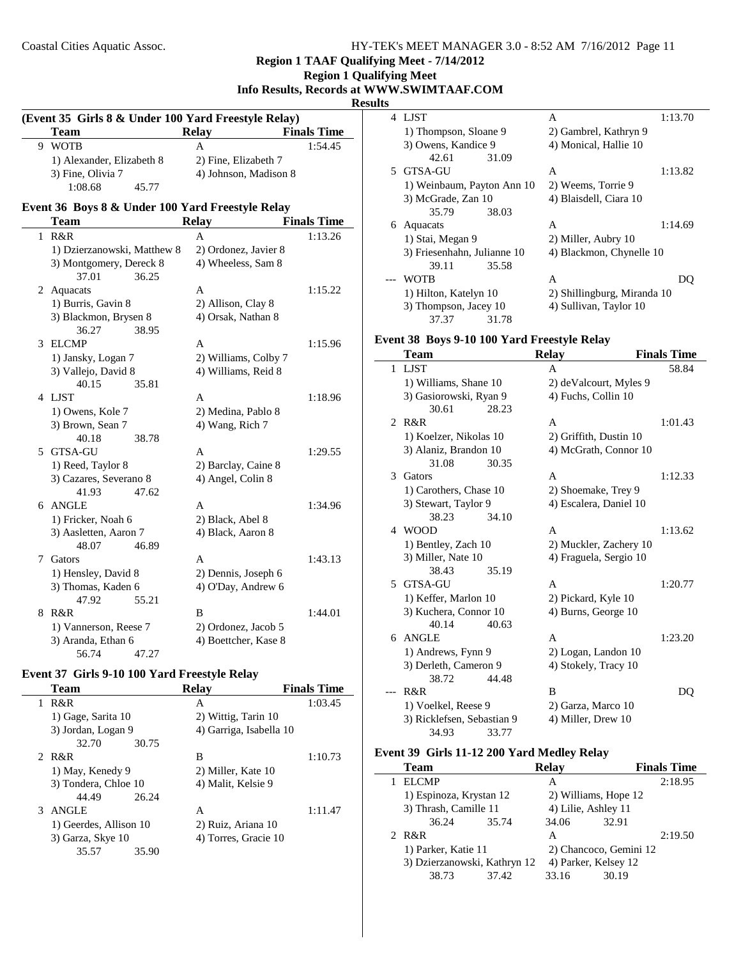**Region 1 TAAF Qualifying Meet - 7/14/2012**

| $\mathbf{R}$                              |
|-------------------------------------------|
| <b>Region 1 Qualifying Meet</b>           |
| Info Results, Records at WWW.SWIMTAAF.COM |
| <b>Results</b>                            |

#### **(Event 35 Girls 8 & Under 100 Yard Freestyle Relay) Team Relay Finals Time** 9 WOTB A 1:54.45 1) Alexander, Elizabeth 8 2) Fine, Elizabeth 7 3) Fine, Olivia 7 4) Johnson, Madison 8 1:08.68 45.77 **Event 36 Boys 8 & Under 100 Yard Freestyle Relay Team Relay Finals Time** 1 1:13.26 R&R A 1) Dzierzanowski, Matthew 8 2) Ordonez, Javier 8 3) Montgomery, Dereck 8 4) Wheeless, Sam 8 37.01 36.25 2 Aquacats **A** 1:15.22 1) Burris, Gavin 8 2) Allison, Clay 8 3) Blackmon, Brysen 8 4) Orsak, Nathan 8 36.27 38.95 3 ELCMP A 1:15.96 1) Jansky, Logan 7 2) Williams, Colby 7 3) Vallejo, David 8 4) Williams, Reid 8 40.15 35.81 4 1:18.96 LJST A 1) Owens, Kole 7 2) Medina, Pablo 8 3) Brown, Sean 7 4) Wang, Rich 7 40.18 38.78 5 1:29.55 GTSA-GU A 1) Reed, Taylor 8 2) Barclay, Caine 8 3) Cazares, Severano 8 4) Angel, Colin 8 41.93 47.62 6 1:34.96 ANGLE A 1) Fricker, Noah 6 2) Black, Abel 8 3) Aasletten, Aaron 7 4) Black, Aaron 8 48.07 46.89 7 Gators **A** 1:43.13 1) Hensley, David 8 2) Dennis, Joseph 6 3) Thomas, Kaden 6 4) O'Day, Andrew 6 47.92 55.21 8 R&R B 1:44.01 1) Vannerson, Reese 7 2) Ordonez, Jacob 5 3) Aranda, Ethan 6 4) Boettcher, Kase 8 56.74 47.27

#### **Event 37 Girls 9-10 100 Yard Freestyle Relay**

| <b>Team</b> |                   | Relav                                                                                                          | <b>Finals Time</b> |
|-------------|-------------------|----------------------------------------------------------------------------------------------------------------|--------------------|
| R&R         |                   | A                                                                                                              | 1:03.45            |
|             |                   | 2) Wittig, Tarin 10                                                                                            |                    |
|             |                   | 4) Garriga, Isabella 10                                                                                        |                    |
| 32.70       | 30.75             |                                                                                                                |                    |
| 2 R&R       |                   | B                                                                                                              | 1:10.73            |
|             |                   | 2) Miller, Kate 10                                                                                             |                    |
|             |                   | 4) Malit, Kelsie 9                                                                                             |                    |
| 44.49       | 26.24             |                                                                                                                |                    |
| ANGLE       |                   | A                                                                                                              | 1:11.47            |
|             |                   | 2) Ruiz, Ariana 10                                                                                             |                    |
|             |                   | 4) Torres, Gracie 10                                                                                           |                    |
| 35.57       | 35.90             |                                                                                                                |                    |
|             | 3) Garza, Skye 10 | 1) Gage, Sarita 10<br>3) Jordan, Logan 9<br>1) May, Kenedy 9<br>3) Tondera, Chloe 10<br>1) Geerdes, Allison 10 |                    |

| ື |                             |       |                             |         |
|---|-----------------------------|-------|-----------------------------|---------|
|   | 4 LIST                      |       | A                           | 1:13.70 |
|   | 1) Thompson, Sloane 9       |       | 2) Gambrel, Kathryn 9       |         |
|   | 3) Owens, Kandice 9         |       | 4) Monical, Hallie 10       |         |
|   | 42.61                       | 31.09 |                             |         |
|   | 5 GTSA-GU                   |       | A                           | 1:13.82 |
|   | 1) Weinbaum, Payton Ann 10  |       | 2) Weems, Torrie 9          |         |
|   | 3) McGrade, Zan 10          |       | 4) Blaisdell, Ciara 10      |         |
|   | 35.79                       | 38.03 |                             |         |
| 6 | Aquacats                    |       | A                           | 1:14.69 |
|   | 1) Stai, Megan 9            |       | 2) Miller, Aubry 10         |         |
|   | 3) Friesenhahn, Julianne 10 |       | 4) Blackmon, Chynelle 10    |         |
|   | 39.11                       | 35.58 |                             |         |
|   | WOTB                        |       | A                           | DΟ      |
|   | 1) Hilton, Katelyn 10       |       | 2) Shillingburg, Miranda 10 |         |
|   | 3) Thompson, Jacey 10       |       | 4) Sullivan, Taylor 10      |         |
|   | 37.37                       | 31.78 |                             |         |

# **Event 38 Boys 9-10 100 Yard Freestyle Relay**

|                | Team                       |       | <b>Relay</b>           | <b>Finals Time</b> |
|----------------|----------------------------|-------|------------------------|--------------------|
|                | 1 LJST                     |       | A                      | 58.84              |
|                | 1) Williams, Shane 10      |       | 2) deValcourt, Myles 9 |                    |
|                | 3) Gasiorowski, Ryan 9     |       | 4) Fuchs, Collin 10    |                    |
|                | 30.61                      | 28.23 |                        |                    |
| $\mathfrak{D}$ | R&R                        |       | A                      | 1:01.43            |
|                | 1) Koelzer, Nikolas 10     |       | 2) Griffith, Dustin 10 |                    |
|                | 3) Alaniz, Brandon 10      |       | 4) McGrath, Connor 10  |                    |
|                | 31.08                      | 30.35 |                        |                    |
| 3              | Gators                     |       | A                      | 1:12.33            |
|                | 1) Carothers, Chase 10     |       | 2) Shoemake, Trey 9    |                    |
|                | 3) Stewart, Taylor 9       |       | 4) Escalera, Daniel 10 |                    |
|                | 38.23                      | 34.10 |                        |                    |
| 4              | <b>WOOD</b>                |       | A                      | 1:13.62            |
|                | 1) Bentley, Zach 10        |       | 2) Muckler, Zachery 10 |                    |
|                | 3) Miller, Nate 10         |       | 4) Fraguela, Sergio 10 |                    |
|                | 38.43                      | 35.19 |                        |                    |
|                | 5 GTSA-GU                  |       | A                      | 1:20.77            |
|                | 1) Keffer, Marlon 10       |       | 2) Pickard, Kyle 10    |                    |
|                | 3) Kuchera, Connor 10      |       | 4) Burns, George 10    |                    |
|                | 40.14                      | 40.63 |                        |                    |
| б.             | <b>ANGLE</b>               |       | A                      | 1:23.20            |
|                | 1) Andrews, Fynn 9         |       | 2) Logan, Landon 10    |                    |
|                | 3) Derleth, Cameron 9      |       | 4) Stokely, Tracy 10   |                    |
|                | 38.72                      | 44.48 |                        |                    |
|                | R&R                        |       | B                      | DO                 |
|                | 1) Voelkel, Reese 9        |       | 2) Garza, Marco 10     |                    |
|                | 3) Ricklefsen, Sebastian 9 |       | 4) Miller, Drew 10     |                    |
|                | 34.93                      | 33.77 |                        |                    |

#### **Event 39 Girls 11-12 200 Yard Medley Relay**

| Team                         |       | Relav                  |       | <b>Finals Time</b> |
|------------------------------|-------|------------------------|-------|--------------------|
| <b>ELCMP</b>                 |       | А                      |       | 2:18.95            |
| 1) Espinoza, Krystan 12      |       | 2) Williams, Hope 12   |       |                    |
| 3) Thrash, Camille 11        |       | 4) Lilie, Ashley 11    |       |                    |
| 36.24                        | 35.74 | 34.06                  | 32.91 |                    |
| 2 R&R                        |       | A                      |       | 2:19.50            |
| 1) Parker, Katie 11          |       | 2) Chancoco, Gemini 12 |       |                    |
| 3) Dzierzanowski, Kathryn 12 |       | 4) Parker, Kelsey 12   |       |                    |
| 38.73                        | 37.42 | 33.16                  | 30.19 |                    |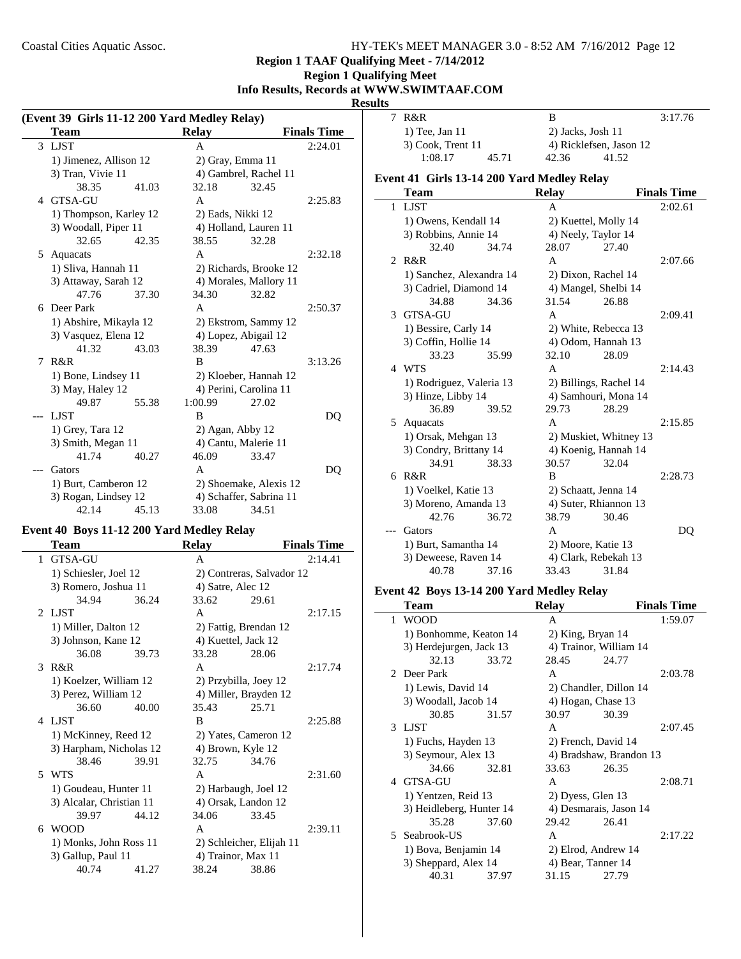# **Region 1 TAAF Qualifying Meet - 7/14/2012**

| <b>Region 1 Qualifying Meet</b>           |
|-------------------------------------------|
| Info Results, Records at WWW.SWIMTAAF.COM |
| <b>Results</b>                            |

|   | (Event 39 Girls 11-12 200 Yard Medley Relay) |       |                    |                         |                    |  |  |
|---|----------------------------------------------|-------|--------------------|-------------------------|--------------------|--|--|
|   | <b>Team</b>                                  |       | <b>Relay</b>       |                         | <b>Finals Time</b> |  |  |
|   | 3 LJST                                       |       | A                  |                         | 2:24.01            |  |  |
|   | 1) Jimenez, Allison 12                       |       |                    | 2) Gray, Emma 11        |                    |  |  |
|   | 3) Tran, Vivie 11                            |       |                    | 4) Gambrel, Rachel 11   |                    |  |  |
|   | 38.35                                        | 41.03 | 32.18              | 32.45                   |                    |  |  |
|   | 4 GTSA-GU                                    |       | A                  |                         | 2:25.83            |  |  |
|   | 1) Thompson, Karley 12                       |       | 2) Eads, Nikki 12  |                         |                    |  |  |
|   | 3) Woodall, Piper 11                         |       |                    | 4) Holland, Lauren 11   |                    |  |  |
|   | 32.65                                        | 42.35 | 38.55              | 32.28                   |                    |  |  |
| 5 | Aquacats                                     |       | A                  |                         | 2:32.18            |  |  |
|   | 1) Sliva, Hannah 11                          |       |                    | 2) Richards, Brooke 12  |                    |  |  |
|   | 3) Attaway, Sarah 12                         |       |                    | 4) Morales, Mallory 11  |                    |  |  |
|   | 47.76                                        | 37.30 | 34.30              | 32.82                   |                    |  |  |
| 6 | Deer Park                                    |       | A                  |                         | 2:50.37            |  |  |
|   | 1) Abshire, Mikayla 12                       |       |                    | 2) Ekstrom, Sammy 12    |                    |  |  |
|   | 3) Vasquez, Elena 12                         |       |                    | 4) Lopez, Abigail 12    |                    |  |  |
|   | 41.32                                        | 43.03 | 38.39              | 47.63                   |                    |  |  |
| 7 | R&R                                          |       | B                  |                         | 3:13.26            |  |  |
|   | 1) Bone, Lindsey 11                          |       |                    | 2) Kloeber, Hannah 12   |                    |  |  |
|   | 3) May, Haley 12                             |       |                    | 4) Perini, Carolina 11  |                    |  |  |
|   | 49.87                                        | 55.38 | 1:00.99            | 27.02                   |                    |  |  |
|   | <b>LJST</b>                                  |       | B                  |                         | DQ                 |  |  |
|   | 1) Grey, Tara 12                             |       | $2)$ Agan, Abby 12 |                         |                    |  |  |
|   | 3) Smith, Megan 11                           |       |                    | 4) Cantu, Malerie 11    |                    |  |  |
|   | 41.74                                        | 40.27 | 46.09              | 33.47                   |                    |  |  |
|   | Gators                                       |       | A                  |                         | DO                 |  |  |
|   | 1) Burt, Camberon 12                         |       |                    | 2) Shoemake, Alexis 12  |                    |  |  |
|   | 3) Rogan, Lindsey 12                         |       |                    | 4) Schaffer, Sabrina 11 |                    |  |  |
|   | 42.14                                        | 45.13 | 33.08              | 34.51                   |                    |  |  |

# **Event 40 Boys 11-12 200 Yard Medley Relay**

| 2:14.41<br>2) Contreras, Salvador 12 |
|--------------------------------------|
|                                      |
|                                      |
|                                      |
|                                      |
| 2:17.15                              |
|                                      |
|                                      |
|                                      |
| 2:17.74                              |
|                                      |
|                                      |
|                                      |
| 2:25.88                              |
|                                      |
|                                      |
|                                      |
| 2:31.60                              |
|                                      |
|                                      |
|                                      |
| 2:39.11                              |
| 2) Schleicher, Elijah 11             |
|                                      |
|                                      |
|                                      |

| 7                                                     | R&R                |       | в                       |       | 3:17.76 |  |
|-------------------------------------------------------|--------------------|-------|-------------------------|-------|---------|--|
|                                                       | $1)$ Tee, Jan $11$ |       | $2)$ Jacks, Josh 11     |       |         |  |
|                                                       | 3) Cook, Trent 11  |       | 4) Ricklefsen, Jason 12 |       |         |  |
|                                                       | 1:08.17            | 45.71 | 42.36                   | 41.52 |         |  |
| <sub>vent</sub> 41  Cirls 13.14 200 Vard Medley Relay |                    |       |                         |       |         |  |

# **Event 41 Girls 13-14 200 Yard Medley Relay**

|                | Team                     |       | <b>Relay</b>         |                        | <b>Finals Time</b> |
|----------------|--------------------------|-------|----------------------|------------------------|--------------------|
| 1              | <b>LJST</b>              |       | A                    |                        | 2:02.61            |
|                | 1) Owens, Kendall 14     |       |                      | 2) Kuettel, Molly 14   |                    |
|                | 3) Robbins, Annie 14     |       |                      | 4) Neely, Taylor 14    |                    |
|                | 32.40                    | 34.74 | 28.07                | 27.40                  |                    |
| $\mathfrak{D}$ | R&R                      |       | A                    |                        | 2:07.66            |
|                | 1) Sanchez, Alexandra 14 |       |                      | 2) Dixon, Rachel 14    |                    |
|                | 3) Cadriel, Diamond 14   |       |                      | 4) Mangel, Shelbi 14   |                    |
|                | 34.88                    | 34.36 | 31.54                | 26.88                  |                    |
| 3              | GTSA-GU                  |       | A                    |                        | 2:09.41            |
|                | 1) Bessire, Carly 14     |       |                      | 2) White, Rebecca 13   |                    |
|                | 3) Coffin, Hollie 14     |       | 4) Odom, Hannah 13   |                        |                    |
|                | 33.23                    | 35.99 | 32.10                | 28.09                  |                    |
|                | 4 WTS                    |       | A                    |                        | 2:14.43            |
|                | 1) Rodriguez, Valeria 13 |       |                      | 2) Billings, Rachel 14 |                    |
|                | 3) Hinze, Libby 14       |       |                      | 4) Samhouri, Mona 14   |                    |
|                | 36.89                    | 39.52 | 29.73                | 28.29                  |                    |
|                | 5 Aquacats               |       | A                    |                        | 2:15.85            |
|                | 1) Orsak, Mehgan 13      |       |                      | 2) Muskiet, Whitney 13 |                    |
|                | 3) Condry, Brittany 14   |       | 4) Koenig, Hannah 14 |                        |                    |
|                | 34.91                    | 38.33 | 30.57                | 32.04                  |                    |
| 6              | R&R                      |       | B                    |                        | 2:28.73            |
|                | 1) Voelkel, Katie 13     |       |                      | 2) Schaatt, Jenna 14   |                    |
|                | 3) Moreno, Amanda 13     |       |                      | 4) Suter, Rhiannon 13  |                    |
|                | 42.76                    | 36.72 | 38.79                | 30.46                  |                    |
|                | Gators                   |       | A                    |                        | DQ                 |
|                | 1) Burt, Samantha 14     |       |                      | 2) Moore, Katie 13     |                    |
|                | 3) Deweese, Raven 14     |       |                      | 4) Clark, Rebekah 13   |                    |
|                | 40.78                    | 37.16 | 33.43                | 31.84                  |                    |

## **Event 42 Boys 13-14 200 Yard Medley Relay**

| <b>Team</b>              |       | <b>Relay</b>        |                         | <b>Finals Time</b> |
|--------------------------|-------|---------------------|-------------------------|--------------------|
| 1 WOOD                   |       | A                   |                         | 1:59.07            |
| 1) Bonhomme, Keaton 14   |       | 2) King, Bryan 14   |                         |                    |
| 3) Herdejurgen, Jack 13  |       |                     | 4) Trainor, William 14  |                    |
| 32.13                    | 33.72 | 28.45               | 24.77                   |                    |
| 2 Deer Park              |       | A                   |                         | 2:03.78            |
| 1) Lewis, David 14       |       |                     | 2) Chandler, Dillon 14  |                    |
| 3) Woodall, Jacob 14     |       | 4) Hogan, Chase 13  |                         |                    |
| 30.85                    | 31.57 | 30.97               | 30.39                   |                    |
| 3 LJST                   |       | A                   |                         | 2:07.45            |
| 1) Fuchs, Hayden 13      |       | 2) French, David 14 |                         |                    |
| 3) Seymour, Alex 13      |       |                     | 4) Bradshaw, Brandon 13 |                    |
| 34.66                    | 32.81 | 33.63               | 26.35                   |                    |
| 4 GTSA-GU                |       | A                   |                         | 2:08.71            |
| 1) Yentzen, Reid 13      |       | 2) Dyess, Glen 13   |                         |                    |
| 3) Heidleberg, Hunter 14 |       |                     | 4) Desmarais, Jason 14  |                    |
| 35.28                    | 37.60 | 29.42               | 26.41                   |                    |
| 5 Seabrook-US            |       | A                   |                         | 2:17.22            |
| 1) Bova, Benjamin 14     |       | 2) Elrod, Andrew 14 |                         |                    |
| 3) Sheppard, Alex 14     |       | 4) Bear, Tanner 14  |                         |                    |
| 40.31                    | 37.97 | 31.15               | 27.79                   |                    |
|                          |       |                     |                         |                    |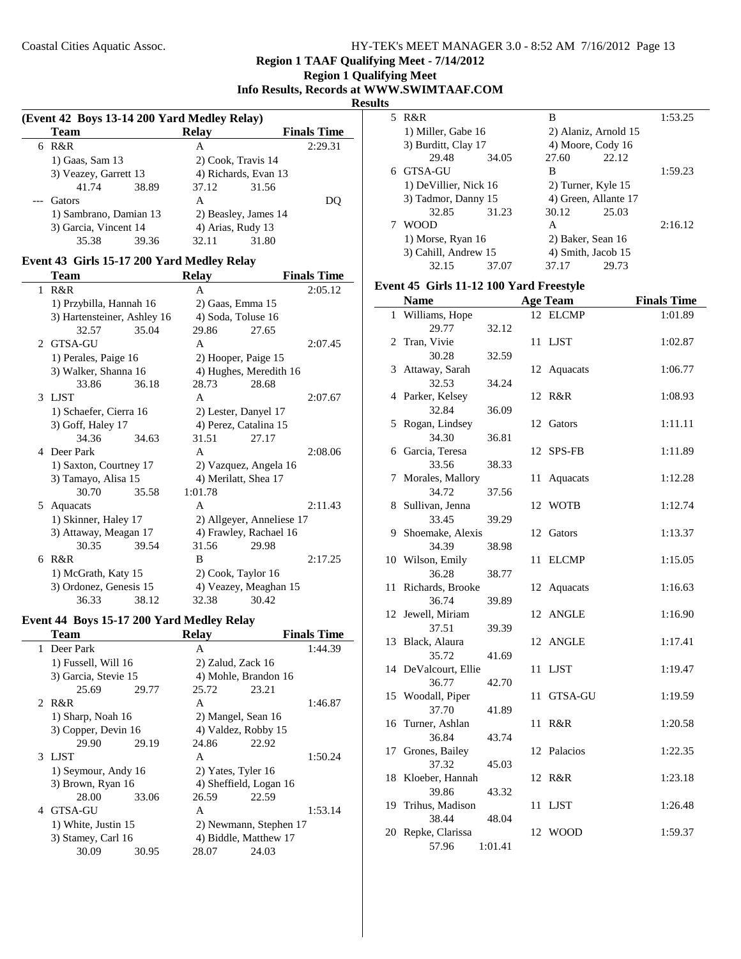# **Region 1 Qualifying Meet Info Results, Records at WWW.SWIMTAAF.COM**

**Results**

|   | (Event 42 Boys 13-14 200 Yard Medley Relay)     |       |                      |                    |                    |  |  |
|---|-------------------------------------------------|-------|----------------------|--------------------|--------------------|--|--|
|   | <b>Team</b>                                     |       | <b>Relay</b>         |                    | <b>Finals Time</b> |  |  |
| 6 | R&R                                             |       | А                    |                    | 2:29.31            |  |  |
|   | 1) Gaas, Sam 13                                 |       |                      | 2) Cook, Travis 14 |                    |  |  |
|   | 3) Veazey, Garrett 13                           |       | 4) Richards, Evan 13 |                    |                    |  |  |
|   | 41.74                                           | 38.89 | 37.12                | 31.56              |                    |  |  |
|   | Gators                                          |       | A                    |                    | DC                 |  |  |
|   | 1) Sambrano, Damian 13<br>3) Garcia, Vincent 14 |       | 2) Beasley, James 14 |                    |                    |  |  |
|   |                                                 |       |                      | 4) Arias, Rudy 13  |                    |  |  |
|   | 35.38                                           | 39.36 | 32.11                | 31.80              |                    |  |  |

# **Event 43 Girls 15-17 200 Yard Medley Relay**

|   | Team                        |       | <b>Relay</b>          |                           | <b>Finals Time</b> |
|---|-----------------------------|-------|-----------------------|---------------------------|--------------------|
| 1 | R&R                         |       | A                     |                           | 2:05.12            |
|   | 1) Przybilla, Hannah 16     |       | 2) Gaas, Emma 15      |                           |                    |
|   | 3) Hartensteiner, Ashley 16 |       | 4) Soda, Toluse 16    |                           |                    |
|   | 32.57                       | 35.04 | 29.86                 | 27.65                     |                    |
|   | 2 GTSA-GU                   |       | A                     |                           | 2:07.45            |
|   | 1) Perales, Paige 16        |       | 2) Hooper, Paige 15   |                           |                    |
|   | 3) Walker, Shanna 16        |       |                       | 4) Hughes, Meredith 16    |                    |
|   | 33.86                       | 36.18 | 28.73                 | 28.68                     |                    |
|   | 3 LJST                      |       | A                     |                           | 2:07.67            |
|   | 1) Schaefer, Cierra 16      |       | 2) Lester, Danyel 17  |                           |                    |
|   | 3) Goff, Haley 17           |       | 4) Perez, Catalina 15 |                           |                    |
|   | 34.36                       | 34.63 | 31.51                 | 27.17                     |                    |
| 4 | Deer Park                   |       | A                     |                           | 2:08.06            |
|   | 1) Saxton, Courtney 17      |       |                       | 2) Vazquez, Angela 16     |                    |
|   | 3) Tamayo, Alisa 15         |       | 4) Merilatt, Shea 17  |                           |                    |
|   | 30.70                       | 35.58 | 1:01.78               |                           |                    |
|   | 5 Aquacats                  |       | A                     |                           | 2:11.43            |
|   | 1) Skinner, Haley 17        |       |                       | 2) Allgeyer, Anneliese 17 |                    |
|   | 3) Attaway, Meagan 17       |       |                       | 4) Frawley, Rachael 16    |                    |
|   | 30.35                       | 39.54 | 31.56                 | 29.98                     |                    |
| 6 | R&R                         |       | B                     |                           | 2:17.25            |
|   | 1) McGrath, Katy 15         |       | 2) Cook, Taylor 16    |                           |                    |
|   | 3) Ordonez, Genesis 15      |       |                       | 4) Veazey, Meaghan 15     |                    |
|   | 36.33                       | 38.12 | 32.38                 | 30.42                     |                    |

# **Event 44 Boys 15-17 200 Yard Medley Relay**

|   | Team                 |       | <b>Relay</b>       |                        | <b>Finals Time</b> |
|---|----------------------|-------|--------------------|------------------------|--------------------|
| 1 | Deer Park            |       | A                  |                        | 1:44.39            |
|   | 1) Fussell, Will 16  |       | 2) Zalud, Zack 16  |                        |                    |
|   | 3) Garcia, Stevie 15 |       |                    | 4) Mohle, Brandon 16   |                    |
|   | 25.69                | 29.77 | 25.72              | 23.21                  |                    |
|   | 2 R&R                |       | A                  |                        | 1:46.87            |
|   | 1) Sharp, Noah 16    |       |                    | 2) Mangel, Sean 16     |                    |
|   | 3) Copper, Devin 16  |       |                    | 4) Valdez, Robby 15    |                    |
|   | 29.90                | 29.19 | 24.86              | 22.92                  |                    |
|   | 3 LIST               |       | A                  |                        | 1:50.24            |
|   | 1) Seymour, Andy 16  |       | 2) Yates, Tyler 16 |                        |                    |
|   | 3) Brown, Ryan 16    |       |                    | 4) Sheffield, Logan 16 |                    |
|   | 28.00                | 33.06 | 26.59              | 22.59                  |                    |
|   | 4 GTSA-GU            |       | A                  |                        | 1:53.14            |
|   | 1) White, Justin 15  |       |                    | 2) Newmann, Stephen 17 |                    |
|   | 3) Stamey, Carl 16   |       |                    | 4) Biddle, Matthew 17  |                    |
|   | 30.09                | 30.95 | 28.07              | 24.03                  |                    |
|   |                      |       |                    |                        |                    |

| 5 R&R                 |       | В     |                      | 1:53.25 |
|-----------------------|-------|-------|----------------------|---------|
| 1) Miller, Gabe 16    |       |       | 2) Alaniz, Arnold 15 |         |
| 3) Burditt, Clay 17   |       |       | 4) Moore, Cody 16    |         |
| 29.48                 | 34.05 | 27.60 | 22.12                |         |
| 6 GTSA-GU             |       | В     |                      | 1:59.23 |
| 1) DeVillier, Nick 16 |       |       | 2) Turner, Kyle 15   |         |
| 3) Tadmor, Danny 15   |       |       | 4) Green, Allante 17 |         |
| 32.85                 | 31.23 | 30.12 | 25.03                |         |
| <b>WOOD</b>           |       | A     |                      | 2:16.12 |
| 1) Morse, Ryan 16     |       |       | 2) Baker, Sean 16    |         |
| 3) Cahill, Andrew 15  |       |       | 4) Smith, Jacob 15   |         |
| 32.15                 | 37.07 | 37.17 | 29.73                |         |

#### **Event 45 Girls 11-12 100 Yard Freestyle**

|              | <b>Name</b>                |         |    | <b>Age Team</b> | <b>Finals Time</b> |
|--------------|----------------------------|---------|----|-----------------|--------------------|
| $\mathbf{1}$ | Williams, Hope             |         | 12 | <b>ELCMP</b>    | 1:01.89            |
|              | 29.77                      | 32.12   |    |                 |                    |
| 2            | Tran, Vivie                |         | 11 | <b>LJST</b>     | 1:02.87            |
|              | 30.28                      | 32.59   |    |                 |                    |
|              | 3 Attaway, Sarah           |         |    | 12 Aquacats     | 1:06.77            |
|              | 32.53                      | 34.24   |    |                 |                    |
| 4            | Parker, Kelsey             |         | 12 | R&R             | 1:08.93            |
|              | 32.84                      | 36.09   |    |                 |                    |
| 5            | Rogan, Lindsey             |         | 12 | Gators          | 1:11.11            |
|              | 34.30                      | 36.81   |    |                 |                    |
| 6            | Garcia, Teresa             |         |    | 12 SPS-FB       | 1:11.89            |
|              | 33.56                      | 38.33   |    |                 |                    |
| 7            | Morales, Mallory           |         | 11 | Aquacats        | 1:12.28            |
|              | 34.72                      | 37.56   |    |                 |                    |
|              | 8 Sullivan, Jenna          |         |    | 12 WOTB         | 1:12.74            |
|              | 33.45                      | 39.29   |    |                 |                    |
| 9            | Shoemake, Alexis           |         | 12 | Gators          | 1:13.37            |
|              | 34.39                      | 38.98   |    |                 |                    |
|              | 10 Wilson, Emily           |         | 11 | <b>ELCMP</b>    | 1:15.05            |
|              | 36.28                      | 38.77   |    |                 |                    |
| 11           | Richards, Brooke           |         | 12 | Aquacats        | 1:16.63            |
|              | 36.74                      | 39.89   |    |                 |                    |
|              | 12 Jewell, Miriam<br>37.51 |         | 12 | ANGLE           | 1:16.90            |
| 13           | Black, Alaura              | 39.39   |    | 12 ANGLE        | 1:17.41            |
|              | 35.72                      | 41.69   |    |                 |                    |
|              | 14 DeValcourt, Ellie       |         | 11 | <b>LJST</b>     | 1:19.47            |
|              | 36.77                      | 42.70   |    |                 |                    |
|              | 15 Woodall, Piper          |         | 11 | GTSA-GU         | 1:19.59            |
|              | 37.70                      | 41.89   |    |                 |                    |
| 16           | Turner, Ashlan             |         | 11 | R&R             | 1:20.58            |
|              | 36.84                      | 43.74   |    |                 |                    |
| 17           | Grones, Bailey             |         | 12 | Palacios        | 1:22.35            |
|              | 37.32                      | 45.03   |    |                 |                    |
| 18           | Kloeber, Hannah            |         |    | 12 R&R          | 1:23.18            |
|              | 39.86                      | 43.32   |    |                 |                    |
| 19           | Trihus, Madison            |         | 11 | <b>LJST</b>     | 1:26.48            |
|              | 38.44                      | 48.04   |    |                 |                    |
| 20           | Repke, Clarissa            |         | 12 | WOOD            | 1:59.37            |
|              | 57.96                      | 1:01.41 |    |                 |                    |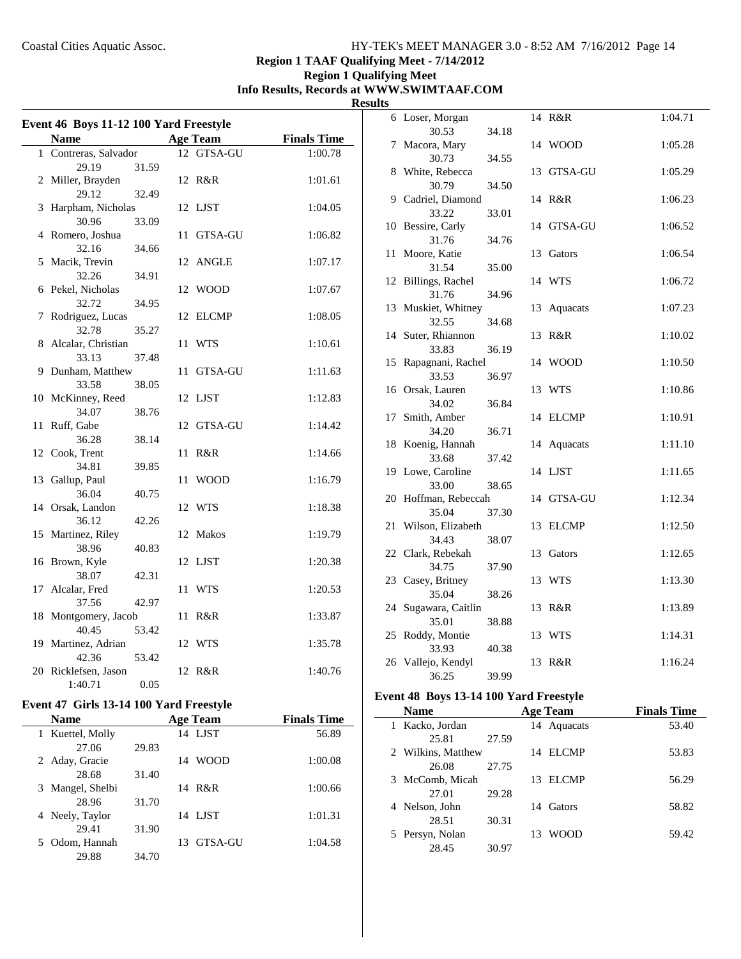# **Region 1 TAAF Qualifying Meet - 7/14/2012**

## **Region 1 Qualifying Meet Info Results, Records at WWW.SWIMTAAF.COM Results**

| Event 46 Boys 11-12 100 Yard Freestyle |                 |                    | 6 Loser, Morgan               |    |
|----------------------------------------|-----------------|--------------------|-------------------------------|----|
|                                        |                 |                    | 30.53                         | 34 |
| <b>Name</b>                            | <b>Age Team</b> | <b>Finals Time</b> | 7 Macora, Mary                |    |
| 1 Contreras, Salvador                  | 12 GTSA-GU      | 1:00.78            | 30.73                         | 34 |
| 29.19<br>31.59                         |                 |                    | 8 White, Rebecca              |    |
| 2 Miller, Brayden                      | 12 R&R          | 1:01.61            | 30.79                         | 34 |
| 29.12<br>32.49                         |                 |                    | 9 Cadriel, Diamond            |    |
| 3 Harpham, Nicholas                    | 12 LJST         | 1:04.05            | 33.22                         | 33 |
| 30.96<br>33.09                         |                 |                    | 10 Bessire, Carly             |    |
| 4 Romero, Joshua                       | 11 GTSA-GU      | 1:06.82            | 31.76                         | 34 |
| 32.16<br>34.66                         |                 |                    | 11 Moore, Katie               |    |
| 5 Macik, Trevin                        | 12 ANGLE        | 1:07.17            | 31.54                         | 35 |
| 32.26<br>34.91                         |                 |                    | 12 Billings, Rachel           |    |
| 6 Pekel, Nicholas                      | 12 WOOD         | 1:07.67            | 31.76                         | 34 |
| 32.72<br>34.95                         |                 |                    | 13 Muskiet, Whitney           |    |
| 7 Rodriguez, Lucas                     | 12 ELCMP        | 1:08.05            | 32.55                         | 34 |
| 32.78<br>35.27                         |                 |                    | 14 Suter, Rhiannon            |    |
| 8 Alcalar, Christian                   | 11 WTS          | 1:10.61            | 33.83                         | 36 |
| 33.13<br>37.48                         |                 |                    | 15 Rapagnani, Rachel          |    |
| 9 Dunham, Matthew                      | 11 GTSA-GU      | 1:11.63            | 33.53                         | 36 |
| 33.58<br>38.05                         |                 |                    | 16 Orsak, Lauren              |    |
| 10 McKinney, Reed                      | 12 LJST         | 1:12.83            | 34.02                         | 36 |
| 34.07<br>38.76                         |                 |                    | 17 Smith, Amber               |    |
| 11 Ruff, Gabe                          | 12 GTSA-GU      | 1:14.42            | 34.20                         | 36 |
| 36.28<br>38.14                         |                 |                    | 18 Koenig, Hannah             |    |
| 12 Cook, Trent                         | 11 R&R          | 1:14.66            | 33.68                         | 37 |
| 34.81<br>39.85                         |                 |                    | 19 Lowe, Caroline             |    |
| 13 Gallup, Paul                        | 11 WOOD         | 1:16.79            | 33.00                         | 38 |
| 36.04<br>40.75                         |                 |                    | 20 Hoffman, Rebeccah          |    |
| 14 Orsak, Landon                       | 12 WTS          | 1:18.38            | 35.04                         | 37 |
| 36.12<br>42.26                         |                 |                    | 21 Wilson, Elizabeth          |    |
| 15 Martinez, Riley                     | 12 Makos        | 1:19.79            | 34.43                         | 38 |
| 38.96<br>40.83                         |                 |                    | 22 Clark, Rebekah             |    |
| 16 Brown, Kyle                         | 12 LJST         | 1:20.38            | 34.75                         | 37 |
| 38.07<br>42.31                         |                 |                    | 23 Casey, Britney             |    |
| 17 Alcalar, Fred                       | 11 WTS          | 1:20.53            | 35.04                         | 38 |
| 37.56<br>42.97                         |                 |                    | 24 Sugawara, Caitlin          |    |
| 18 Montgomery, Jacob                   | 11 R&R          | 1:33.87            | 35.01                         | 38 |
| 53.42<br>40.45                         |                 |                    | 25 Roddy, Montie              |    |
| 19 Martinez, Adrian                    | 12 WTS          | 1:35.78            | 33.93                         | 40 |
| 42.36<br>53.42                         |                 |                    | 26 Vallejo, Kendyl            |    |
| 20 Ricklefsen, Jason                   | 12 R&R          | 1:40.76            | 36.25                         | 39 |
| 1:40.71<br>0.05                        |                 |                    |                               |    |
|                                        |                 |                    | <b>Event 48 Boys 13-14 10</b> |    |

# **Event 47 Girls 13-14 100 Yard Freestyle**

| <b>Name</b>        |       | <b>Age Team</b>   | <b>Finals Time</b> |
|--------------------|-------|-------------------|--------------------|
| 1 Kuettel, Molly   |       | 14 LJST           | 56.89              |
| 27.06              | 29.83 |                   |                    |
| 2 Aday, Gracie     |       | <b>WOOD</b><br>14 | 1:00.08            |
| 28.68              | 31.40 |                   |                    |
| 3 Mangel, Shelbi   |       | 14 R&R            | 1:00.66            |
| 28.96              | 31.70 |                   |                    |
| 4 Neely, Taylor    |       | 14 LJST           | 1:01.31            |
| 29.41              | 31.90 |                   |                    |
| Odom, Hannah<br>5. |       | GTSA-GU<br>13.    | 1:04.58            |
| 29.88              | 34.70 |                   |                    |

|    | 6 Loser, Morgan            |       |    | 14 R&R       | 1:04.71 |
|----|----------------------------|-------|----|--------------|---------|
|    | 30.53                      | 34.18 |    |              |         |
|    | 7 Macora, Mary             |       |    | 14 WOOD      | 1:05.28 |
|    | 30.73                      | 34.55 |    |              |         |
|    | 8 White, Rebecca           |       | 13 | GTSA-GU      | 1:05.29 |
|    | 30.79                      | 34.50 |    |              |         |
|    | 9 Cadriel, Diamond         |       |    | 14 R&R       | 1:06.23 |
|    | 33.22                      | 33.01 |    |              |         |
| 10 | Bessire, Carly<br>31.76    | 34.76 |    | 14 GTSA-GU   | 1:06.52 |
| 11 | Moore, Katie               |       | 13 | Gators       | 1:06.54 |
|    | 31.54                      | 35.00 |    |              |         |
| 12 | Billings, Rachel           |       |    | 14 WTS       | 1:06.72 |
|    | 31.76                      | 34.96 |    |              |         |
| 13 | Muskiet, Whitney           |       | 13 | Aquacats     | 1:07.23 |
|    | 32.55                      | 34.68 |    |              |         |
| 14 | Suter, Rhiannon            |       | 13 | R&R          | 1:10.02 |
|    | 33.83                      | 36.19 |    |              |         |
| 15 | Rapagnani, Rachel          |       |    | 14 WOOD      | 1:10.50 |
|    | 33.53                      | 36.97 |    |              |         |
|    | 16 Orsak, Lauren           |       |    | 13 WTS       | 1:10.86 |
|    | 34.02                      | 36.84 |    |              |         |
| 17 | Smith, Amber               |       |    | 14 ELCMP     | 1:10.91 |
|    | 34.20                      | 36.71 |    |              |         |
| 18 | Koenig, Hannah             |       |    | 14 Aquacats  | 1:11.10 |
|    | 33.68                      | 37.42 |    |              |         |
|    | 19 Lowe, Caroline<br>33.00 | 38.65 |    | 14 LJST      | 1:11.65 |
| 20 | Hoffman, Rebeccah          |       |    | 14 GTSA-GU   | 1:12.34 |
|    | 35.04                      | 37.30 |    |              |         |
| 21 | Wilson, Elizabeth          |       | 13 | <b>ELCMP</b> | 1:12.50 |
|    | 34.43                      | 38.07 |    |              |         |
| 22 | Clark, Rebekah             |       | 13 | Gators       | 1:12.65 |
|    | 34.75                      | 37.90 |    |              |         |
|    | 23 Casey, Britney          |       | 13 | <b>WTS</b>   | 1:13.30 |
|    | 35.04                      | 38.26 |    |              |         |
| 24 | Sugawara, Caitlin          |       | 13 | R&R          | 1:13.89 |
|    | 35.01                      | 38.88 |    |              |         |
| 25 | Roddy, Montie              |       | 13 | <b>WTS</b>   | 1:14.31 |
|    | 33.93                      | 40.38 |    |              |         |
|    | 26 Vallejo, Kendyl         |       | 13 | R&R          | 1:16.24 |
|    | 36.25                      | 39.99 |    |              |         |
|    |                            |       |    |              |         |

# **Event 48 Boys 13-14 100 Yard Freestyle**

| <b>Name</b>        | <b>Age Team</b> |    |              | <b>Finals Time</b> |
|--------------------|-----------------|----|--------------|--------------------|
| Kacko, Jordan      |                 | 14 | Aquacats     | 53.40              |
| 25.81              | 27.59           |    |              |                    |
| 2 Wilkins, Matthew |                 |    | 14 ELCMP     | 53.83              |
| 26.08              | 27.75           |    |              |                    |
| 3 McComb, Micah    |                 | 13 | <b>ELCMP</b> | 56.29              |
| 27.01              | 29.28           |    |              |                    |
| 4 Nelson, John     |                 | 14 | Gators       | 58.82              |
| 28.51              | 30.31           |    |              |                    |
| 5 Persyn, Nolan    |                 | 13 | <b>WOOD</b>  | 59.42              |
| 28.45              | 30.97           |    |              |                    |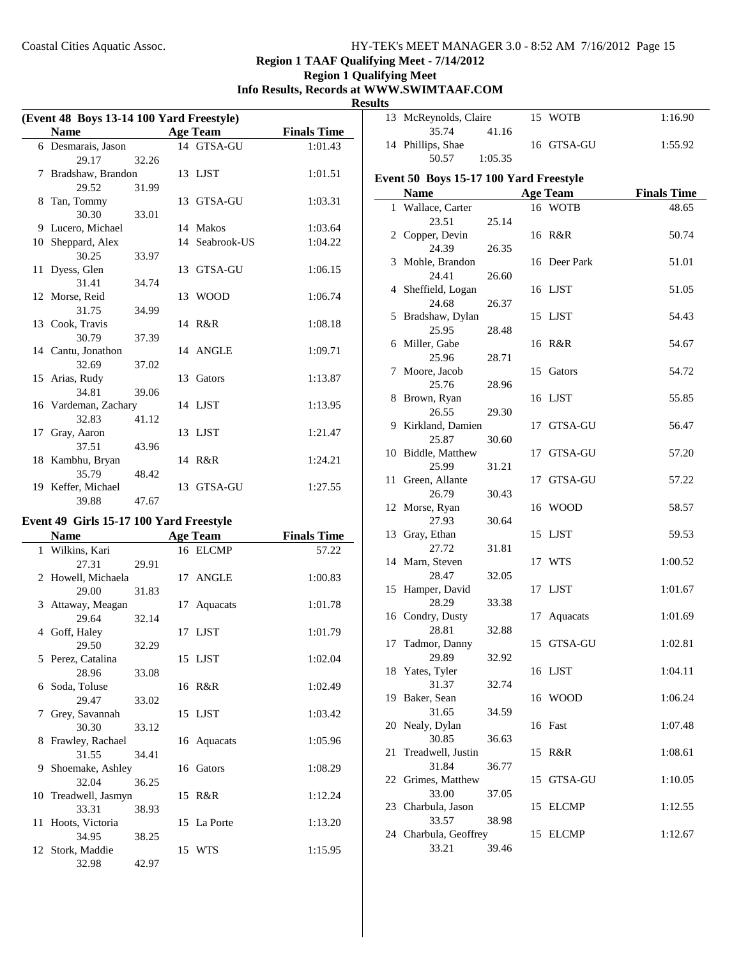# **Region 1 TAAF Qualifying Meet - 7/14/2012**

#### **Region 1 Qualifying Meet Info Results, Records at WWW.SWIMTAAF.COM Resul**

| (Event 48 Boys 13-14 100 Yard Freestyle) |                      |       |  |                 |                    |
|------------------------------------------|----------------------|-------|--|-----------------|--------------------|
|                                          | <b>Name</b>          |       |  | <b>Age Team</b> | <b>Finals Time</b> |
|                                          | 6 Desmarais, Jason   |       |  | 14 GTSA-GU      | 1:01.43            |
|                                          | 29.17                | 32.26 |  |                 |                    |
| 7                                        | Bradshaw, Brandon    |       |  | 13 LJST         | 1:01.51            |
|                                          | 29.52                | 31.99 |  |                 |                    |
| 8                                        | Tan, Tommy           |       |  | 13 GTSA-GU      | 1:03.31            |
|                                          | 30.30                | 33.01 |  |                 |                    |
|                                          | 9 Lucero, Michael    |       |  | 14 Makos        | 1:03.64            |
| 10                                       | Sheppard, Alex       |       |  | 14 Seabrook-US  | 1:04.22            |
|                                          | 30.25                | 33.97 |  |                 |                    |
|                                          | 11 Dyess, Glen       |       |  | 13 GTSA-GU      | 1:06.15            |
|                                          | 31.41                | 34.74 |  |                 |                    |
|                                          | 12 Morse, Reid       |       |  | 13 WOOD         | 1:06.74            |
|                                          | 31.75                | 34.99 |  |                 |                    |
|                                          | 13 Cook, Travis      |       |  | 14 R&R          | 1:08.18            |
|                                          | 30.79                | 37.39 |  |                 |                    |
|                                          | 14 Cantu, Jonathon   |       |  | 14 ANGLE        | 1:09.71            |
|                                          | 32.69                | 37.02 |  |                 |                    |
|                                          | 15 Arias, Rudy       |       |  | 13 Gators       | 1:13.87            |
|                                          | 34.81                | 39.06 |  |                 |                    |
|                                          | 16 Vardeman, Zachary |       |  | 14 LJST         | 1:13.95            |
|                                          | 32.83                | 41.12 |  |                 |                    |
| 17                                       | Gray, Aaron          |       |  | 13 LJST         | 1:21.47            |
|                                          | 37.51                | 43.96 |  |                 |                    |
|                                          | 18 Kambhu, Bryan     |       |  | 14 R&R          | 1:24.21            |
|                                          | 35.79                | 48.42 |  |                 |                    |
|                                          | 19 Keffer, Michael   |       |  | 13 GTSA-GU      | 1:27.55            |
|                                          | 39.88                | 47.67 |  |                 |                    |

#### **Event 49 Girls 15-17 100 Yard Freestyle**

|             | <b>Name</b>          |       | <b>Age Team</b> | <b>Finals Time</b> |
|-------------|----------------------|-------|-----------------|--------------------|
|             | 1 Wilkins, Kari      |       | 16 ELCMP        | 57.22              |
|             | 27.31                | 29.91 |                 |                    |
|             | 2 Howell, Michaela   |       | 17 ANGLE        | 1:00.83            |
|             | 29.00                | 31.83 |                 |                    |
|             | 3 Attaway, Meagan    |       | 17 Aquacats     | 1:01.78            |
|             | 29.64                | 32.14 |                 |                    |
|             | 4 Goff, Haley        |       | 17 LJST         | 1:01.79            |
|             | 29.50                | 32.29 |                 |                    |
|             | 5 Perez, Catalina    |       | 15 LJST         | 1:02.04            |
|             | 28.96                | 33.08 |                 |                    |
|             | 6 Soda, Toluse       |       | 16 R&R          | 1:02.49            |
|             | 29.47                | 33.02 |                 |                    |
| $7^{\circ}$ | Grey, Savannah       |       | 15 LJST         | 1:03.42            |
|             | 30.30                | 33.12 |                 |                    |
| 8           | Frawley, Rachael     |       | 16 Aquacats     | 1:05.96            |
|             | 31.55                | 34.41 |                 |                    |
|             | 9 Shoemake, Ashley   |       | 16 Gators       | 1:08.29            |
|             | 32.04                | 36.25 |                 |                    |
|             | 10 Treadwell, Jasmyn |       | 15 R&R          | 1:12.24            |
|             | 33.31                | 38.93 |                 |                    |
|             | 11 Hoots, Victoria   |       | 15 La Porte     | 1:13.20            |
|             | 34.95                | 38.25 |                 |                    |
|             | 12 Stork, Maddie     |       | 15 WTS          | 1:15.95            |
|             | 32.98                | 42.97 |                 |                    |

| ults                                   |                                |         |    |                 |                    |  |  |
|----------------------------------------|--------------------------------|---------|----|-----------------|--------------------|--|--|
|                                        | 13 McReynolds, Claire<br>35.74 | 41.16   |    | 15 WOTB         | 1:16.90            |  |  |
|                                        | 14 Phillips, Shae              |         |    | 16 GTSA-GU      | 1:55.92            |  |  |
|                                        | 50.57                          | 1:05.35 |    |                 |                    |  |  |
| Event 50 Boys 15-17 100 Yard Freestyle |                                |         |    |                 |                    |  |  |
|                                        | <b>Name</b>                    |         |    | <b>Age Team</b> | <b>Finals Time</b> |  |  |
|                                        | 1 Wallace, Carter              |         |    | 16 WOTB         | 48.65              |  |  |
|                                        | 23.51                          | 25.14   |    |                 |                    |  |  |
|                                        | 2 Copper, Devin                |         |    | 16 R&R          | 50.74              |  |  |
|                                        | 24.39                          | 26.35   |    |                 |                    |  |  |
|                                        | 3 Mohle, Brandon               |         |    | 16 Deer Park    | 51.01              |  |  |
|                                        | 24.41                          | 26.60   |    |                 |                    |  |  |
|                                        | 4 Sheffield, Logan             |         |    | 16 LJST         | 51.05              |  |  |
|                                        | 24.68                          | 26.37   |    |                 |                    |  |  |
| 5                                      | Bradshaw, Dylan                |         |    | 15 LJST         | 54.43              |  |  |
|                                        | 25.95                          | 28.48   |    |                 |                    |  |  |
|                                        | 6 Miller, Gabe                 |         |    | 16 R&R          | 54.67              |  |  |
|                                        | 25.96                          | 28.71   |    |                 |                    |  |  |
|                                        | 7 Moore, Jacob                 |         | 15 | Gators          | 54.72              |  |  |
|                                        | 25.76                          | 28.96   |    |                 |                    |  |  |
|                                        | 8 Brown, Ryan<br>26.55         |         |    | 16 LJST         | 55.85              |  |  |
|                                        | 9 Kirkland, Damien             | 29.30   |    | 17 GTSA-GU      | 56.47              |  |  |
|                                        | 25.87                          | 30.60   |    |                 |                    |  |  |
|                                        | 10 Biddle, Matthew             |         | 17 | GTSA-GU         | 57.20              |  |  |
|                                        | 25.99                          | 31.21   |    |                 |                    |  |  |
|                                        | 11 Green, Allante              |         |    | 17 GTSA-GU      | 57.22              |  |  |
|                                        | 26.79                          | 30.43   |    |                 |                    |  |  |
|                                        | 12 Morse, Ryan                 |         |    | 16 WOOD         | 58.57              |  |  |
|                                        | 27.93                          | 30.64   |    |                 |                    |  |  |
| 13                                     | Gray, Ethan                    |         | 15 | LJST            | 59.53              |  |  |
|                                        | 27.72                          | 31.81   |    |                 |                    |  |  |
|                                        | 14 Marn, Steven                |         | 17 | WTS             | 1:00.52            |  |  |
|                                        | 28.47                          | 32.05   |    |                 |                    |  |  |
| 15                                     | Hamper, David                  |         |    | 17 LJST         | 1:01.67            |  |  |
|                                        | 28.29                          | 33.38   |    |                 |                    |  |  |
|                                        | 16 Condry, Dusty               |         | 17 | Aquacats        | 1:01.69            |  |  |
|                                        | 28.81                          | 32.88   |    |                 |                    |  |  |
|                                        | 17 Tadmor, Danny               |         |    | 15 GTSA-GU      | 1:02.81            |  |  |
| 18                                     | 29.89<br>Yates, Tyler          | 32.92   |    | 16 LJST         | 1:04.11            |  |  |
|                                        | 31.37                          | 32.74   |    |                 |                    |  |  |
| 19                                     | Baker, Sean                    |         |    | 16 WOOD         | 1:06.24            |  |  |
|                                        | 31.65                          | 34.59   |    |                 |                    |  |  |
| 20                                     | Nealy, Dylan                   |         |    | 16 Fast         | 1:07.48            |  |  |
|                                        | 30.85                          | 36.63   |    |                 |                    |  |  |
| 21                                     | Treadwell, Justin              |         | 15 | R&R             | 1:08.61            |  |  |
|                                        | 31.84                          | 36.77   |    |                 |                    |  |  |
|                                        | 22 Grimes, Matthew             |         |    | 15 GTSA-GU      | 1:10.05            |  |  |
|                                        | 33.00                          | 37.05   |    |                 |                    |  |  |
|                                        | 23 Charbula, Jason             |         |    | 15 ELCMP        | 1:12.55            |  |  |
|                                        | 33.57                          | 38.98   |    |                 |                    |  |  |
|                                        | 24 Charbula, Geoffrey          |         |    | 15 ELCMP        | 1:12.67            |  |  |
|                                        | 33.21                          | 39.46   |    |                 |                    |  |  |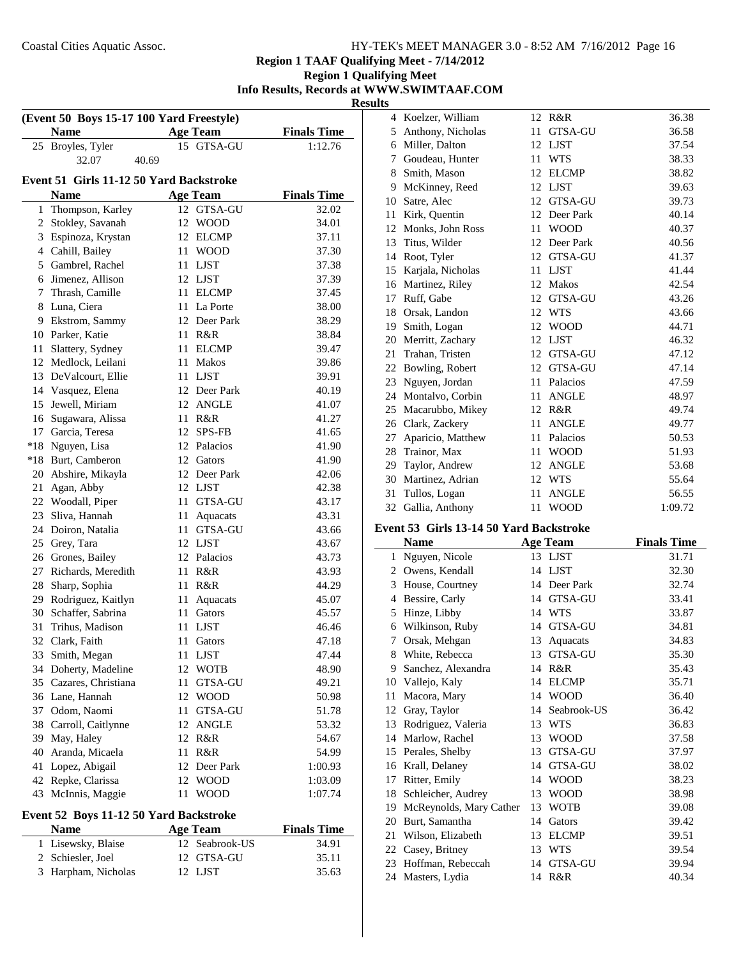**Region 1 TAAF Qualifying Meet - 7/14/2012**

## **Region 1 Qualifying Meet Info Results, Records at WWW.SWIMTAAF.COM Results**

| (Event 50 Boys 15-17 100 Yard Freestyle) |                                         |            |                            |                    |  |
|------------------------------------------|-----------------------------------------|------------|----------------------------|--------------------|--|
|                                          | <b>Name</b>                             |            | <b>Age Team</b>            | <b>Finals Time</b> |  |
| 25                                       | Broyles, Tyler                          |            | 15 GTSA-GU                 | 1:12.76            |  |
|                                          | 32.07<br>40.69                          |            |                            |                    |  |
|                                          | Event 51 Girls 11-12 50 Yard Backstroke |            |                            |                    |  |
|                                          | Name                                    |            | <b>Age Team</b>            | <b>Finals Time</b> |  |
| 1                                        | Thompson, Karley                        |            | 12 GTSA-GU                 | 32.02              |  |
| 2                                        | Stokley, Savanah                        | 12         | <b>WOOD</b>                | 34.01              |  |
| 3                                        | Espinoza, Krystan                       |            | 12 ELCMP                   | 37.11              |  |
|                                          | 4 Cahill, Bailey                        | 11 -       | <b>WOOD</b>                | 37.30              |  |
|                                          | 5 Gambrel, Rachel                       |            | 11 LJST                    | 37.38              |  |
|                                          | 6 Jimenez, Allison                      |            | 12 LJST                    | 37.39              |  |
|                                          | 7 Thrash, Camille                       |            | 11 ELCMP                   | 37.45              |  |
| 8                                        | Luna, Ciera                             |            | 11 La Porte                | 38.00              |  |
| 9                                        | Ekstrom, Sammy                          |            | 12 Deer Park               | 38.29              |  |
| 10                                       | Parker, Katie                           | 11 -       | R&R                        | 38.84              |  |
| 11                                       | Slattery, Sydney                        |            | 11 ELCMP                   | 39.47              |  |
| 12                                       | Medlock, Leilani                        | 11         | Makos                      | 39.86              |  |
| 13                                       | DeValcourt, Ellie                       |            | 11 LJST                    | 39.91              |  |
| 14                                       | Vasquez, Elena                          |            | 12 Deer Park               | 40.19              |  |
| 15                                       | Jewell, Miriam                          |            | 12 ANGLE                   | 41.07              |  |
| 16                                       | Sugawara, Alissa                        | 11 -       | R&R                        | 41.27              |  |
| 17                                       | Garcia, Teresa                          |            | 12 SPS-FB                  | 41.65              |  |
| $*18$                                    | Nguyen, Lisa                            |            | 12 Palacios                | 41.90              |  |
| $*18$                                    | Burt, Camberon                          |            | 12 Gators                  | 41.90              |  |
|                                          | 20 Abshire, Mikayla                     |            | 12 Deer Park               | 42.06              |  |
| 21                                       | Agan, Abby                              |            | 12 LJST                    | 42.38              |  |
| 22                                       | Woodall, Piper                          | 11         | <b>GTSA-GU</b>             | 43.17              |  |
| 23                                       |                                         |            |                            | 43.31              |  |
| 24                                       | Sliva, Hannah<br>Doiron, Natalia        | 11<br>11-  | Aquacats<br>GTSA-GU        | 43.66              |  |
| 25                                       |                                         |            | 12 LJST                    |                    |  |
| 26                                       | Grey, Tara                              |            | 12 Palacios                | 43.67              |  |
| 27                                       | Grones, Bailey                          |            | R&R                        | 43.73              |  |
| 28                                       | Richards, Meredith                      | 11<br>11 - | R&R                        | 43.93              |  |
| 29                                       | Sharp, Sophia<br>Rodriguez, Kaitlyn     |            |                            | 44.29              |  |
| 30                                       | Schaffer, Sabrina                       | 11<br>11 - | Aquacats<br>Gators         | 45.07<br>45.57     |  |
| 31                                       |                                         | 11         |                            |                    |  |
| 32                                       | Trihus, Madison<br>Clark, Faith         | 11         | <b>LJST</b><br>Gators      | 46.46              |  |
| 33                                       | Smith, Megan                            |            | <b>LJST</b>                | 47.18<br>47.44     |  |
| 34                                       |                                         | 11<br>12   |                            |                    |  |
| 35                                       | Doherty, Madeline                       |            | <b>WOTB</b>                | 48.90              |  |
| 36                                       | Cazares, Christiana                     | 11<br>12   | GTSA-GU                    | 49.21              |  |
|                                          | Lane, Hannah                            |            | <b>WOOD</b>                | 50.98              |  |
| 37<br>38                                 | Odom, Naomi                             | 11<br>12   | GTSA-GU                    | 51.78              |  |
|                                          | Carroll, Caitlynne                      |            | <b>ANGLE</b>               | 53.32              |  |
| 39                                       | May, Haley                              |            | 12 R&R                     | 54.67              |  |
| 40                                       | Aranda, Micaela                         | 11         | R&R                        | 54.99              |  |
| 41                                       | Lopez, Abigail                          | 12         | Deer Park                  | 1:00.93            |  |
| 42<br>43                                 | Repke, Clarissa                         | 12         | <b>WOOD</b><br><b>WOOD</b> | 1:03.09            |  |
|                                          | McInnis, Maggie                         | 11         |                            | 1:07.74            |  |

# **Event 52 Boys 11-12 50 Yard Backstroke**

 $\overline{a}$ 

| <b>Name</b>         | Age Team       | <b>Finals Time</b> |
|---------------------|----------------|--------------------|
| 1 Lisewsky, Blaise  | 12 Seabrook-US | 34.91              |
| 2 Schiesler, Joel   | 12 GTSA-GU     | 35.11              |
| 3 Harpham, Nicholas | 12 LIST        | 35.63              |

| 4  | Koelzer, William  |    | 12 R&R         | 36.38   |
|----|-------------------|----|----------------|---------|
| 5  | Anthony, Nicholas | 11 | <b>GTSA-GU</b> | 36.58   |
| 6  | Miller, Dalton    | 12 | <b>LJST</b>    | 37.54   |
| 7  | Goudeau, Hunter   | 11 | <b>WTS</b>     | 38.33   |
| 8  | Smith, Mason      | 12 | <b>ELCMP</b>   | 38.82   |
| 9  | McKinney, Reed    | 12 | <b>LJST</b>    | 39.63   |
| 10 | Satre, Alec       |    | 12 GTSA-GU     | 39.73   |
| 11 | Kirk, Quentin     | 12 | Deer Park      | 40.14   |
| 12 | Monks, John Ross  | 11 | <b>WOOD</b>    | 40.37   |
| 13 | Titus, Wilder     | 12 | Deer Park      | 40.56   |
| 14 | Root, Tyler       | 12 | <b>GTSA-GU</b> | 41.37   |
| 15 | Karjala, Nicholas | 11 | <b>LJST</b>    | 41.44   |
| 16 | Martinez, Riley   | 12 | <b>Makos</b>   | 42.54   |
| 17 | Ruff, Gabe        | 12 | GTSA-GU        | 43.26   |
| 18 | Orsak, Landon     | 12 | <b>WTS</b>     | 43.66   |
| 19 | Smith, Logan      | 12 | <b>WOOD</b>    | 44.71   |
| 20 | Merritt, Zachary  | 12 | <b>LJST</b>    | 46.32   |
| 21 | Trahan, Tristen   | 12 | GTSA-GU        | 47.12   |
| 22 | Bowling, Robert   |    | 12 GTSA-GU     | 47.14   |
| 23 | Nguyen, Jordan    | 11 | Palacios       | 47.59   |
| 24 | Montalvo, Corbin  | 11 | <b>ANGLE</b>   | 48.97   |
| 25 | Macarubbo, Mikey  | 12 | R&R            | 49.74   |
| 26 | Clark, Zackery    | 11 | <b>ANGLE</b>   | 49.77   |
| 27 | Aparicio, Matthew | 11 | Palacios       | 50.53   |
| 28 | Trainor, Max      | 11 | <b>WOOD</b>    | 51.93   |
| 29 | Taylor, Andrew    | 12 | <b>ANGLE</b>   | 53.68   |
| 30 | Martinez, Adrian  | 12 | <b>WTS</b>     | 55.64   |
| 31 | Tullos, Logan     | 11 | <b>ANGLE</b>   | 56.55   |
| 32 | Gallia, Anthony   | 11 | <b>WOOD</b>    | 1:09.72 |

#### **Event 53 Girls 13-14 50 Yard Backstroke**

|    | <b>Name</b>             |    | <b>Age Team</b> | <b>Finals Time</b> |
|----|-------------------------|----|-----------------|--------------------|
| 1  | Nguyen, Nicole          | 13 | <b>LJST</b>     | 31.71              |
| 2  | Owens, Kendall          | 14 | LJST            | 32.30              |
| 3  | House, Courtney         | 14 | Deer Park       | 32.74              |
| 4  | Bessire, Carly          | 14 | <b>GTSA-GU</b>  | 33.41              |
| 5  | Hinze, Libby            | 14 | <b>WTS</b>      | 33.87              |
| 6  | Wilkinson, Ruby         | 14 | <b>GTSA-GU</b>  | 34.81              |
| 7  | Orsak, Mehgan           | 13 | Aquacats        | 34.83              |
| 8  | White, Rebecca          | 13 | GTSA-GU         | 35.30              |
| 9  | Sanchez, Alexandra      | 14 | R&R             | 35.43              |
| 10 | Vallejo, Kaly           | 14 | <b>ELCMP</b>    | 35.71              |
| 11 | Macora, Mary            | 14 | <b>WOOD</b>     | 36.40              |
| 12 | Gray, Taylor            | 14 | Seabrook-US     | 36.42              |
| 13 | Rodriguez, Valeria      | 13 | <b>WTS</b>      | 36.83              |
| 14 | Marlow, Rachel          | 13 | <b>WOOD</b>     | 37.58              |
| 15 | Perales, Shelby         | 13 | <b>GTSA-GU</b>  | 37.97              |
| 16 | Krall, Delaney          | 14 | <b>GTSA-GU</b>  | 38.02              |
| 17 | Ritter, Emily           | 14 | <b>WOOD</b>     | 38.23              |
| 18 | Schleicher, Audrey      | 13 | <b>WOOD</b>     | 38.98              |
| 19 | McReynolds, Mary Cather | 13 | <b>WOTB</b>     | 39.08              |
| 20 | Burt, Samantha          | 14 | Gators          | 39.42              |
| 21 | Wilson, Elizabeth       | 13 | <b>ELCMP</b>    | 39.51              |
| 22 | Casey, Britney          | 13 | <b>WTS</b>      | 39.54              |
| 23 | Hoffman, Rebeccah       | 14 | <b>GTSA-GU</b>  | 39.94              |
| 24 | Masters, Lydia          |    | 14 R&R          | 40.34              |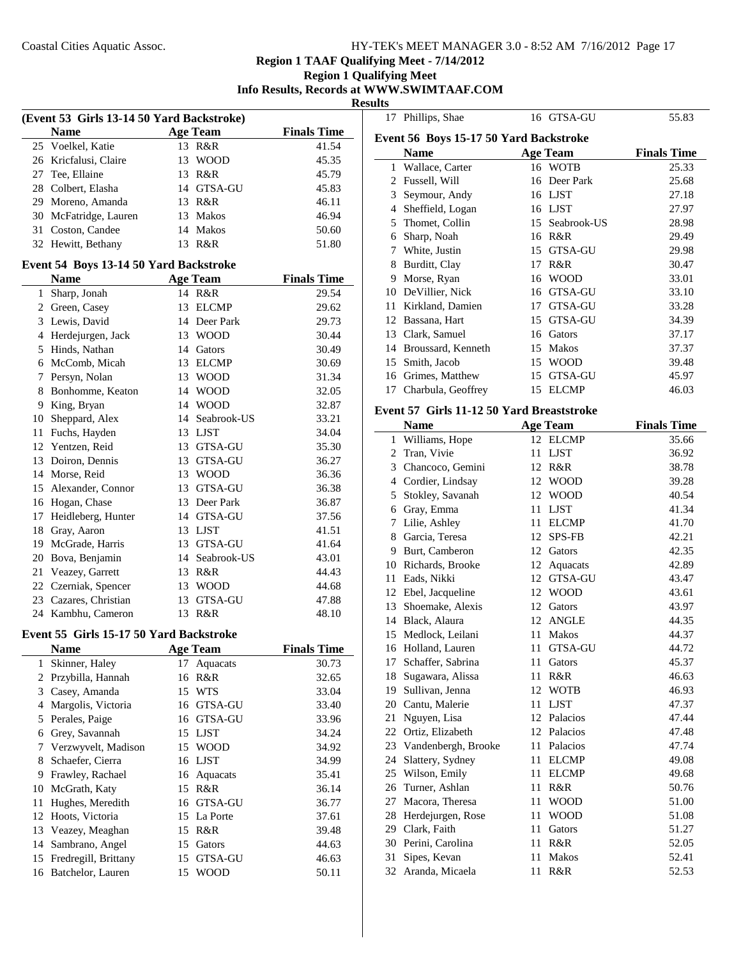# **Region 1 TAAF Qualifying Meet - 7/14/2012**

#### **Region 1 Qualifying Meet Info Results, Records at WWW.SWIMTAAF.COM**

**Results**

| (Event 53 Girls 13-14 50 Yard Backstroke) |                                         |    |                          |                    |  |
|-------------------------------------------|-----------------------------------------|----|--------------------------|--------------------|--|
|                                           | <b>Name</b>                             |    | <b>Age Team</b>          | <b>Finals Time</b> |  |
| 25                                        | Voelkel, Katie                          |    | 13 R&R                   | 41.54              |  |
|                                           | 26 Kricfalusi, Claire                   | 13 | <b>WOOD</b>              | 45.35              |  |
|                                           | 27 Tee, Ellaine                         |    | 13 R&R                   | 45.79              |  |
|                                           | 28 Colbert, Elasha                      |    | 14 GTSA-GU               | 45.83              |  |
|                                           | 29 Moreno, Amanda                       |    | 13 R&R                   | 46.11              |  |
|                                           | 30 McFatridge, Lauren                   |    | 13 Makos                 | 46.94              |  |
|                                           | 31 Coston, Candee                       |    | 14 Makos                 | 50.60              |  |
|                                           | 32 Hewitt, Bethany                      | 13 | R&R                      | 51.80              |  |
|                                           | Event 54 Boys 13-14 50 Yard Backstroke  |    |                          |                    |  |
|                                           | <b>Name</b>                             |    | <b>Age Team</b>          | <b>Finals Time</b> |  |
| 1                                         | Sharp, Jonah                            |    | 14 R&R                   | 29.54              |  |
|                                           | 2 Green, Casey                          | 13 | <b>ELCMP</b>             | 29.62              |  |
|                                           | 3 Lewis, David                          |    |                          |                    |  |
|                                           | 4 Herdejurgen, Jack                     |    | 14 Deer Park<br>13 WOOD  | 29.73              |  |
|                                           | 5 Hinds, Nathan                         |    | 14 Gators                | 30.44<br>30.49     |  |
|                                           | 6 McComb, Micah                         |    | 13 ELCMP                 | 30.69              |  |
|                                           | 7 Persyn, Nolan                         |    | 13 WOOD                  | 31.34              |  |
|                                           | 8 Bonhomme, Keaton                      |    | 14 WOOD                  | 32.05              |  |
| 9                                         | King, Bryan                             |    | 14 WOOD                  | 32.87              |  |
|                                           |                                         |    | 14 Seabrook-US           |                    |  |
|                                           | 10 Sheppard, Alex                       |    | 13 LJST                  | 33.21              |  |
|                                           | 11 Fuchs, Hayden                        |    |                          | 34.04              |  |
|                                           | 12 Yentzen, Reid<br>13 Doiron, Dennis   |    | 13 GTSA-GU<br>13 GTSA-GU | 35.30              |  |
|                                           |                                         |    | 13 WOOD                  | 36.27              |  |
|                                           | 14 Morse, Reid                          |    |                          | 36.36              |  |
|                                           | 15 Alexander, Connor                    |    | 13 GTSA-GU               | 36.38              |  |
|                                           | 16 Hogan, Chase                         |    | 13 Deer Park             | 36.87              |  |
| 17<br>18                                  | Heidleberg, Hunter                      |    | 14 GTSA-GU<br>13 LJST    | 37.56              |  |
|                                           | Gray, Aaron<br>19 McGrade, Harris       |    | 13 GTSA-GU               | 41.51<br>41.64     |  |
|                                           | 20 Bova, Benjamin                       |    | 14 Seabrook-US           | 43.01              |  |
| 21                                        | Veazey, Garrett                         |    | 13 R&R                   | 44.43              |  |
|                                           | 22 Czerniak, Spencer                    |    | 13 WOOD                  |                    |  |
| 23                                        | Cazares, Christian                      |    | 13 GTSA-GU               | 44.68<br>47.88     |  |
| 24                                        | Kambhu, Cameron                         |    | 13 R&R                   | 48.10              |  |
|                                           |                                         |    |                          |                    |  |
|                                           | Event 55 Girls 15-17 50 Yard Backstroke |    |                          |                    |  |
|                                           | Name                                    |    | <b>Age Team</b>          | <b>Finals Time</b> |  |
| 1                                         | Skinner, Haley                          | 17 | Aquacats                 | 30.73              |  |
| $\overline{c}$                            | Przybilla, Hannah                       | 16 | R&R                      | 32.65              |  |
| 3                                         | Casey, Amanda                           | 15 | <b>WTS</b>               | 33.04              |  |
| $\overline{4}$                            | Margolis, Victoria                      | 16 | GTSA-GU                  | 33.40              |  |
| 5                                         | Perales, Paige                          | 16 | GTSA-GU                  | 33.96              |  |
| 6                                         | Grey, Savannah                          |    | 15 LJST                  | 34.24              |  |
| 7                                         | Verzwyvelt, Madison                     | 15 | <b>WOOD</b>              | 34.92              |  |
| 8                                         | Schaefer, Cierra                        | 16 | <b>LJST</b>              | 34.99              |  |
| 9                                         | Frawley, Rachael                        | 16 | Aquacats                 | 35.41              |  |
| 10                                        | McGrath, Katy                           | 15 | R&R                      | 36.14              |  |
| 11                                        | Hughes, Meredith                        | 16 | GTSA-GU                  | 36.77              |  |
| 12                                        | Hoots, Victoria                         | 15 | La Porte                 | 37.61              |  |
| 13                                        | Veazey, Meaghan                         | 15 | R&R                      | 39.48              |  |
| 14                                        | Sambrano, Angel                         | 15 | Gators                   | 44.63              |  |
| 15                                        | Fredregill, Brittany                    | 15 | GTSA-GU                  | 46.63              |  |
| 16                                        | Batchelor, Lauren                       | 15 | <b>WOOD</b>              | 50.11              |  |

|              | 17 Phillips, Shae                         |    | 16 GTSA-GU      | 55.83              |
|--------------|-------------------------------------------|----|-----------------|--------------------|
|              | Event 56 Boys 15-17 50 Yard Backstroke    |    |                 |                    |
|              | <b>Name</b>                               |    | <b>Age Team</b> | <b>Finals Time</b> |
|              | 1 Wallace, Carter                         |    | 16 WOTB         | 25.33              |
|              | 2 Fussell, Will                           |    | 16 Deer Park    | 25.68              |
|              | 3 Seymour, Andy                           |    | 16 LJST         | 27.18              |
|              | 4 Sheffield, Logan                        |    | 16 LJST         | 27.97              |
| 5            | Thomet, Collin                            |    | 15 Seabrook-US  | 28.98              |
|              | 6 Sharp, Noah                             |    | 16 R&R          | 29.49              |
|              | 7 White, Justin                           |    | 15 GTSA-GU      | 29.98              |
| 8            | Burditt, Clay                             | 17 | R&R             | 30.47              |
|              | 9 Morse, Ryan                             | 16 | <b>WOOD</b>     | 33.01              |
|              | 10 DeVillier, Nick                        | 16 | GTSA-GU         | 33.10              |
| 11           | Kirkland, Damien                          | 17 | GTSA-GU         | 33.28              |
| 12           | Bassana, Hart                             | 15 | <b>GTSA-GU</b>  | 34.39              |
| 13           | Clark, Samuel                             | 16 | Gators          | 37.17              |
|              | 14 Broussard, Kenneth                     | 15 | Makos           | 37.37              |
| 15           | Smith, Jacob                              | 15 | <b>WOOD</b>     | 39.48              |
|              | 16 Grimes, Matthew                        | 15 | GTSA-GU         | 45.97              |
| 17           | Charbula, Geoffrey                        |    | 15 ELCMP        | 46.03              |
|              | Event 57 Girls 11-12 50 Yard Breaststroke |    |                 |                    |
|              | <b>Name</b>                               |    | <b>Age Team</b> | <b>Finals Time</b> |
| 1            | Williams, Hope                            |    | 12 ELCMP        | 35.66              |
| $\mathbf{2}$ | Tran, Vivie                               | 11 | <b>LJST</b>     | 36.92              |
|              | 3 Chancoco, Gemini                        | 12 | R&R             | 38.78              |
|              | 4 Cordier, Lindsay                        | 12 | <b>WOOD</b>     | 39.28              |
| 5            | Stokley, Savanah                          | 12 | <b>WOOD</b>     | 40.54              |
| 6            | Gray, Emma                                | 11 | <b>LJST</b>     | 41.34              |
| 7            | Lilie, Ashley                             | 11 | <b>ELCMP</b>    | 41.70              |
|              | 8 Garcia, Teresa                          | 12 | <b>SPS-FB</b>   | 42.21              |
|              | 9 Burt, Camberon                          | 12 | Gators          | 42.35              |
|              | 10 Richards, Brooke                       | 12 | Aquacats        | 42.89              |
|              | 11 Eads, Nikki                            | 12 | GTSA-GU         | 43.47              |
|              | 12 Ebel, Jacqueline                       | 12 | <b>WOOD</b>     | 43.61              |
| 13           | Shoemake, Alexis                          | 12 | Gators          | 43.97              |

| 10 | Richards, Brooke    | 12 | Aquacats       | 42.89 |
|----|---------------------|----|----------------|-------|
| 11 | Eads, Nikki         | 12 | <b>GTSA-GU</b> | 43.47 |
| 12 | Ebel, Jacqueline    | 12 | <b>WOOD</b>    | 43.61 |
| 13 | Shoemake, Alexis    | 12 | Gators         | 43.97 |
| 14 | Black, Alaura       | 12 | <b>ANGLE</b>   | 44.35 |
| 15 | Medlock, Leilani    | 11 | <b>Makos</b>   | 44.37 |
| 16 | Holland, Lauren     | 11 | GTSA-GU        | 44.72 |
| 17 | Schaffer, Sabrina   | 11 | Gators         | 45.37 |
| 18 | Sugawara, Alissa    | 11 | R&R            | 46.63 |
| 19 | Sullivan, Jenna     | 12 | <b>WOTB</b>    | 46.93 |
| 20 | Cantu, Malerie      | 11 | <b>LJST</b>    | 47.37 |
| 21 | Nguyen, Lisa        | 12 | Palacios       | 47.44 |
| 22 | Ortiz, Elizabeth    | 12 | Palacios       | 47.48 |
| 23 | Vandenbergh, Brooke | 11 | Palacios       | 47.74 |
| 24 | Slattery, Sydney    | 11 | <b>ELCMP</b>   | 49.08 |
| 25 | Wilson, Emily       | 11 | <b>ELCMP</b>   | 49.68 |
| 26 | Turner, Ashlan      | 11 | R&R            | 50.76 |
| 27 | Macora, Theresa     | 11 | <b>WOOD</b>    | 51.00 |
| 28 | Herdejurgen, Rose   | 11 | WOOD           | 51.08 |
| 29 | Clark, Faith        | 11 | Gators         | 51.27 |
| 30 | Perini, Carolina    | 11 | R&R            | 52.05 |
| 31 | Sipes, Kevan        | 11 | <b>Makos</b>   | 52.41 |
| 32 | Aranda, Micaela     | 11 | R&R            | 52.53 |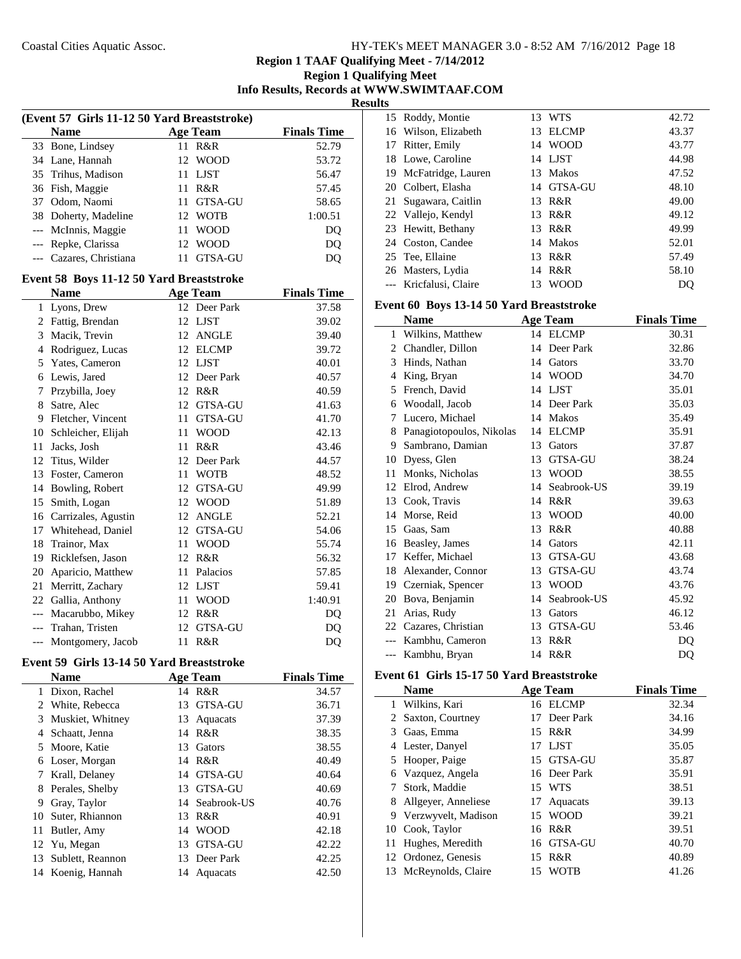| HY-TEK's MEET MANAGER 3.0 - 8:52 AM 7/16/2012 Page 18 |  |
|-------------------------------------------------------|--|
|-------------------------------------------------------|--|

| -- |                                           |
|----|-------------------------------------------|
|    | <b>Region 1 Qualifying Meet</b>           |
|    | Info Results, Records at WWW.SWIMTAAF.COM |

**Results**

| (Event 57 Girls 11-12 50 Yard Breaststroke) |                                           |      |                 |                    |  |
|---------------------------------------------|-------------------------------------------|------|-----------------|--------------------|--|
|                                             | <b>Name</b>                               |      | <b>Age Team</b> | <b>Finals Time</b> |  |
| 33                                          | Bone, Lindsey                             | 11   | <b>R&amp;R</b>  | 52.79              |  |
|                                             | 34 Lane, Hannah                           |      | 12 WOOD         | 53.72              |  |
| 35                                          | Trihus, Madison                           |      | 11 LJST         | 56.47              |  |
| 36                                          | Fish, Maggie                              |      | 11 R&R          | 57.45              |  |
| 37                                          | Odom, Naomi                               |      | 11 GTSA-GU      | 58.65              |  |
| 38                                          | Doherty, Madeline                         |      | 12 WOTB         | 1:00.51            |  |
| $---$                                       | McInnis, Maggie                           | 11   | <b>WOOD</b>     | D <sub>O</sub>     |  |
|                                             | --- Repke, Clarissa                       |      | 12 WOOD         | DQ                 |  |
| $\overline{a}$                              | Cazares, Christiana                       | 11   | <b>GTSA-GU</b>  | DQ                 |  |
|                                             | Event 58 Boys 11-12 50 Yard Breaststroke  |      |                 |                    |  |
|                                             | <b>Name</b>                               |      | <b>Age Team</b> | <b>Finals Time</b> |  |
| 1                                           | Lyons, Drew                               |      | 12 Deer Park    | 37.58              |  |
| 2                                           | Fattig, Brendan                           |      | 12 LJST         | 39.02              |  |
| 3                                           | Macik, Trevin                             |      | 12 ANGLE        | 39.40              |  |
|                                             | 4 Rodriguez, Lucas                        |      | 12 ELCMP        | 39.72              |  |
| 5                                           | Yates, Cameron                            |      | 12 LJST         | 40.01              |  |
| 6                                           | Lewis, Jared                              |      | 12 Deer Park    | 40.57              |  |
| 7                                           | Przybilla, Joey                           |      | 12 R&R          | 40.59              |  |
| 8                                           | Satre, Alec                               |      | 12 GTSA-GU      | 41.63              |  |
| 9                                           | Fletcher, Vincent                         | 11   | GTSA-GU         | 41.70              |  |
| 10                                          | Schleicher, Elijah                        |      | 11 WOOD         | 42.13              |  |
| 11                                          | Jacks, Josh                               |      | 11 R&R          | 43.46              |  |
| 12                                          | Titus, Wilder                             |      | 12 Deer Park    | 44.57              |  |
| 13                                          | Foster, Cameron                           |      | 11 WOTB         | 48.52              |  |
| 14                                          | Bowling, Robert                           |      | 12 GTSA-GU      | 49.99              |  |
| 15                                          | Smith, Logan                              |      | 12 WOOD         | 51.89              |  |
| 16                                          | Carrizales, Agustin                       |      | 12 ANGLE        | 52.21              |  |
| 17                                          | Whitehead, Daniel                         |      | 12 GTSA-GU      | 54.06              |  |
| 18                                          | Trainor, Max                              |      | 11 WOOD         | 55.74              |  |
| 19                                          | Ricklefsen, Jason                         |      | 12 R&R          | 56.32              |  |
| 20                                          | Aparicio, Matthew                         |      | 11 Palacios     | 57.85              |  |
| 21                                          | Merritt, Zachary                          |      | 12 LJST         | 59.41              |  |
| 22                                          | Gallia, Anthony                           | 11 - | <b>WOOD</b>     | 1:40.91            |  |
|                                             | --- Macarubbo, Mikey                      |      | 12 R&R          | D <sub>O</sub>     |  |
|                                             | --- Trahan, Tristen                       |      | 12 GTSA-GU      | DQ                 |  |
| ---                                         | Montgomery, Jacob                         | 11   | R&R             | DQ                 |  |
|                                             | Event 59 Girls 13-14 50 Yard Breaststroke |      |                 |                    |  |

|    | <b>Name</b>       |    | <b>Age Team</b> | <b>Finals Time</b> |
|----|-------------------|----|-----------------|--------------------|
|    | Dixon, Rachel     |    | 14 R&R          | 34.57              |
| 2  | White, Rebecca    | 13 | GTSA-GU         | 36.71              |
| 3  | Muskiet, Whitney  | 13 | Aquacats        | 37.39              |
| 4  | Schaatt, Jenna    | 14 | R&R             | 38.35              |
| 5. | Moore, Katie      | 13 | Gators          | 38.55              |
| 6  | Loser, Morgan     | 14 | R&R             | 40.49              |
| 7  | Krall, Delaney    | 14 | GTSA-GU         | 40.64              |
| 8  | Perales, Shelby   | 13 | <b>GTSA-GU</b>  | 40.69              |
| 9  | Gray, Taylor      |    | 14 Seabrook-US  | 40.76              |
| 10 | Suter, Rhiannon   | 13 | R&R             | 40.91              |
| 11 | Butler, Amy       | 14 | <b>WOOD</b>     | 42.18              |
| 12 | Yu, Megan         | 13 | GTSA-GU         | 42.22              |
| 13 | Sublett, Reannon  |    | 13 Deer Park    | 42.25              |
|    | 14 Koenig, Hannah | 14 | Aquacats        | 42.50              |

|    | 15 Roddy, Montie       | 13  | WTS          | 42.72 |
|----|------------------------|-----|--------------|-------|
|    | 16 Wilson, Elizabeth   | 13. | <b>ELCMP</b> | 43.37 |
|    | 17 Ritter, Emily       |     | 14 WOOD      | 43.77 |
|    | 18 Lowe, Caroline      |     | 14 LJST      | 44.98 |
|    | 19 McFatridge, Lauren  |     | 13 Makos     | 47.52 |
|    | 20 Colbert, Elasha     |     | 14 GTSA-GU   | 48.10 |
| 21 | Sugawara, Caitlin      |     | 13 R&R       | 49.00 |
|    | 22 Vallejo, Kendyl     |     | 13 R&R       | 49.12 |
|    | 23 Hewitt, Bethany     |     | 13 R&R       | 49.99 |
|    | 24 Coston, Candee      |     | 14 Makos     | 52.01 |
|    | 25 Tee, Ellaine        | 13  | R&R          | 57.49 |
|    | 26 Masters, Lydia      |     | 14 R&R       | 58.10 |
|    | --- Kricfalusi, Claire | 13  | <b>WOOD</b>  | DO    |

#### **Event 60 Boys 13-14 50 Yard Breaststroke**

|                | <b>Name</b>              |    | <b>Age Team</b> | <b>Finals Time</b> |
|----------------|--------------------------|----|-----------------|--------------------|
| 1              | Wilkins, Matthew         |    | 14 ELCMP        | 30.31              |
| $\mathfrak{D}$ | Chandler, Dillon         | 14 | Deer Park       | 32.86              |
| 3              | Hinds, Nathan            | 14 | Gators          | 33.70              |
| 4              | King, Bryan              | 14 | <b>WOOD</b>     | 34.70              |
| 5              | French, David            | 14 | <b>LIST</b>     | 35.01              |
| 6              | Woodall, Jacob           | 14 | Deer Park       | 35.03              |
| 7              | Lucero, Michael          | 14 | <b>Makos</b>    | 35.49              |
| 8              | Panagiotopoulos, Nikolas | 14 | <b>ELCMP</b>    | 35.91              |
| 9              | Sambrano, Damian         | 13 | Gators          | 37.87              |
| 10             | Dyess, Glen              | 13 | <b>GTSA-GU</b>  | 38.24              |
| 11             | Monks, Nicholas          | 13 | <b>WOOD</b>     | 38.55              |
| 12             | Elrod, Andrew            | 14 | Seabrook-US     | 39.19              |
| 13             | Cook, Travis             | 14 | R&R             | 39.63              |
| 14             | Morse, Reid              | 13 | <b>WOOD</b>     | 40.00              |
| 15             | Gaas, Sam                | 13 | R&R             | 40.88              |
| 16             | Beasley, James           | 14 | Gators          | 42.11              |
| 17             | Keffer, Michael          | 13 | <b>GTSA-GU</b>  | 43.68              |
| 18             | Alexander, Connor        | 13 | GTSA-GU         | 43.74              |
| 19             | Czerniak, Spencer        | 13 | <b>WOOD</b>     | 43.76              |
| 20             | Bova, Benjamin           | 14 | Seabrook-US     | 45.92              |
| 21             | Arias, Rudy              | 13 | Gators          | 46.12              |
|                | 22 Cazares, Christian    | 13 | <b>GTSA-GU</b>  | 53.46              |
|                | Kambhu, Cameron          | 13 | R&R             | DO                 |
| $---$          | Kambhu, Bryan            | 14 | R&R             | DQ                 |

# **Event 61 Girls 15-17 50 Yard Breaststroke**

|       | <b>Name</b>           |    | <b>Age Team</b> | <b>Finals Time</b> |
|-------|-----------------------|----|-----------------|--------------------|
| 1     | Wilkins, Kari         |    | 16 ELCMP        | 32.34              |
| $2 -$ | Saxton, Courtney      | 17 | Deer Park       | 34.16              |
| 3     | Gaas, Emma            |    | 15 R&R          | 34.99              |
|       | Lester, Danyel        |    | 17 LJST         | 35.05              |
|       | 5 Hooper, Paige       |    | 15 GTSA-GU      | 35.87              |
|       | 6 Vazquez, Angela     |    | 16 Deer Park    | 35.91              |
| 7     | Stork, Maddie         |    | 15 WTS          | 38.51              |
| 8     | Allgeyer, Anneliese   | 17 | Aquacats        | 39.13              |
|       | 9 Verzwyvelt, Madison |    | 15 WOOD         | 39.21              |
|       | 10 Cook, Taylor       |    | 16 R&R          | 39.51              |
| 11    | Hughes, Meredith      |    | 16 GTSA-GU      | 40.70              |
|       | 12 Ordonez, Genesis   | 15 | R&R             | 40.89              |
|       | 13 McReynolds, Claire | 15 | <b>WOTB</b>     | 41.26              |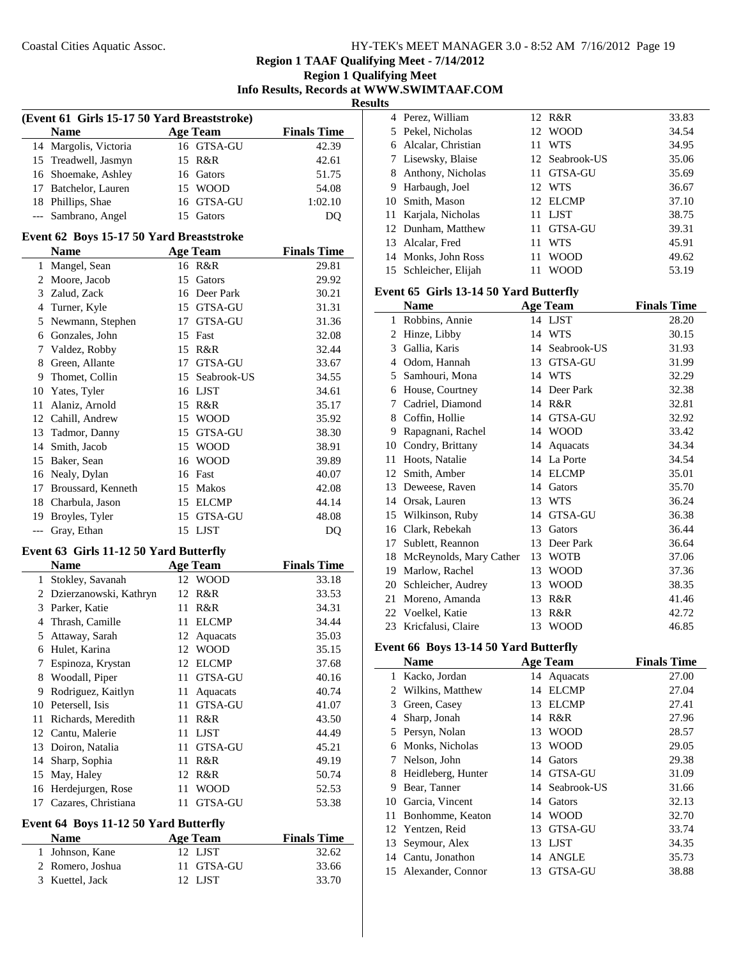**Region 1 Qualifying Meet Info Results, Records at WWW.SWIMTAAF.COM**

**Results**

| (Event 61 Girls 15-17 50 Yard Breaststroke) |                                          |    |                 |                    |  |
|---------------------------------------------|------------------------------------------|----|-----------------|--------------------|--|
|                                             | <b>Name</b>                              |    | <b>Age Team</b> | <b>Finals Time</b> |  |
| 14                                          | Margolis, Victoria                       |    | 16 GTSA-GU      | 42.39              |  |
| 15                                          | Treadwell, Jasmyn                        | 15 | R&R             | 42.61              |  |
| 16                                          | Shoemake, Ashley                         |    | 16 Gators       | 51.75              |  |
| 17                                          | Batchelor, Lauren                        |    | 15 WOOD         | 54.08              |  |
|                                             | 18 Phillips, Shae                        |    | 16 GTSA-GU      | 1:02.10            |  |
| $\overline{\phantom{a}}$                    | Sambrano, Angel                          | 15 | Gators          | DQ                 |  |
|                                             | Event 62 Boys 15-17 50 Yard Breaststroke |    |                 |                    |  |
|                                             | <b>Name</b>                              |    | <b>Age Team</b> | <b>Finals Time</b> |  |
|                                             | 1 Mangel, Sean                           |    | 16 R&R          | 29.81              |  |
|                                             | 2 Moore, Jacob                           | 15 | Gators          | 29.92              |  |
|                                             | 3 Zalud, Zack                            |    | 16 Deer Park    | 30.21              |  |
| 4                                           | Turner, Kyle                             |    | 15 GTSA-GU      | 31.31              |  |
| 5                                           | Newmann, Stephen                         |    | 17 GTSA-GU      | 31.36              |  |
| 6                                           | Gonzales, John                           |    | 15 Fast         | 32.08              |  |
| 7                                           | Valdez, Robby                            |    | 15 R&R          | 32.44              |  |
| 8                                           | Green, Allante                           | 17 | <b>GTSA-GU</b>  | 33.67              |  |
| 9                                           | Thomet, Collin                           |    | 15 Seabrook-US  | 34.55              |  |
| 10                                          | Yates, Tyler                             |    | 16 LJST         | 34.61              |  |
| 11                                          | Alaniz, Arnold                           |    | 15 R&R          | 35.17              |  |
|                                             | 12 Cahill, Andrew                        |    | 15 WOOD         | 35.92              |  |
| 13                                          | Tadmor, Danny                            |    | 15 GTSA-GU      | 38.30              |  |
| 14                                          | Smith, Jacob                             |    | 15 WOOD         | 38.91              |  |
| 15                                          | Baker, Sean                              | 16 | <b>WOOD</b>     | 39.89              |  |
|                                             | 16 Nealy, Dylan                          |    | 16 Fast         | 40.07              |  |
|                                             | 17 Broussard, Kenneth                    |    | 15 Makos        | 42.08              |  |
| 18                                          | Charbula, Jason                          |    | 15 ELCMP        | 44.14              |  |
| 19                                          | Broyles, Tyler                           | 15 | GTSA-GU         | 48.08              |  |
| ---                                         | Gray, Ethan                              | 15 | <b>LJST</b>     | DQ                 |  |
|                                             | Event 63 Girls 11-12 50 Yard Butterfly   |    |                 |                    |  |
|                                             | <b>Name</b>                              |    | <b>Age Team</b> | <b>Finals Time</b> |  |
| 1                                           | Stokley, Savanah                         | 12 | <b>WOOD</b>     | 33.18              |  |
|                                             | 2 Dzierzanowski, Kathryn                 | 12 | R&R             | 33.53              |  |
| 3                                           | Parker, Katie                            | 11 | R&R             | 34.31              |  |
|                                             | 4 Thrash, Camille                        | 11 | <b>ELCMP</b>    | 34.44              |  |
| 5                                           | Attaway, Sarah                           |    | 12 Aquacats     | 35.03              |  |
|                                             | 6 Hulet, Karina                          |    | 12 WOOD         | 35.15              |  |
|                                             | 7 Espinoza, Krystan                      |    | 12 ELCMP        | 37.68              |  |
| 8                                           | Woodall, Piper                           | 11 | GTSA-GU         | 40.16              |  |
| 9                                           | Rodriguez, Kaitlyn                       | 11 | Aquacats        | 40.74              |  |
| 10                                          | Petersell, Isis                          | 11 | GTSA-GU         | 41.07              |  |
| 11                                          | Richards, Meredith                       | 11 | R&R             | 43.50              |  |
| 12                                          | Cantu, Malerie                           | 11 | <b>LJST</b>     | 44.49              |  |
| 13                                          | Doiron, Natalia                          | 11 | GTSA-GU         | 45.21              |  |
| 14                                          | Sharp, Sophia                            | 11 | R&R             | 49.19              |  |
| 15                                          | May, Haley                               | 12 | R&R             | 50.74              |  |
| 16                                          | Herdejurgen, Rose                        | 11 | <b>WOOD</b>     | 52.53              |  |
| 17                                          | Cazares, Christiana                      | 11 | GTSA-GU         | 53.38              |  |

# **Event 64 Boys 11-12 50 Yard Butterfly**

| <b>Name</b>      | Age Team   | <b>Finals Time</b> |
|------------------|------------|--------------------|
| 1 Johnson, Kane  | 12 LIST    | 32.62              |
| 2 Romero, Joshua | 11 GTSA-GU | 33.66              |
| 3 Kuettel, Jack  | 12 LIST    | 33.70              |

|    | 4 Perez, William     |     | 12 R&R         | 33.83 |
|----|----------------------|-----|----------------|-------|
|    | 5 Pekel, Nicholas    |     | 12 WOOD        | 34.54 |
|    | 6 Alcalar, Christian | 11. | <b>WTS</b>     | 34.95 |
|    | 7 Lisewsky, Blaise   |     | 12 Seabrook-US | 35.06 |
|    | 8 Anthony, Nicholas  | 11  | GTSA-GU        | 35.69 |
| 9  | Harbaugh, Joel       |     | 12 WTS         | 36.67 |
|    | 10 Smith, Mason      |     | 12 ELCMP       | 37.10 |
|    | 11 Karjala, Nicholas | 11  | LJST           | 38.75 |
|    | 12 Dunham, Matthew   | 11  | <b>GTSA-GU</b> | 39.31 |
| 13 | Alcalar, Fred        | 11  | WTS            | 45.91 |
|    | 14 Monks, John Ross  | 11  | <b>WOOD</b>    | 49.62 |
| 15 | Schleicher, Elijah   | 11  | WOOD           | 53.19 |
|    |                      |     |                |       |

#### **Event 65 Girls 13-14 50 Yard Butterfly**

|    | <b>Name</b>             |    | <b>Age Team</b> | <b>Finals Time</b> |
|----|-------------------------|----|-----------------|--------------------|
| 1  | Robbins, Annie          |    | 14 LJST         | 28.20              |
| 2  | Hinze, Libby            | 14 | <b>WTS</b>      | 30.15              |
| 3  | Gallia, Karis           | 14 | Seabrook-US     | 31.93              |
| 4  | Odom, Hannah            | 13 | <b>GTSA-GU</b>  | 31.99              |
| 5  | Samhouri, Mona          | 14 | <b>WTS</b>      | 32.29              |
| 6  | House, Courtney         | 14 | Deer Park       | 32.38              |
| 7  | Cadriel, Diamond        | 14 | R&R             | 32.81              |
| 8  | Coffin, Hollie          | 14 | GTSA-GU         | 32.92              |
| 9  | Rapagnani, Rachel       | 14 | <b>WOOD</b>     | 33.42              |
| 10 | Condry, Brittany        | 14 | Aquacats        | 34.34              |
| 11 | Hoots, Natalie          | 14 | La Porte        | 34.54              |
| 12 | Smith, Amber            | 14 | <b>ELCMP</b>    | 35.01              |
| 13 | Deweese, Raven          | 14 | Gators          | 35.70              |
| 14 | Orsak, Lauren           | 13 | <b>WTS</b>      | 36.24              |
| 15 | Wilkinson, Ruby         | 14 | <b>GTSA-GU</b>  | 36.38              |
| 16 | Clark, Rebekah          | 13 | Gators          | 36.44              |
| 17 | Sublett, Reannon        | 13 | Deer Park       | 36.64              |
| 18 | McReynolds, Mary Cather | 13 | <b>WOTB</b>     | 37.06              |
| 19 | Marlow, Rachel          | 13 | <b>WOOD</b>     | 37.36              |
| 20 | Schleicher, Audrey      | 13 | <b>WOOD</b>     | 38.35              |
| 21 | Moreno, Amanda          | 13 | R&R             | 41.46              |
| 22 | Voelkel, Katie          | 13 | R&R             | 42.72              |
| 23 | Kricfalusi, Claire      | 13 | <b>WOOD</b>     | 46.85              |

## **Event 66 Boys 13-14 50 Yard Butterfly**

|    | <b>Name</b>          |    | <b>Age Team</b> | <b>Finals Time</b> |
|----|----------------------|----|-----------------|--------------------|
| 1  | Kacko, Jordan        |    | 14 Aquacats     | 27.00              |
|    | 2 Wilkins, Matthew   | 14 | <b>ELCMP</b>    | 27.04              |
| 3  | Green, Casey         | 13 | <b>ELCMP</b>    | 27.41              |
| 4  | Sharp, Jonah         | 14 | R&R             | 27.96              |
|    | 5 Persyn, Nolan      | 13 | <b>WOOD</b>     | 28.57              |
| 6  | Monks, Nicholas      | 13 | <b>WOOD</b>     | 29.05              |
| 7  | Nelson, John         | 14 | Gators          | 29.38              |
| 8  | Heidleberg, Hunter   |    | 14 GTSA-GU      | 31.09              |
| 9  | Bear, Tanner         |    | 14 Seabrook-US  | 31.66              |
| 10 | Garcia, Vincent      |    | 14 Gators       | 32.13              |
| 11 | Bonhomme, Keaton     | 14 | <b>WOOD</b>     | 32.70              |
|    | 12 Yentzen, Reid     | 13 | GTSA-GU         | 33.74              |
| 13 | Seymour, Alex        | 13 | LJST            | 34.35              |
|    | 14 Cantu, Jonathon   | 14 | <b>ANGLE</b>    | 35.73              |
|    | 15 Alexander, Connor | 13 | GTSA-GU         | 38.88              |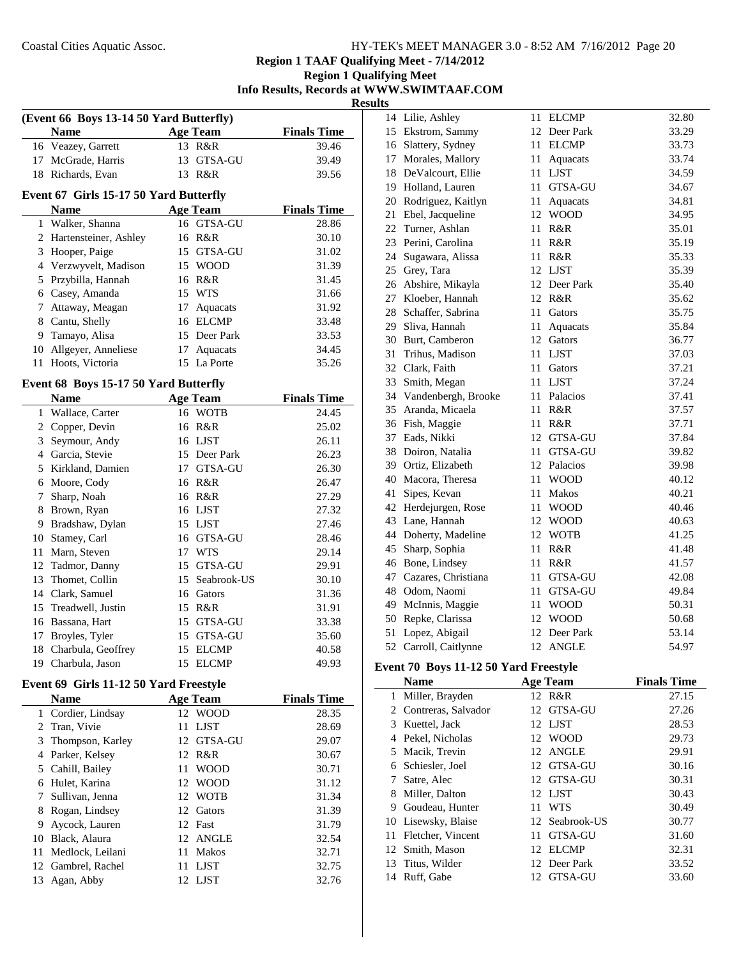**Region 1 Qualifying Meet Info Results, Records at WWW.SWIMTAAF.COM**

**Results**

|                | (Event 66 Boys 13-14 50 Yard Butterfly)<br><b>Name</b> |    | <b>Age Team</b> | <b>Finals Time</b> |
|----------------|--------------------------------------------------------|----|-----------------|--------------------|
|                | 16 Veazey, Garrett                                     |    | 13 R&R          | 39.46              |
| 17             | McGrade, Harris                                        | 13 | GTSA-GU         | 39.49              |
| 18             | Richards, Evan                                         |    | 13 R&R          | 39.56              |
|                |                                                        |    |                 |                    |
|                | Event 67 Girls 15-17 50 Yard Butterfly                 |    |                 |                    |
|                | <b>Name</b>                                            |    | <b>Age Team</b> | <b>Finals Time</b> |
| 1              | Walker, Shanna                                         | 16 | <b>GTSA-GU</b>  | 28.86              |
| 2              | Hartensteiner, Ashley                                  |    | 16 R&R          | 30.10              |
| 3              | Hooper, Paige                                          |    | 15 GTSA-GU      | 31.02              |
|                | 4 Verzwyvelt, Madison                                  |    | 15 WOOD         | 31.39              |
| 5              | Przybilla, Hannah                                      |    | 16 R&R          | 31.45              |
|                | 6 Casey, Amanda                                        |    | 15 WTS          | 31.66              |
| 7              | Attaway, Meagan                                        | 17 | Aquacats        | 31.92              |
| 8              | Cantu, Shelly                                          |    | 16 ELCMP        | 33.48              |
| 9              | Tamayo, Alisa                                          |    | 15 Deer Park    | 33.53              |
| 10             | Allgeyer, Anneliese                                    | 17 | Aquacats        | 34.45              |
| 11             | Hoots, Victoria                                        | 15 | La Porte        | 35.26              |
|                | Event 68 Boys 15-17 50 Yard Butterfly                  |    |                 |                    |
|                | <b>Name</b>                                            |    | <b>Age Team</b> | <b>Finals Time</b> |
| 1              | Wallace, Carter                                        |    | 16 WOTB         | 24.45              |
| 2              | Copper, Devin                                          |    | 16 R&R          | 25.02              |
| 3              | Seymour, Andy                                          |    | 16 LJST         | 26.11              |
|                | 4 Garcia, Stevie                                       |    | 15 Deer Park    | 26.23              |
|                | 5 Kirkland, Damien                                     |    | 17 GTSA-GU      | 26.30              |
|                | 6 Moore, Cody                                          |    | 16 R&R          | 26.47              |
| 7              | Sharp, Noah                                            |    | 16 R&R          | 27.29              |
| 8              | Brown, Ryan                                            |    | 16 LJST         | 27.32              |
| 9              | Bradshaw, Dylan                                        |    | 15 LJST         | 27.46              |
| 10             | Stamey, Carl                                           |    | 16 GTSA-GU      | 28.46              |
| 11             | Marn, Steven                                           |    | 17 WTS          | 29.14              |
| 12             | Tadmor, Danny                                          |    | 15 GTSA-GU      | 29.91              |
| 13             | Thomet, Collin                                         | 15 | Seabrook-US     | 30.10              |
|                | 14 Clark, Samuel                                       |    | 16 Gators       | 31.36              |
|                | 15 Treadwell, Justin                                   |    | 15 R&R          | 31.91              |
| 16             | Bassana, Hart                                          |    | 15 GTSA-GU      | 33.38              |
| 17             | Broyles, Tyler                                         | 15 | GTSA-GU         | 35.60              |
| 18             | Charbula, Geoffrey                                     | 15 | <b>ELCMP</b>    | 40.58              |
|                | 19 Charbula, Jason                                     | 15 | <b>ELCMP</b>    | 49.93              |
|                | Event 69 Girls 11-12 50 Yard Freestyle                 |    |                 |                    |
|                | <b>Name</b>                                            |    | <b>Age Team</b> | <b>Finals Time</b> |
| 1              | Cordier, Lindsay                                       |    | 12 WOOD         | 28.35              |
| $\overline{c}$ | Tran, Vivie                                            | 11 | <b>LJST</b>     | 28.69              |
| 3              | Thompson, Karley                                       | 12 | GTSA-GU         | 29.07              |
| 4              | Parker, Kelsey                                         | 12 | R&R             | 30.67              |
| 5              | Cahill, Bailey                                         | 11 | <b>WOOD</b>     | 30.71              |
| 6              | Hulet, Karina                                          | 12 | <b>WOOD</b>     | 31.12              |
| 7              | Sullivan, Jenna                                        | 12 | <b>WOTB</b>     | 31.34              |
| 8              | Rogan, Lindsey                                         | 12 | Gators          | 31.39              |
| 9              | Aycock, Lauren                                         | 12 | Fast            | 31.79              |
| 10             | Black, Alaura                                          | 12 | <b>ANGLE</b>    | 32.54              |
| 11             | Medlock, Leilani                                       | 11 | Makos           | 32.71              |
|                |                                                        |    |                 |                    |

12 Gambrel, Rachel 11 LJST 32.75 13 Agan, Abby 12 LJST 32.76

| 14 | Lilie, Ashley       | 11   | <b>ELCMP</b>   | 32.80 |
|----|---------------------|------|----------------|-------|
| 15 | Ekstrom, Sammy      | 12   | Deer Park      | 33.29 |
| 16 | Slattery, Sydney    | 11   | <b>ELCMP</b>   | 33.73 |
| 17 | Morales, Mallory    | 11   | Aquacats       | 33.74 |
| 18 | DeValcourt, Ellie   |      | 11 LJST        | 34.59 |
| 19 | Holland, Lauren     | 11 - | <b>GTSA-GU</b> | 34.67 |
| 20 | Rodriguez, Kaitlyn  | 11   | Aquacats       | 34.81 |
| 21 | Ebel, Jacqueline    |      | 12 WOOD        | 34.95 |
| 22 | Turner, Ashlan      | 11.  | R&R            | 35.01 |
| 23 | Perini, Carolina    | 11   | R&R            | 35.19 |
| 24 | Sugawara, Alissa    | 11   | R&R            | 35.33 |
| 25 | Grey, Tara          |      | 12 LJST        | 35.39 |
| 26 | Abshire, Mikayla    |      | 12 Deer Park   | 35.40 |
| 27 | Kloeber, Hannah     |      | 12 R&R         | 35.62 |
| 28 | Schaffer, Sabrina   | 11   | Gators         | 35.75 |
| 29 | Sliva, Hannah       | 11   | Aquacats       | 35.84 |
| 30 | Burt, Camberon      |      | 12 Gators      | 36.77 |
| 31 | Trihus, Madison     | 11   | <b>LJST</b>    | 37.03 |
| 32 | Clark, Faith        | 11   | Gators         | 37.21 |
| 33 | Smith, Megan        | 11   | <b>LJST</b>    | 37.24 |
| 34 | Vandenbergh, Brooke | 11-  | Palacios       | 37.41 |
| 35 | Aranda, Micaela     | 11   | R&R            | 37.57 |
| 36 | Fish, Maggie        | 11   | R&R            | 37.71 |
| 37 | Eads, Nikki         |      | 12 GTSA-GU     | 37.84 |
| 38 | Doiron, Natalia     | 11   | GTSA-GU        | 39.82 |
| 39 | Ortiz, Elizabeth    |      | 12 Palacios    | 39.98 |
| 40 | Macora, Theresa     | 11   | <b>WOOD</b>    | 40.12 |
| 41 | Sipes, Kevan        | 11   | <b>Makos</b>   | 40.21 |
| 42 | Herdejurgen, Rose   | 11   | <b>WOOD</b>    | 40.46 |
| 43 | Lane, Hannah        |      | 12 WOOD        | 40.63 |
| 44 | Doherty, Madeline   |      | 12 WOTB        | 41.25 |
| 45 | Sharp, Sophia       | 11   | R&R            | 41.48 |
| 46 | Bone, Lindsey       | 11   | R&R            | 41.57 |
| 47 | Cazares, Christiana | 11   | GTSA-GU        | 42.08 |
| 48 | Odom, Naomi         | 11   | GTSA-GU        | 49.84 |
| 49 | McInnis, Maggie     | 11   | <b>WOOD</b>    | 50.31 |
| 50 | Repke, Clarissa     |      | 12 WOOD        | 50.68 |
| 51 | Lopez, Abigail      | 12   | Deer Park      | 53.14 |
| 52 | Carroll, Caitlynne  | 12   | <b>ANGLE</b>   | 54.97 |
|    |                     |      |                |       |

# **Event 70 Boys 11-12 50 Yard Freestyle**

|     | Name                |    | <b>Age Team</b> | <b>Finals Time</b> |
|-----|---------------------|----|-----------------|--------------------|
| 1   | Miller, Brayden     |    | 12 R&R          | 27.15              |
|     | Contreras, Salvador |    | 12 GTSA-GU      | 27.26              |
| 3   | Kuettel, Jack       |    | 12 LJST         | 28.53              |
|     | Pekel, Nicholas     |    | 12 WOOD         | 29.73              |
|     | 5 Macik, Trevin     |    | 12 ANGLE        | 29.91              |
|     | 6 Schiesler, Joel   | 12 | GTSA-GU         | 30.16              |
|     | Satre, Alec         |    | 12 GTSA-GU      | 30.31              |
| 8   | Miller, Dalton      |    | 12 LJST         | 30.43              |
| 9   | Goudeau, Hunter     | 11 | <b>WTS</b>      | 30.49              |
|     | 10 Lisewsky, Blaise |    | 12 Seabrook-US  | 30.77              |
| 11. | Fletcher, Vincent   | 11 | <b>GTSA-GU</b>  | 31.60              |
|     | 12 Smith, Mason     | 12 | <b>ELCMP</b>    | 32.31              |
|     | 13 Titus, Wilder    |    | 12 Deer Park    | 33.52              |
| 14  | Ruff, Gabe          | 12 | GTSA-GU         | 33.60              |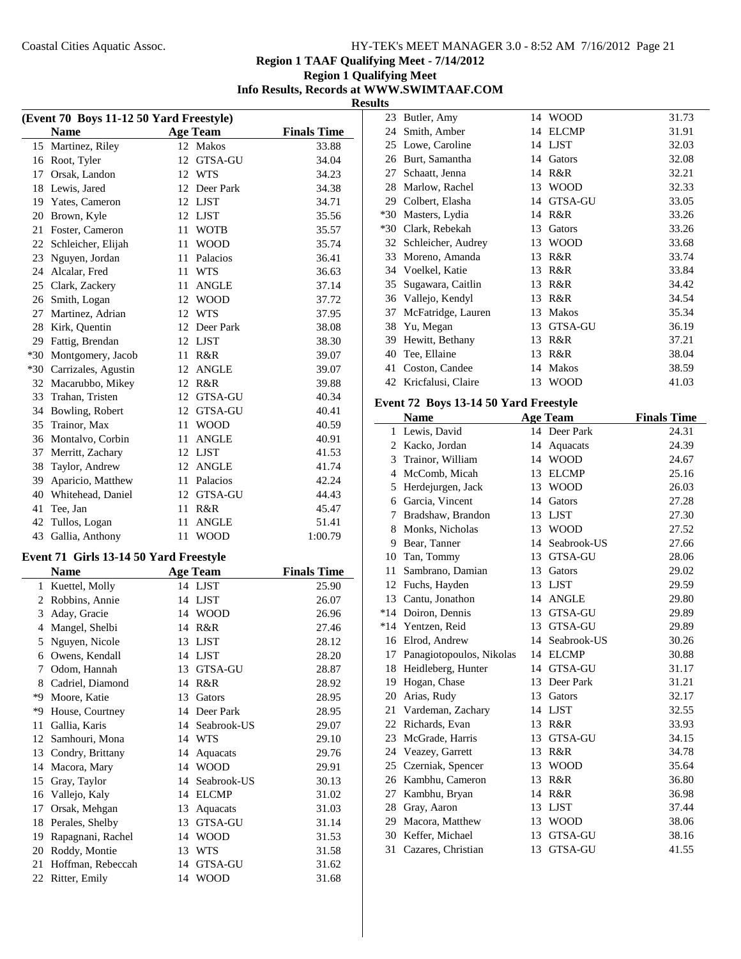**Region 1 TAAF Qualifying Meet - 7/14/2012**

#### **Region 1 Qualifying Meet Info Results, Records at WWW.SWIMTAAF.COM Results**

| (Event 70 Boys 11-12 50 Yard Freestyle) |                                        |    |                 |                    |
|-----------------------------------------|----------------------------------------|----|-----------------|--------------------|
|                                         | <b>Name</b>                            |    | <b>Age Team</b> | <b>Finals Time</b> |
| 15                                      | Martinez, Riley                        |    | 12 Makos        | 33.88              |
| 16                                      | Root, Tyler                            |    | 12 GTSA-GU      | 34.04              |
| 17                                      | Orsak, Landon                          |    | 12 WTS          | 34.23              |
| 18                                      | Lewis, Jared                           |    | 12 Deer Park    | 34.38              |
| 19                                      | Yates, Cameron                         |    | 12 LJST         | 34.71              |
| 20                                      | Brown, Kyle                            |    | 12 LJST         | 35.56              |
| 21                                      | Foster, Cameron                        | 11 | <b>WOTB</b>     | 35.57              |
| 22                                      | Schleicher, Elijah                     | 11 | <b>WOOD</b>     | 35.74              |
| 23                                      | Nguyen, Jordan                         | 11 | Palacios        | 36.41              |
| 24                                      | Alcalar, Fred                          | 11 | <b>WTS</b>      | 36.63              |
| 25                                      | Clark, Zackery                         | 11 | <b>ANGLE</b>    | 37.14              |
| 26                                      | Smith, Logan                           |    | 12 WOOD         | 37.72              |
| 27                                      | Martinez, Adrian                       | 12 | WTS             | 37.95              |
| 28                                      | Kirk, Quentin                          |    | 12 Deer Park    | 38.08              |
| 29                                      | Fattig, Brendan                        |    | 12 LJST         | 38.30              |
| $*30$                                   | Montgomery, Jacob                      |    | 11 R&R          | 39.07              |
| $*30$                                   | Carrizales, Agustin                    |    | 12 ANGLE        | 39.07              |
| 32                                      | Macarubbo, Mikey                       |    | 12 R&R          | 39.88              |
| 33                                      | Trahan, Tristen                        |    | 12 GTSA-GU      | 40.34              |
| 34                                      | Bowling, Robert                        |    | 12 GTSA-GU      | 40.41              |
| 35                                      | Trainor, Max                           | 11 | <b>WOOD</b>     | 40.59              |
| 36                                      | Montalvo, Corbin                       | 11 | <b>ANGLE</b>    | 40.91              |
| 37                                      | Merritt, Zachary                       | 12 | LJST            | 41.53              |
| 38                                      | Taylor, Andrew                         | 12 | <b>ANGLE</b>    | 41.74              |
| 39                                      | Aparicio, Matthew                      | 11 | Palacios        | 42.24              |
| 40                                      | Whitehead, Daniel                      |    | 12 GTSA-GU      | 44.43              |
| 41                                      | Tee, Jan                               | 11 | R&R             | 45.47              |
| 42                                      | Tullos, Logan                          | 11 | <b>ANGLE</b>    | 51.41              |
| 43                                      | Gallia, Anthony                        | 11 | <b>WOOD</b>     | 1:00.79            |
|                                         |                                        |    |                 |                    |
|                                         | Event 71 Girls 13-14 50 Yard Freestyle |    |                 |                    |
|                                         | <b>Name</b>                            |    | <b>Age Team</b> | <b>Finals Time</b> |
| 1                                       | Kuettel, Molly                         |    | 14 LJST         | 25.90              |
| $\overline{c}$                          | Robbins, Annie                         |    | 14 LJST         | 26.07              |
| 3                                       | Aday, Gracie                           |    | 14 WOOD         | 26.96              |
| $\overline{4}$                          | Mangel, Shelbi                         |    | 14 R&R          | 27.46              |
| 5                                       | Nguyen, Nicole                         |    | 13 LJST         | 28.12              |
| 6                                       | Owens, Kendall                         | 14 | <b>LJST</b>     | 28.20              |
| 7                                       | Odom, Hannah                           |    | 13 GTSA-GU      | 28.87              |
| 8                                       | Cadriel, Diamond                       | 14 | R&R             | 28.92              |
| *9                                      | Moore, Katie                           |    | 13 Gators       | 28.95              |
| *9                                      | House, Courtney                        |    | 14 Deer Park    | 28.95              |
| 11                                      | Gallia, Karis                          |    | 14 Seabrook-US  | 29.07              |
| 12                                      | Samhouri, Mona                         |    | 14 WTS          | 29.10              |
| 13                                      | Condry, Brittany                       | 14 | Aquacats        | 29.76              |
| 14                                      | Macora, Mary                           | 14 | <b>WOOD</b>     | 29.91              |
| 15                                      | Gray, Taylor                           | 14 | Seabrook-US     | 30.13              |
| 16                                      | Vallejo, Kaly                          |    | 14 ELCMP        | 31.02              |
| 17                                      | Orsak, Mehgan                          | 13 | Aquacats        | 31.03              |
| 18                                      | Perales, Shelby                        | 13 | GTSA-GU         | 31.14              |
| 19                                      | Rapagnani, Rachel                      | 14 | <b>WOOD</b>     | 31.53              |
| 20                                      | Roddy, Montie                          | 13 | WTS             | 31.58              |
| 21                                      | Hoffman, Rebeccah                      | 14 | GTSA-GU         | 31.62              |
| 22                                      | Ritter, Emily                          | 14 | <b>WOOD</b>     | 31.68              |

| ᄠ     |                    |    |                |       |
|-------|--------------------|----|----------------|-------|
| 23    | Butler, Amy        | 14 | <b>WOOD</b>    | 31.73 |
| 24    | Smith, Amber       | 14 | <b>ELCMP</b>   | 31.91 |
| 25    | Lowe, Caroline     | 14 | <b>LJST</b>    | 32.03 |
| 26    | Burt, Samantha     | 14 | Gators         | 32.08 |
| 27    | Schaatt, Jenna     | 14 | R&R            | 32.21 |
| 28    | Marlow, Rachel     | 13 | <b>WOOD</b>    | 32.33 |
| 29    | Colbert, Elasha    | 14 | GTSA-GU        | 33.05 |
| $*30$ | Masters, Lydia     | 14 | R&R            | 33.26 |
| $*30$ | Clark, Rebekah     | 13 | Gators         | 33.26 |
| 32    | Schleicher, Audrey | 13 | <b>WOOD</b>    | 33.68 |
| 33    | Moreno, Amanda     | 13 | R&R            | 33.74 |
| 34    | Voelkel, Katie     | 13 | R&R            | 33.84 |
| 35    | Sugawara, Caitlin  | 13 | R&R            | 34.42 |
|       | 36 Vallejo, Kendyl | 13 | R&R            | 34.54 |
| 37    | McFatridge, Lauren | 13 | <b>Makos</b>   | 35.34 |
| 38    | Yu, Megan          | 13 | <b>GTSA-GU</b> | 36.19 |
| 39    | Hewitt, Bethany    | 13 | R&R            | 37.21 |
| 40    | Tee, Ellaine       | 13 | R&R            | 38.04 |
| 41    | Coston, Candee     | 14 | Makos          | 38.59 |
| 42    | Kricfalusi, Claire | 13 | <b>WOOD</b>    | 41.03 |

# **Event 72 Boys 13-14 50 Yard Freestyle**

|       | <b>Name</b>              |    | <b>Age Team</b> | <b>Finals Time</b> |
|-------|--------------------------|----|-----------------|--------------------|
| 1     | Lewis, David             |    | 14 Deer Park    | 24.31              |
| 2     | Kacko, Jordan            | 14 | Aquacats        | 24.39              |
| 3     | Trainor, William         | 14 | <b>WOOD</b>     | 24.67              |
| 4     | McComb, Micah            | 13 | <b>ELCMP</b>    | 25.16              |
| 5     | Herdejurgen, Jack        | 13 | <b>WOOD</b>     | 26.03              |
| 6     | Garcia, Vincent          | 14 | Gators          | 27.28              |
| 7     | Bradshaw, Brandon        | 13 | <b>LJST</b>     | 27.30              |
| 8     | Monks, Nicholas          | 13 | <b>WOOD</b>     | 27.52              |
| 9     | Bear, Tanner             | 14 | Seabrook-US     | 27.66              |
| 10    | Tan, Tommy               | 13 | <b>GTSA-GU</b>  | 28.06              |
| 11    | Sambrano, Damian         | 13 | Gators          | 29.02              |
| 12    | Fuchs, Hayden            | 13 | <b>LJST</b>     | 29.59              |
| 13    | Cantu, Jonathon          | 14 | <b>ANGLE</b>    | 29.80              |
| $*14$ | Doiron, Dennis           | 13 | GTSA-GU         | 29.89              |
| $*14$ | Yentzen, Reid            | 13 | <b>GTSA-GU</b>  | 29.89              |
| 16    | Elrod, Andrew            | 14 | Seabrook-US     | 30.26              |
| 17    | Panagiotopoulos, Nikolas | 14 | <b>ELCMP</b>    | 30.88              |
| 18    | Heidleberg, Hunter       | 14 | GTSA-GU         | 31.17              |
| 19    | Hogan, Chase             | 13 | Deer Park       | 31.21              |
| 20    | Arias, Rudy              | 13 | Gators          | 32.17              |
| 21    | Vardeman, Zachary        | 14 | <b>LJST</b>     | 32.55              |
| 22    | Richards, Evan           | 13 | R&R             | 33.93              |
| 23    | McGrade, Harris          | 13 | <b>GTSA-GU</b>  | 34.15              |
| 24    | Veazey, Garrett          | 13 | R&R             | 34.78              |
| 25    | Czerniak, Spencer        | 13 | <b>WOOD</b>     | 35.64              |
| 26    | Kambhu, Cameron          | 13 | R&R             | 36.80              |
| 27    | Kambhu, Bryan            | 14 | R&R             | 36.98              |
| 28    | Gray, Aaron              | 13 | <b>LJST</b>     | 37.44              |
| 29    | Macora, Matthew          | 13 | <b>WOOD</b>     | 38.06              |
| 30    | Keffer, Michael          | 13 | <b>GTSA-GU</b>  | 38.16              |
| 31    | Cazares, Christian       | 13 | <b>GTSA-GU</b>  | 41.55              |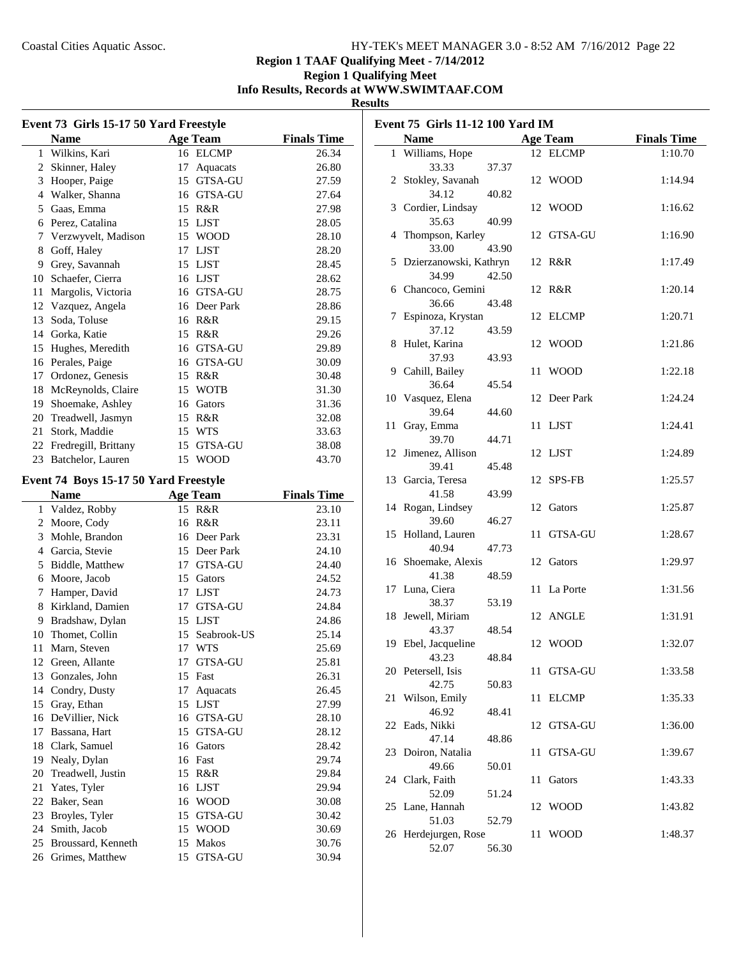# **Region 1 TAAF Qualifying Meet - 7/14/2012**

#### **Region 1 Qualifying Meet Info Results, Records at WWW.SWIMTAAF.COM**

#### **Results**

| Event 73 Girls 15-17 50 Yard Freestyle |                                       |          |                  |                    |  |
|----------------------------------------|---------------------------------------|----------|------------------|--------------------|--|
|                                        | <b>Name</b>                           |          | <b>Age Team</b>  | <b>Finals Time</b> |  |
| 1                                      | Wilkins, Kari                         |          | 16 ELCMP         | 26.34              |  |
| 2                                      | Skinner, Haley                        | 17       | Aquacats         | 26.80              |  |
|                                        | 3 Hooper, Paige                       |          | 15 GTSA-GU       | 27.59              |  |
|                                        | 4 Walker, Shanna                      |          | 16 GTSA-GU       | 27.64              |  |
|                                        | 5 Gaas, Emma                          |          | 15 R&R           | 27.98              |  |
|                                        | 6 Perez, Catalina                     |          | 15 LJST          | 28.05              |  |
|                                        | 7 Verzwyvelt, Madison                 |          | 15 WOOD          | 28.10              |  |
| 8                                      | Goff, Haley                           |          | 17 LJST          | 28.20              |  |
|                                        | 9 Grey, Savannah                      |          | 15 LJST          | 28.45              |  |
|                                        | 10 Schaefer, Cierra                   |          | 16 LJST          | 28.62              |  |
| 11                                     | Margolis, Victoria                    |          | 16 GTSA-GU       | 28.75              |  |
|                                        | 12 Vazquez, Angela                    |          | 16 Deer Park     | 28.86              |  |
| 13                                     | Soda, Toluse                          |          | 16 R&R           | 29.15              |  |
|                                        | 14 Gorka, Katie                       |          | 15 R&R           | 29.26              |  |
|                                        | 15 Hughes, Meredith                   |          | 16 GTSA-GU       | 29.89              |  |
|                                        | 16 Perales, Paige                     |          | 16 GTSA-GU       | 30.09              |  |
|                                        | 17 Ordonez, Genesis                   |          | 15 R&R           | 30.48              |  |
|                                        | 18 McReynolds, Claire                 |          | 15 WOTB          | 31.30              |  |
|                                        | 19 Shoemake, Ashley                   |          | 16 Gators        | 31.36              |  |
|                                        | 20 Treadwell, Jasmyn                  |          | 15 R&R           | 32.08              |  |
| 21                                     | Stork, Maddie                         |          | 15 WTS           | 33.63              |  |
|                                        | 22 Fredregill, Brittany               |          | 15 GTSA-GU       | 38.08              |  |
| 23                                     | Batchelor, Lauren                     | 15       | <b>WOOD</b>      | 43.70              |  |
|                                        |                                       |          |                  |                    |  |
|                                        | Event 74 Boys 15-17 50 Yard Freestyle |          |                  |                    |  |
|                                        |                                       |          |                  |                    |  |
|                                        | <b>Name</b>                           |          | <b>Age Team</b>  | <b>Finals Time</b> |  |
|                                        | 1 Valdez, Robby                       | 15       | R&R              | 23.10              |  |
|                                        | 2 Moore, Cody                         |          | 16 R&R           | 23.11              |  |
|                                        | 3 Mohle, Brandon                      |          | 16 Deer Park     | 23.31              |  |
|                                        | 4 Garcia, Stevie                      |          | 15 Deer Park     | 24.10              |  |
|                                        | 5 Biddle, Matthew                     |          | 17 GTSA-GU       | 24.40              |  |
|                                        | 6 Moore, Jacob                        |          | 15 Gators        | 24.52              |  |
|                                        | 7 Hamper, David                       |          | 17 LJST          | 24.73              |  |
|                                        | 8 Kirkland, Damien                    |          | 17 GTSA-GU       | 24.84              |  |
|                                        | 9 Bradshaw, Dylan                     |          | 15 LJST          | 24.86              |  |
|                                        | 10 Thomet, Collin                     | 15       | Seabrook-US      | 25.14              |  |
| 11                                     | Marn, Steven                          |          | 17 WTS           | 25.69              |  |
| 12                                     | Green, Allante                        | 17       | GTSA-GU          | 25.81              |  |
| 13                                     | Gonzales, John                        | 15       | Fast             | 26.31              |  |
| 14                                     | Condry, Dusty                         | 17       | Aquacats         | 26.45              |  |
| 15                                     | Gray, Ethan                           |          | 15 LJST          | 27.99              |  |
|                                        | 16 DeVillier, Nick                    |          | 16 GTSA-GU       | 28.10              |  |
| 17                                     | Bassana, Hart                         | 15       | GTSA-GU          | 28.12              |  |
| 18                                     | Clark, Samuel                         | 16       | Gators           | 28.42              |  |
| 19                                     | Nealy, Dylan                          |          | 16 Fast          | 29.74              |  |
| 20                                     | Treadwell, Justin                     | 15       | R&R              | 29.84              |  |
| 21                                     | Yates, Tyler                          | 16       | LJST             | 29.94              |  |
| 22                                     | Baker, Sean                           | 16       | <b>WOOD</b>      | 30.08              |  |
| 23                                     | Broyles, Tyler                        | 15       | GTSA-GU          | 30.42              |  |
| 24                                     | Smith, Jacob                          | 15       | <b>WOOD</b>      | 30.69              |  |
| 25<br>26                               | Broussard, Kenneth<br>Grimes, Matthew | 15<br>15 | Makos<br>GTSA-GU | 30.76<br>30.94     |  |

| Event 75 Girls 11-12 100 Yard IM |                             |             |                 |                    |  |
|----------------------------------|-----------------------------|-------------|-----------------|--------------------|--|
|                                  | <b>Name</b>                 |             | <b>Age Team</b> | <b>Finals Time</b> |  |
|                                  | 1 Williams, Hope            |             | 12 ELCMP        | 1:10.70            |  |
|                                  | 33.33                       | 37.37       |                 |                    |  |
|                                  | 2 Stokley, Savanah          |             | 12 WOOD         | 1:14.94            |  |
|                                  | 34.12                       | 40.82       |                 |                    |  |
|                                  | 3 Cordier, Lindsay          |             | 12 WOOD         | 1:16.62            |  |
|                                  | 35.63                       | 40.99       | GTSA-GU         | 1:16.90            |  |
|                                  | 4 Thompson, Karley<br>33.00 | 12<br>43.90 |                 |                    |  |
|                                  | 5 Dzierzanowski, Kathryn    |             | 12 R&R          | 1:17.49            |  |
|                                  | 34.99                       | 42.50       |                 |                    |  |
|                                  | 6 Chancoco, Gemini          |             | 12 R&R          | 1:20.14            |  |
|                                  | 36.66                       | 43.48       |                 |                    |  |
| 7                                | Espinoza, Krystan           |             | 12 ELCMP        | 1:20.71            |  |
|                                  | 37.12                       | 43.59       |                 |                    |  |
| 8                                | Hulet, Karina               |             | 12 WOOD         | 1:21.86            |  |
|                                  | 37.93                       | 43.93       |                 |                    |  |
|                                  | 9 Cahill, Bailey            | 11          | <b>WOOD</b>     | 1:22.18            |  |
|                                  | 36.64                       | 45.54       |                 |                    |  |
|                                  | 10 Vasquez, Elena           |             | 12 Deer Park    | 1:24.24            |  |
|                                  | 39.64                       | 44.60       |                 |                    |  |
| 11                               | Gray, Emma                  |             | 11 LJST         | 1:24.41            |  |
|                                  | 39.70                       | 44.71       |                 |                    |  |
| 12                               | Jimenez, Allison            |             | 12 LJST         | 1:24.89            |  |
|                                  | 39.41                       | 45.48       |                 |                    |  |
|                                  | 13 Garcia, Teresa           |             | 12 SPS-FB       | 1:25.57            |  |
|                                  | 41.58                       | 43.99       |                 |                    |  |
|                                  | 14 Rogan, Lindsey           |             | 12 Gators       | 1:25.87            |  |
| 15                               | 39.60<br>Holland, Lauren    | 46.27<br>11 | GTSA-GU         | 1:28.67            |  |
|                                  | 40.94                       | 47.73       |                 |                    |  |
|                                  | 16 Shoemake, Alexis         | 12          | Gators          | 1:29.97            |  |
|                                  | 41.38                       | 48.59       |                 |                    |  |
|                                  | 17 Luna, Ciera              |             | 11 La Porte     | 1:31.56            |  |
|                                  | 38.37                       | 53.19       |                 |                    |  |
|                                  | 18 Jewell, Miriam           |             | 12 ANGLE        | 1:31.91            |  |
|                                  | 43.37                       | 48.54       |                 |                    |  |
|                                  | 19 Ebel, Jacqueline         |             | 12 WOOD         | 1:32.07            |  |
|                                  | 43.23                       | 48.84       |                 |                    |  |
|                                  | 20 Petersell, Isis          | 11          | GTSA-GU         | 1:33.58            |  |
|                                  | 42.75                       | 50.83       |                 |                    |  |
| 21                               | Wilson, Emily               | 11          | <b>ELCMP</b>    | 1:35.33            |  |
|                                  | 46.92                       | 48.41       |                 |                    |  |
| 22                               | Eads, Nikki                 | 12          | GTSA-GU         | 1:36.00            |  |
| 23                               | 47.14<br>Doiron, Natalia    | 48.86<br>11 | GTSA-GU         | 1:39.67            |  |
|                                  | 49.66                       | 50.01       |                 |                    |  |
|                                  | 24 Clark, Faith             | 11          | Gators          | 1:43.33            |  |
|                                  | 52.09                       | 51.24       |                 |                    |  |
|                                  | 25 Lane, Hannah             | 12          | WOOD            | 1:43.82            |  |
|                                  | 51.03                       | 52.79       |                 |                    |  |
|                                  | 26 Herdejurgen, Rose        | 11          | <b>WOOD</b>     | 1:48.37            |  |
|                                  | 52.07                       | 56.30       |                 |                    |  |
|                                  |                             |             |                 |                    |  |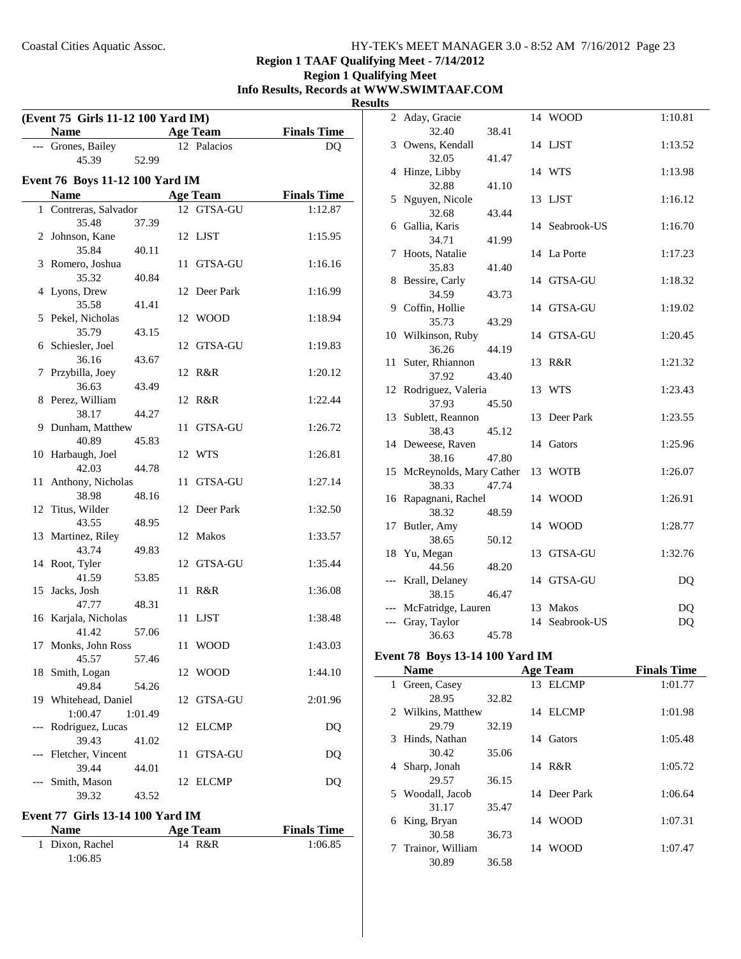**Region 1 TAAF Qualifying Meet - 7/14/2012**

## **Region 1 Qualifying Meet Info Results, Records at WWW.SWIMTAAF.COM Results**

| (Event 75 Girls 11-12 100 Yard IM) |                                 |         |    |                 |                    |  |  |
|------------------------------------|---------------------------------|---------|----|-----------------|--------------------|--|--|
|                                    | <b>Name</b>                     |         |    | <b>Age Team</b> | <b>Finals Time</b> |  |  |
|                                    | --- Grones, Bailey              |         |    | 12 Palacios     | DQ                 |  |  |
|                                    | 45.39                           | 52.99   |    |                 |                    |  |  |
|                                    | Event 76 Boys 11-12 100 Yard IM |         |    |                 |                    |  |  |
|                                    | <b>Name</b>                     |         |    | <b>Age Team</b> | <b>Finals Time</b> |  |  |
| 1                                  | Contreras, Salvador             |         |    | 12 GTSA-GU      | 1:12.87            |  |  |
|                                    | 35.48                           | 37.39   |    |                 |                    |  |  |
|                                    | 2 Johnson, Kane                 |         |    | 12 LJST         | 1:15.95            |  |  |
|                                    | 35.84                           | 40.11   |    |                 |                    |  |  |
|                                    | 3 Romero, Joshua                |         |    | 11 GTSA-GU      | 1:16.16            |  |  |
|                                    | 35.32                           | 40.84   |    |                 |                    |  |  |
|                                    | 4 Lyons, Drew                   |         |    | 12 Deer Park    | 1:16.99            |  |  |
|                                    | 35.58                           | 41.41   |    |                 |                    |  |  |
|                                    | 5 Pekel, Nicholas               |         |    | 12 WOOD         | 1:18.94            |  |  |
| 6                                  | 35.79<br>Schiesler, Joel        | 43.15   |    | 12 GTSA-GU      | 1:19.83            |  |  |
|                                    | 36.16                           | 43.67   |    |                 |                    |  |  |
| 7                                  | Przybilla, Joey                 |         |    | 12 R&R          | 1:20.12            |  |  |
|                                    | 36.63                           | 43.49   |    |                 |                    |  |  |
|                                    | 8 Perez, William                |         |    | 12 R&R          | 1:22.44            |  |  |
|                                    | 38.17                           | 44.27   |    |                 |                    |  |  |
| 9                                  | Dunham, Matthew                 |         |    | 11 GTSA-GU      | 1:26.72            |  |  |
|                                    | 40.89                           | 45.83   |    |                 |                    |  |  |
|                                    | 10 Harbaugh, Joel               |         |    | 12 WTS          | 1:26.81            |  |  |
|                                    | 42.03                           | 44.78   |    |                 |                    |  |  |
| 11                                 | Anthony, Nicholas               |         | 11 | GTSA-GU         | 1:27.14            |  |  |
|                                    | 38.98                           | 48.16   |    |                 |                    |  |  |
|                                    | 12 Titus, Wilder                |         |    | 12 Deer Park    | 1:32.50            |  |  |
|                                    | 43.55<br>13 Martinez, Riley     | 48.95   |    | 12 Makos        | 1:33.57            |  |  |
|                                    | 43.74                           | 49.83   |    |                 |                    |  |  |
|                                    | 14 Root, Tyler                  |         |    | 12 GTSA-GU      | 1:35.44            |  |  |
|                                    | 41.59                           | 53.85   |    |                 |                    |  |  |
| 15                                 | Jacks, Josh                     |         |    | 11 R&R          | 1:36.08            |  |  |
|                                    | 47.77                           | 48.31   |    |                 |                    |  |  |
| 16                                 | Karjala, Nicholas               |         |    | 11 LJST         | 1:38.48            |  |  |
|                                    | 41.42                           | 57.06   |    |                 |                    |  |  |
| 17                                 | Monks, John Ross                |         | 11 | <b>WOOD</b>     | 1:43.03            |  |  |
|                                    | 45.57                           | 57.46   |    |                 |                    |  |  |
| 18                                 | Smith, Logan                    |         |    | 12 WOOD         | 1:44.10            |  |  |
|                                    | 49.84                           | 54.26   |    |                 |                    |  |  |
| 19                                 | Whitehead, Daniel               |         |    | 12 GTSA-GU      | 2:01.96            |  |  |
|                                    | 1:00.47<br>Rodriguez, Lucas     | 1:01.49 |    |                 |                    |  |  |
| ---                                | 39.43                           | 41.02   |    | 12 ELCMP        | DQ                 |  |  |
|                                    | Fletcher, Vincent               |         | 11 | GTSA-GU         | DQ                 |  |  |
|                                    | 39.44                           | 44.01   |    |                 |                    |  |  |
|                                    | Smith, Mason                    |         |    | 12 ELCMP        | DQ                 |  |  |
|                                    | 39.32                           | 43.52   |    |                 |                    |  |  |

#### **Event 77 Girls 13-14 100 Yard IM**

| <b>Name</b>     | Age Team | <b>Finals Time</b> |
|-----------------|----------|--------------------|
| 1 Dixon, Rachel | 14 R&R   | 1:06.85            |
| 1:06.85         |          |                    |

| 2     | Aday, Gracie               |       |    | 14 WOOD        | 1:10.81 |
|-------|----------------------------|-------|----|----------------|---------|
|       | 32.40                      | 38.41 |    |                |         |
| 3     | Owens, Kendall             |       |    | 14 LJST        | 1:13.52 |
|       | 32.05                      | 41.47 |    |                |         |
|       | 4 Hinze, Libby             |       |    | 14 WTS         | 1:13.98 |
|       | 32.88                      | 41.10 |    |                |         |
|       | 5 Nguyen, Nicole<br>32.68  |       |    | 13 LJST        | 1:16.12 |
|       | 6 Gallia, Karis            | 43.44 |    | 14 Seabrook-US | 1:16.70 |
|       | 34.71                      | 41.99 |    |                |         |
| 7     | Hoots, Natalie             |       |    | 14 La Porte    | 1:17.23 |
|       | 35.83                      | 41.40 |    |                |         |
|       | 8 Bessire, Carly           |       |    | 14 GTSA-GU     | 1:18.32 |
|       | 34.59                      | 43.73 |    |                |         |
|       | 9 Coffin, Hollie           |       |    | 14 GTSA-GU     | 1:19.02 |
|       | 35.73                      | 43.29 |    |                |         |
|       | 10 Wilkinson, Ruby         |       |    | 14 GTSA-GU     | 1:20.45 |
|       | 36.26                      | 44.19 |    |                |         |
| 11    | Suter, Rhiannon            |       | 13 | R&R            | 1:21.32 |
|       | 37.92                      | 43.40 |    |                |         |
|       | 12 Rodriguez, Valeria      |       | 13 | WTS            | 1:23.43 |
|       | 37.93                      | 45.50 |    |                |         |
| 13    | Sublett, Reannon           |       | 13 | Deer Park      | 1:23.55 |
|       | 38.43                      | 45.12 |    |                |         |
|       | 14 Deweese, Raven          |       |    | 14 Gators      | 1:25.96 |
|       | 38.16                      | 47.80 |    |                |         |
|       | 15 McReynolds, Mary Cather |       |    | 13 WOTB        | 1:26.07 |
| 16    | 38.33<br>Rapagnani, Rachel | 47.74 |    | 14 WOOD        | 1:26.91 |
|       | 38.32                      | 48.59 |    |                |         |
| 17    | Butler, Amy                |       |    | 14 WOOD        | 1:28.77 |
|       | 38.65                      | 50.12 |    |                |         |
|       | 18 Yu, Megan               |       |    | 13 GTSA-GU     | 1:32.76 |
|       | 44.56                      | 48.20 |    |                |         |
| $---$ | Krall, Delaney             |       |    | 14 GTSA-GU     | DQ      |
|       | 38.15                      | 46.47 |    |                |         |
|       | McFatridge, Lauren         |       |    | 13 Makos       | DQ      |
|       | Gray, Taylor               |       |    | 14 Seabrook-US | DQ      |
|       | 36.63                      | 45.78 |    |                |         |

# **Event 78 Boys 13-14 100 Yard IM**

 $\overline{\phantom{0}}$ 

|   | <b>Name</b>        |       | <b>Age Team</b> | <b>Finals Time</b> |
|---|--------------------|-------|-----------------|--------------------|
|   | Green, Casey       |       | 13 ELCMP        | 1:01.77            |
|   | 28.95              | 32.82 |                 |                    |
|   | 2 Wilkins, Matthew |       | 14 ELCMP        | 1:01.98            |
|   | 29.79              | 32.19 |                 |                    |
| 3 | Hinds, Nathan      |       | 14 Gators       | 1:05.48            |
|   | 30.42              | 35.06 |                 |                    |
| 4 | Sharp, Jonah       |       | 14 R&R          | 1:05.72            |
|   | 29.57              | 36.15 |                 |                    |
|   | 5 Woodall, Jacob   |       | 14 Deer Park    | 1:06.64            |
|   | 31.17              | 35.47 |                 |                    |
| 6 | King, Bryan        |       | 14 WOOD         | 1:07.31            |
|   | 30.58              | 36.73 |                 |                    |
| 7 | Trainor, William   |       | 14 WOOD         | 1:07.47            |
|   | 30.89              | 36.58 |                 |                    |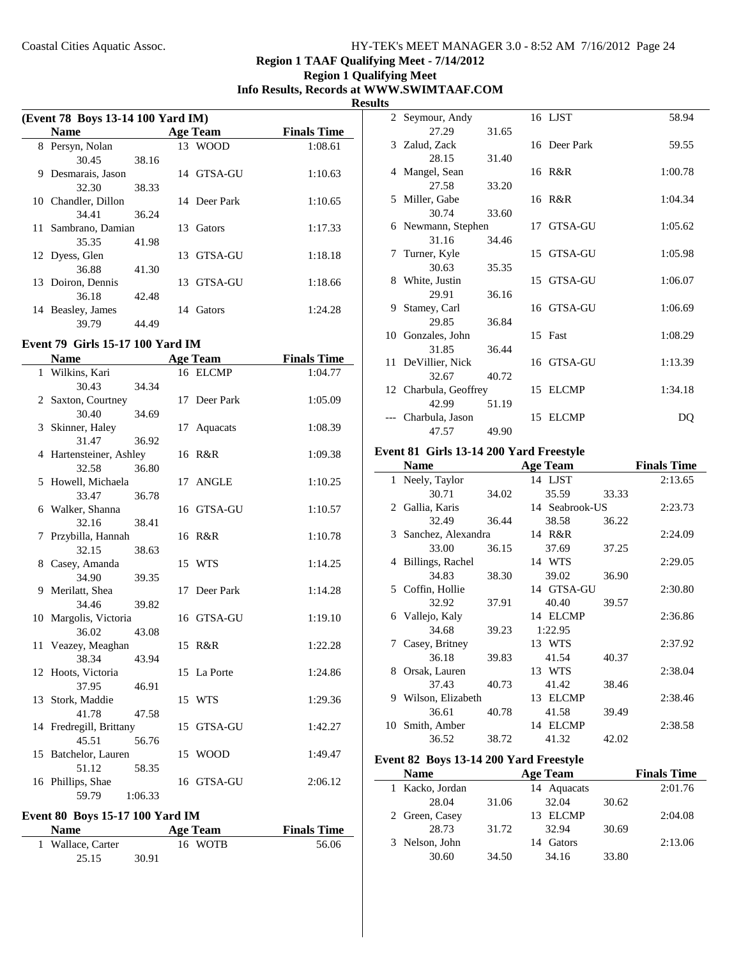# **Region 1 TAAF Qualifying Meet - 7/14/2012**

#### **Region 1 Qualifying Meet Info Results, Records at WWW.SWIMTAAF.COM Results**

| (Event 78 Boys 13-14 100 Yard IM) |                     |       |  |                 |                    |
|-----------------------------------|---------------------|-------|--|-----------------|--------------------|
|                                   | <b>Name</b>         |       |  | <b>Age Team</b> | <b>Finals Time</b> |
|                                   | 8 Persyn, Nolan     |       |  | 13 WOOD         | 1:08.61            |
|                                   | 30.45               | 38.16 |  |                 |                    |
| 9                                 | Desmarais, Jason    |       |  | 14 GTSA-GU      | 1:10.63            |
|                                   | 32.30               | 38.33 |  |                 |                    |
|                                   | 10 Chandler, Dillon |       |  | 14 Deer Park    | 1:10.65            |
|                                   | 34.41               | 36.24 |  |                 |                    |
|                                   | 11 Sambrano, Damian |       |  | 13 Gators       | 1:17.33            |
|                                   | 35.35               | 41.98 |  |                 |                    |
|                                   | 12 Dyess, Glen      |       |  | 13 GTSA-GU      | 1:18.18            |
|                                   | 36.88               | 41.30 |  |                 |                    |
|                                   | 13 Doiron, Dennis   |       |  | 13 GTSA-GU      | 1:18.66            |
|                                   | 36.18               | 42.48 |  |                 |                    |
| 14                                | Beasley, James      |       |  | 14 Gators       | 1:24.28            |
|                                   | 39.79               | 44.49 |  |                 |                    |

## **Event 79 Girls 15-17 100 Yard IM**

j.

|    | <b>Name</b>             | <b>Age Team</b> | <b>Finals Time</b> |
|----|-------------------------|-----------------|--------------------|
|    | 1 Wilkins, Kari         | 16 ELCMP        | 1:04.77            |
|    | 30.43<br>34.34          |                 |                    |
|    | 2 Saxton, Courtney      | 17 Deer Park    | 1:05.09            |
|    | 30.40<br>34.69          |                 |                    |
|    | 3 Skinner, Haley        | 17 Aquacats     | 1:08.39            |
|    | 31.47<br>36.92          |                 |                    |
|    | 4 Hartensteiner, Ashley | 16 R&R          | 1:09.38            |
|    | 32.58<br>36.80          |                 |                    |
|    | 5 Howell, Michaela      | 17 ANGLE        | 1:10.25            |
|    | 33.47<br>36.78          |                 |                    |
|    | 6 Walker, Shanna        | 16 GTSA-GU      | 1:10.57            |
|    | 32.16<br>38.41          |                 |                    |
|    | 7 Przybilla, Hannah     | 16 R&R          | 1:10.78            |
|    | 32.15<br>38.63          |                 |                    |
|    | 8 Casey, Amanda         | 15 WTS          | 1:14.25            |
|    | 34.90<br>39.35          |                 |                    |
|    | 9 Merilatt, Shea        | 17 Deer Park    | 1:14.28            |
|    | 34.46<br>39.82          |                 |                    |
|    | 10 Margolis, Victoria   | 16 GTSA-GU      | 1:19.10            |
|    | 36.02<br>43.08          |                 |                    |
|    | 11 Veazey, Meaghan      | 15 R&R          | 1:22.28            |
|    | 38.34<br>43.94          |                 |                    |
| 12 | Hoots, Victoria         | 15 La Porte     | 1:24.86            |
|    | 37.95<br>46.91          |                 |                    |
|    | 13 Stork, Maddie        | 15 WTS          | 1:29.36            |
|    | 41.78<br>47.58          |                 |                    |
|    | 14 Fredregill, Brittany | 15 GTSA-GU      | 1:42.27            |
|    | 45.51<br>56.76          |                 |                    |
|    | 15 Batchelor, Lauren    | 15 WOOD         | 1:49.47            |
|    | 51.12<br>58.35          |                 |                    |
|    | 16 Phillips, Shae       | 16 GTSA-GU      | 2:06.12            |
|    | 59.79<br>1:06.33        |                 |                    |

# **Event 80 Boys 15-17 100 Yard IM**

| <b>Name</b>       |       | Age Team | <b>Finals Time</b> |
|-------------------|-------|----------|--------------------|
| 1 Wallace, Carter |       | 16 WOTB  | 56.06              |
| 25.15             | 30.91 |          |                    |

| w  |                       |       |    |              |         |
|----|-----------------------|-------|----|--------------|---------|
|    | 2 Seymour, Andy       |       |    | 16 LJST      | 58.94   |
|    | 27.29                 | 31.65 |    |              |         |
|    | 3 Zalud, Zack         |       |    | 16 Deer Park | 59.55   |
|    | 28.15                 | 31.40 |    |              |         |
|    | 4 Mangel, Sean        |       |    | 16 R&R       | 1:00.78 |
|    | 27.58                 | 33.20 |    |              |         |
|    | 5 Miller, Gabe        |       |    | 16 R&R       | 1:04.34 |
|    | 30.74                 | 33.60 |    |              |         |
|    | 6 Newmann, Stephen    |       |    | 17 GTSA-GU   | 1:05.62 |
|    | 31.16                 | 34.46 |    |              |         |
|    | 7 Turner, Kyle        |       |    | 15 GTSA-GU   | 1:05.98 |
|    | 30.63                 | 35.35 |    |              |         |
|    | 8 White, Justin       |       |    | 15 GTSA-GU   | 1:06.07 |
|    | 29.91                 | 36.16 |    |              |         |
| 9. | Stamey, Carl          |       |    | 16 GTSA-GU   | 1:06.69 |
|    | 29.85                 | 36.84 |    |              |         |
|    | 10 Gonzales, John     |       |    | 15 Fast      | 1:08.29 |
|    | 31.85                 | 36.44 |    |              |         |
|    | 11 DeVillier, Nick    |       |    | 16 GTSA-GU   | 1:13.39 |
|    | 32.67                 | 40.72 |    |              |         |
|    | 12 Charbula, Geoffrey |       |    | 15 ELCMP     | 1:34.18 |
|    | 42.99                 | 51.19 |    |              |         |
|    | Charbula, Jason       |       | 15 | <b>ELCMP</b> | DO      |
|    | 47.57                 | 49.90 |    |              |         |

#### **Event 81 Girls 13-14 200 Yard Freestyle**

|    | Name                 |       | <b>Age Team</b> |       | <b>Finals Time</b> |
|----|----------------------|-------|-----------------|-------|--------------------|
|    | 1 Neely, Taylor      |       | 14 LJST         |       | 2:13.65            |
|    | 30.71                | 34.02 | 35.59           | 33.33 |                    |
|    | 2 Gallia, Karis      |       | 14 Seabrook-US  |       | 2:23.73            |
|    | 32.49                | 36.44 | 38.58           | 36.22 |                    |
|    | 3 Sanchez, Alexandra |       | 14 R&R          |       | 2:24.09            |
|    | 33.00                | 36.15 | 37.69           | 37.25 |                    |
| 4  | Billings, Rachel     |       | 14 WTS          |       | 2:29.05            |
|    | 34.83                | 38.30 | 39.02           | 36.90 |                    |
|    | 5 Coffin, Hollie     |       | 14 GTSA-GU      |       | 2:30.80            |
|    | 32.92                | 37.91 | 40.40           | 39.57 |                    |
| 6  | Vallejo, Kaly        |       | 14 ELCMP        |       | 2:36.86            |
|    | 34.68                | 39.23 | 1:22.95         |       |                    |
| 7  | Casey, Britney       |       | 13 WTS          |       | 2:37.92            |
|    | 36.18                | 39.83 | 41.54           | 40.37 |                    |
| 8  | Orsak, Lauren        |       | 13 WTS          |       | 2:38.04            |
|    | 37.43                | 40.73 | 41.42           | 38.46 |                    |
| 9. | Wilson, Elizabeth    |       | 13 ELCMP        |       | 2:38.46            |
|    | 36.61                | 40.78 | 41.58           | 39.49 |                    |
|    | 10 Smith, Amber      |       | 14 ELCMP        |       | 2:38.58            |
|    | 36.52                | 38.72 | 41.32           | 42.02 |                    |

# **Event 82 Boys 13-14 200 Yard Freestyle**

| <b>Name</b>    |       | Age Team    |       | <b>Finals Time</b> |
|----------------|-------|-------------|-------|--------------------|
| Kacko, Jordan  |       | 14 Aquacats |       | 2:01.76            |
| 28.04          | 31.06 | 32.04       | 30.62 |                    |
| 2 Green, Casey |       | 13 ELCMP    |       | 2:04.08            |
| 28.73          | 31.72 | 32.94       | 30.69 |                    |
| 3 Nelson, John |       | 14 Gators   |       | 2:13.06            |
| 30.60          | 34.50 | 34.16       | 33.80 |                    |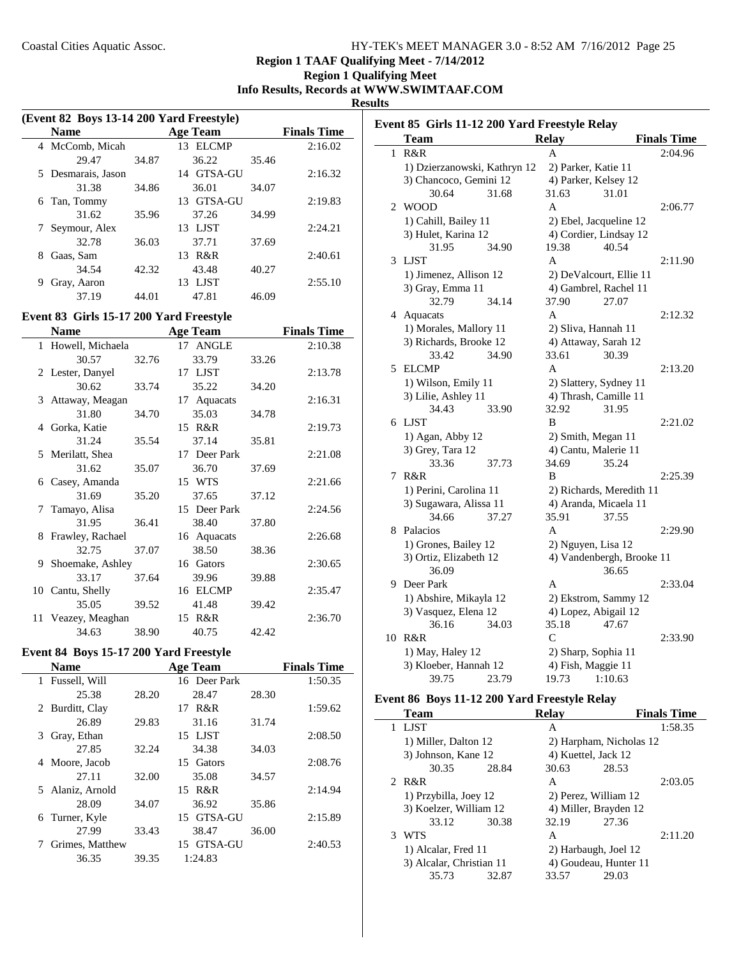**Region 1 TAAF Qualifying Meet - 7/14/2012**

**Region 1 Qualifying Meet Info Results, Records at WWW.SWIMTAAF.COM**

**Results**

 $\overline{\phantom{a}}$ 

| (Event 82 Boys 13-14 200 Yard Freestyle) |                    |       |                 |       |                    |  |
|------------------------------------------|--------------------|-------|-----------------|-------|--------------------|--|
|                                          | <b>Name</b>        |       | <b>Age Team</b> |       | <b>Finals Time</b> |  |
|                                          | 4 McComb, Micah    |       | 13 ELCMP        |       | 2:16.02            |  |
|                                          | 29.47              | 34.87 | 36.22           | 35.46 |                    |  |
|                                          | 5 Desmarais, Jason |       | 14 GTSA-GU      |       | 2:16.32            |  |
|                                          | 31.38              | 34.86 | 36.01           | 34.07 |                    |  |
| 6                                        | Tan, Tommy         |       | 13 GTSA-GU      |       | 2:19.83            |  |
|                                          | 31.62              | 35.96 | 37.26           | 34.99 |                    |  |
|                                          | Seymour, Alex      |       | 13 LJST         |       | 2:24.21            |  |
|                                          | 32.78              | 36.03 | 37.71           | 37.69 |                    |  |
| 8                                        | Gaas, Sam          |       | 13 R&R          |       | 2:40.61            |  |
|                                          | 34.54              | 42.32 | 43.48           | 40.27 |                    |  |
| 9                                        | Gray, Aaron        |       | LJST<br>13.     |       | 2:55.10            |  |
|                                          | 37.19              | 44.01 | 47.81           | 46.09 |                    |  |

## **Event 83 Girls 15-17 200 Yard Freestyle**

|              | Name               |       |    | <b>Age Team</b> |       | <b>Finals Time</b> |
|--------------|--------------------|-------|----|-----------------|-------|--------------------|
| $\mathbf{1}$ | Howell, Michaela   |       | 17 | <b>ANGLE</b>    |       | 2:10.38            |
|              | 30.57              | 32.76 |    | 33.79           | 33.26 |                    |
|              | 2 Lester, Danyel   |       |    | 17 LJST         |       | 2:13.78            |
|              | 30.62              | 33.74 |    | 35.22           | 34.20 |                    |
|              | 3 Attaway, Meagan  |       |    | 17 Aquacats     |       | 2:16.31            |
|              | 31.80              | 34.70 |    | 35.03           | 34.78 |                    |
|              | 4 Gorka, Katie     |       |    | 15 R&R          |       | 2:19.73            |
|              | 31.24              | 35.54 |    | 37.14           | 35.81 |                    |
|              | 5 Merilatt, Shea   |       |    | 17 Deer Park    |       | 2:21.08            |
|              | 31.62              | 35.07 |    | 36.70           | 37.69 |                    |
|              | 6 Casey, Amanda    |       |    | 15 WTS          |       | 2:21.66            |
|              | 31.69              | 35.20 |    | 37.65           | 37.12 |                    |
| 7            | Tamayo, Alisa      |       |    | 15 Deer Park    |       | 2:24.56            |
|              | 31.95              | 36.41 |    | 38.40           | 37.80 |                    |
|              | 8 Frawley, Rachael |       |    | 16 Aquacats     |       | 2:26.68            |
|              | 32.75              | 37.07 |    | 38.50           | 38.36 |                    |
|              | 9 Shoemake, Ashley |       |    | 16 Gators       |       | 2:30.65            |
|              | 33.17              | 37.64 |    | 39.96           | 39.88 |                    |
|              | 10 Cantu, Shelly   |       |    | 16 ELCMP        |       | 2:35.47            |
|              | 35.05              | 39.52 |    | 41.48           | 39.42 |                    |
|              | 11 Veazey, Meaghan |       |    | 15 R&R          |       | 2:36.70            |
|              | 34.63              | 38.90 |    | 40.75           | 42.42 |                    |

# **Event 84 Boys 15-17 200 Yard Freestyle**

|       | <b>Age Team</b> |       | <b>Finals Time</b> |
|-------|-----------------|-------|--------------------|
|       | 16 Deer Park    |       | 1:50.35            |
| 28.20 | 28.47           | 28.30 |                    |
|       | R&R<br>17       |       | 1:59.62            |
| 29.83 | 31.16           | 31.74 |                    |
|       | 15 LJST         |       | 2:08.50            |
| 32.24 | 34.38           | 34.03 |                    |
|       | 15 Gators       |       | 2:08.76            |
| 32.00 | 35.08           | 34.57 |                    |
|       | 15 R&R          |       | 2:14.94            |
| 34.07 | 36.92           | 35.86 |                    |
|       | 15 GTSA-GU      |       | 2:15.89            |
| 33.43 | 38.47           | 36.00 |                    |
|       | 15 GTSA-GU      |       | 2:40.53            |
| 39.35 | 1:24.83         |       |                    |
|       |                 |       |                    |

| Event 85 Girls 11-12 200 Yard Freestyle Relay |                                                  |                           |                    |  |  |
|-----------------------------------------------|--------------------------------------------------|---------------------------|--------------------|--|--|
|                                               | Team                                             | <b>Relay</b>              | <b>Finals Time</b> |  |  |
| 1                                             | R&R                                              | A                         | 2:04.96            |  |  |
|                                               | 1) Dzierzanowski, Kathryn 12                     | 2) Parker, Katie 11       |                    |  |  |
|                                               | 3) Chancoco, Gemini 12                           | 4) Parker, Kelsey 12      |                    |  |  |
|                                               | 30.64<br>31.68                                   | 31.63<br>31.01            |                    |  |  |
| 2                                             | <b>WOOD</b>                                      | A                         | 2:06.77            |  |  |
|                                               | 1) Cahill, Bailey 11                             | 2) Ebel, Jacqueline 12    |                    |  |  |
|                                               | 3) Hulet, Karina 12                              | 4) Cordier, Lindsay 12    |                    |  |  |
|                                               | 31.95<br>34.90                                   | 40.54<br>19.38            |                    |  |  |
| 3                                             | LJST                                             | A                         | 2:11.90            |  |  |
|                                               | 1) Jimenez, Allison 12                           | 2) DeValcourt, Ellie 11   |                    |  |  |
|                                               | 3) Gray, Emma 11                                 | 4) Gambrel, Rachel 11     |                    |  |  |
|                                               | 32.79<br>34.14                                   | 37.90<br>27.07            |                    |  |  |
| 4                                             | Aquacats                                         | A                         | 2:12.32            |  |  |
|                                               | 1) Morales, Mallory 11                           | 2) Sliva, Hannah 11       |                    |  |  |
|                                               | 3) Richards, Brooke 12                           | 4) Attaway, Sarah 12      |                    |  |  |
|                                               | 33.42<br>34.90                                   | 33.61<br>30.39            |                    |  |  |
| 5                                             | <b>ELCMP</b>                                     | A                         | 2:13.20            |  |  |
|                                               | 1) Wilson, Emily 11                              | 2) Slattery, Sydney 11    |                    |  |  |
|                                               | 3) Lilie, Ashley 11                              | 4) Thrash, Camille 11     |                    |  |  |
|                                               | 34.43<br>33.90                                   | 32.92<br>31.95            |                    |  |  |
| 6                                             | LJST                                             | B                         | 2:21.02            |  |  |
|                                               | 1) Agan, Abby 12                                 | 2) Smith, Megan 11        |                    |  |  |
|                                               | 3) Grey, Tara 12                                 | 4) Cantu, Malerie 11      |                    |  |  |
| 7                                             | 33.36<br>37.73<br>R&R                            | 34.69<br>35.24<br>B       | 2:25.39            |  |  |
|                                               |                                                  | 2) Richards, Meredith 11  |                    |  |  |
|                                               | 1) Perini, Carolina 11<br>3) Sugawara, Alissa 11 | 4) Aranda, Micaela 11     |                    |  |  |
|                                               | 34.66<br>37.27                                   | 35.91<br>37.55            |                    |  |  |
| 8                                             | Palacios                                         | A                         | 2:29.90            |  |  |
|                                               | 1) Grones, Bailey 12                             | 2) Nguyen, Lisa 12        |                    |  |  |
|                                               | 3) Ortiz, Elizabeth 12                           | 4) Vandenbergh, Brooke 11 |                    |  |  |
|                                               | 36.09                                            | 36.65                     |                    |  |  |
| 9                                             | Deer Park                                        | A                         | 2:33.04            |  |  |
|                                               | 1) Abshire, Mikayla 12                           | 2) Ekstrom, Sammy 12      |                    |  |  |
|                                               | 3) Vasquez, Elena 12                             | 4) Lopez, Abigail 12      |                    |  |  |
|                                               | 34.03<br>36.16                                   | 35.18<br>47.67            |                    |  |  |
| 10                                            | R&R                                              | $\mathsf{C}$              | 2:33.90            |  |  |
|                                               | 1) May, Haley 12                                 | 2) Sharp, Sophia 11       |                    |  |  |
|                                               | 3) Kloeber, Hannah 12                            | 4) Fish, Maggie 11        |                    |  |  |
|                                               | 39.75<br>23.79                                   | 19.73<br>1:10.63          |                    |  |  |

# **Event 86 Boys 11-12 200 Yard Freestyle Relay**

|   | Team                     |       | <b>Relay</b> |                         | <b>Finals Time</b> |
|---|--------------------------|-------|--------------|-------------------------|--------------------|
|   | <b>LIST</b>              |       | A            |                         | 1:58.35            |
|   | 1) Miller, Dalton 12     |       |              | 2) Harpham, Nicholas 12 |                    |
|   | 3) Johnson, Kane 12      |       |              | 4) Kuettel, Jack 12     |                    |
|   | 30.35                    | 28.84 | 30.63        | 28.53                   |                    |
|   | 2 R&R                    |       | A            |                         | 2:03.05            |
|   | 1) Przybilla, Joey 12    |       |              | 2) Perez, William 12    |                    |
|   | 3) Koelzer, William 12   |       |              | 4) Miller, Brayden 12   |                    |
|   | 33.12                    | 30.38 | 32.19        | 27.36                   |                    |
| 3 | <b>WTS</b>               |       | A            |                         | 2:11.20            |
|   | 1) Alcalar, Fred 11      |       |              | 2) Harbaugh, Joel 12    |                    |
|   | 3) Alcalar, Christian 11 |       |              | 4) Goudeau, Hunter 11   |                    |
|   | 35.73                    | 32.87 | 33.57        | 29.03                   |                    |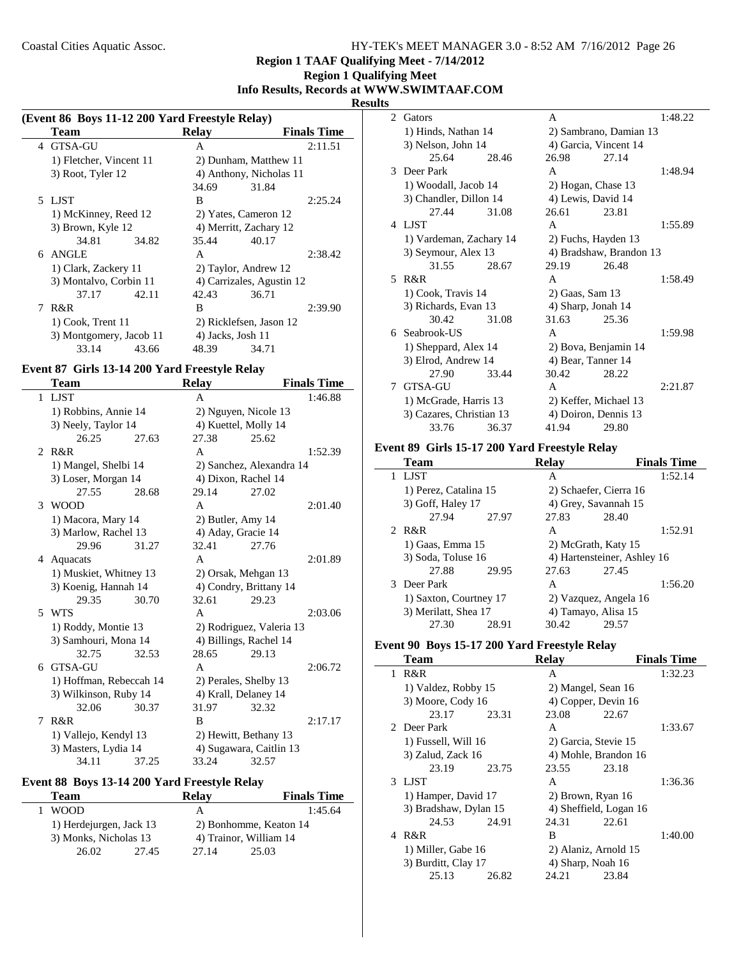#### **Region 1 TAAF Qualifying Meet - 7/14/2012**

# **Region 1 Qualifying Meet Info Results, Records at WWW.SWIMTAAF.COM**

#### **Results**

÷

| (Event 86 Boys 11-12 200 Yard Freestyle Relay) |                         |       |                        |                           |                    |
|------------------------------------------------|-------------------------|-------|------------------------|---------------------------|--------------------|
|                                                | Team                    |       | Relay                  |                           | <b>Finals Time</b> |
|                                                | 4 GTSA-GU               |       | A                      |                           | 2:11.51            |
|                                                | 1) Fletcher, Vincent 11 |       |                        | 2) Dunham, Matthew 11     |                    |
|                                                | 3) Root, Tyler 12       |       |                        | 4) Anthony, Nicholas 11   |                    |
|                                                |                         |       | 34.69                  | 31.84                     |                    |
|                                                | 5 LJST                  |       | B                      |                           | 2:25.24            |
|                                                | 1) McKinney, Reed 12    |       | 2) Yates, Cameron 12   |                           |                    |
|                                                | 3) Brown, Kyle 12       |       | 4) Merritt, Zachary 12 |                           |                    |
|                                                | 34.81                   | 34.82 | 35.44                  | 40.17                     |                    |
|                                                | 6 ANGLE                 |       | A                      |                           | 2:38.42            |
|                                                | 1) Clark, Zackery 11    |       | 2) Taylor, Andrew 12   |                           |                    |
|                                                | 3) Montalvo, Corbin 11  |       |                        | 4) Carrizales, Agustin 12 |                    |
|                                                | 37.17                   | 42.11 | 42.43                  | 36.71                     |                    |
| 7                                              | R&R                     |       | B                      |                           | 2:39.90            |
|                                                | 1) Cook, Trent 11       |       |                        | 2) Ricklefsen, Jason 12   |                    |
|                                                | 3) Montgomery, Jacob 11 |       | 4) Jacks, Josh 11      |                           |                    |
|                                                | 33.14                   | 43.66 | 48.39                  | 34.71                     |                    |

# **Event 87 Girls 13-14 200 Yard Freestyle Relay**

i.

|                          | Team                    |       | <b>Relay</b>      |                          | <b>Finals Time</b> |
|--------------------------|-------------------------|-------|-------------------|--------------------------|--------------------|
|                          | 1 LJST                  |       | A                 |                          | 1:46.88            |
|                          | 1) Robbins, Annie 14    |       |                   | 2) Nguyen, Nicole 13     |                    |
|                          | 3) Neely, Taylor 14     |       |                   | 4) Kuettel, Molly 14     |                    |
|                          | 26.25                   | 27.63 | 27.38             | 25.62                    |                    |
| 2                        | R&R                     |       | A                 |                          | 1:52.39            |
|                          | 1) Mangel, Shelbi 14    |       |                   | 2) Sanchez, Alexandra 14 |                    |
|                          | 3) Loser, Morgan 14     |       |                   | 4) Dixon, Rachel 14      |                    |
|                          | 27.55                   | 28.68 | 29.14             | 27.02                    |                    |
| 3                        | <b>WOOD</b>             |       | A                 |                          | 2:01.40            |
|                          | 1) Macora, Mary 14      |       | 2) Butler, Amy 14 |                          |                    |
|                          | 3) Marlow, Rachel 13    |       |                   | 4) Aday, Gracie 14       |                    |
|                          | 29.96                   | 31.27 | 32.41             | 27.76                    |                    |
| 4                        | Aquacats                |       | $\mathsf{A}$      |                          | 2:01.89            |
|                          | 1) Muskiet, Whitney 13  |       |                   | 2) Orsak, Mehgan 13      |                    |
|                          | 3) Koenig, Hannah 14    |       |                   | 4) Condry, Brittany 14   |                    |
|                          | 29.35                   | 30.70 | 32.61             | 29.23                    |                    |
| $\overline{\phantom{0}}$ | <b>WTS</b>              |       | $\mathsf{A}$      |                          | 2:03.06            |
|                          | 1) Roddy, Montie 13     |       |                   | 2) Rodriguez, Valeria 13 |                    |
|                          | 3) Samhouri, Mona 14    |       |                   | 4) Billings, Rachel 14   |                    |
|                          | 32.75                   | 32.53 | 28.65             | 29.13                    |                    |
|                          | 6 GTSA-GU               |       | $\mathsf{A}$      |                          | 2:06.72            |
|                          | 1) Hoffman, Rebeccah 14 |       |                   | 2) Perales, Shelby 13    |                    |
|                          | 3) Wilkinson, Ruby 14   |       |                   | 4) Krall, Delaney 14     |                    |
|                          | 32.06                   | 30.37 | 31.97             | 32.32                    |                    |
| 7                        | R&R                     |       | B                 |                          | 2:17.17            |
|                          | 1) Vallejo, Kendyl 13   |       |                   | 2) Hewitt, Bethany 13    |                    |
|                          | 3) Masters, Lydia 14    |       |                   | 4) Sugawara, Caitlin 13  |                    |
|                          | 34.11                   | 37.25 | 33.24             | 32.57                    |                    |

# **Event 88 Boys 13-14 200 Yard Freestyle Relay**

| Team                    |       | <b>Relav</b>           | <b>Finals Time</b>     |  |
|-------------------------|-------|------------------------|------------------------|--|
| <b>WOOD</b>             |       | А                      | 1:45.64                |  |
| 1) Herdejurgen, Jack 13 |       | 2) Bonhomme, Keaton 14 |                        |  |
| 3) Monks, Nicholas 13   |       |                        | 4) Trainor, William 14 |  |
| 26.02                   | 27.45 | 27.14                  | 25.03                  |  |

| э  |                          |       |                        |                         |         |
|----|--------------------------|-------|------------------------|-------------------------|---------|
|    | 2 Gators                 |       | A                      |                         | 1:48.22 |
|    | 1) Hinds, Nathan 14      |       | 2) Sambrano, Damian 13 |                         |         |
|    | 3) Nelson, John 14       |       |                        | 4) Garcia, Vincent 14   |         |
|    | 25.64                    | 28.46 | 26.98                  | 27.14                   |         |
| 3  | Deer Park                |       | A                      |                         | 1:48.94 |
|    | 1) Woodall, Jacob 14     |       | 2) Hogan, Chase 13     |                         |         |
|    | 3) Chandler, Dillon 14   |       | 4) Lewis, David 14     |                         |         |
|    | 27.44                    | 31.08 | 26.61                  | 23.81                   |         |
|    | 4 LJST                   |       | A                      |                         | 1:55.89 |
|    | 1) Vardeman, Zachary 14  |       | 2) Fuchs, Hayden 13    |                         |         |
|    | 3) Seymour, Alex 13      |       |                        | 4) Bradshaw, Brandon 13 |         |
|    | 31.55                    | 28.67 | 29.19                  | 26.48                   |         |
| 5. | $R\&R$                   |       | A                      |                         | 1:58.49 |
|    | 1) Cook, Travis 14       |       | 2) Gaas, Sam 13        |                         |         |
|    | 3) Richards, Evan 13     |       | 4) Sharp, Jonah 14     |                         |         |
|    | 30.42                    | 31.08 | 31.63                  | 25.36                   |         |
|    | 6 Seabrook-US            |       | A                      |                         | 1:59.98 |
|    | 1) Sheppard, Alex 14     |       |                        | 2) Bova, Benjamin 14    |         |
|    | 3) Elrod, Andrew 14      |       | 4) Bear, Tanner 14     |                         |         |
|    | 27.90                    | 33.44 | 30.42                  | 28.22                   |         |
|    | 7 GTSA-GU                |       | A                      |                         | 2:21.87 |
|    | 1) McGrade, Harris 13    |       |                        | 2) Keffer, Michael 13   |         |
|    | 3) Cazares, Christian 13 |       | 4) Doiron, Dennis 13   |                         |         |
|    | 33.76                    | 36.37 | 41.94                  | 29.80                   |         |

# **Event 89 Girls 15-17 200 Yard Freestyle Relay**

| Team                   |       | Relav |                             | <b>Finals Time</b> |
|------------------------|-------|-------|-----------------------------|--------------------|
| <b>LIST</b>            |       | A     |                             | 1:52.14            |
| 1) Perez, Catalina 15  |       |       | 2) Schaefer, Cierra 16      |                    |
| 3) Goff, Haley 17      |       |       | 4) Grey, Savannah 15        |                    |
| 27.94                  | 27.97 | 27.83 | 28.40                       |                    |
| 2 R&R                  |       | A     |                             | 1:52.91            |
| 1) Gaas, Emma 15       |       |       | 2) McGrath, Katy 15         |                    |
| 3) Soda, Toluse 16     |       |       | 4) Hartensteiner, Ashley 16 |                    |
| 27.88                  | 29.95 | 27.63 | 27.45                       |                    |
| 3 Deer Park            |       | A     |                             | 1:56.20            |
| 1) Saxton, Courtney 17 |       |       | 2) Vazquez, Angela 16       |                    |
| 3) Merilatt, Shea 17   |       |       | 4) Tamayo, Alisa 15         |                    |
| 27.30                  | 28.91 | 30.42 | 29.57                       |                    |

## **Event 90 Boys 15-17 200 Yard Freestyle Relay**

|   | Team                  |       | Relav                |                        | <b>Finals Time</b> |
|---|-----------------------|-------|----------------------|------------------------|--------------------|
| 1 | R&R                   |       | A                    |                        | 1:32.23            |
|   | 1) Valdez, Robby 15   |       | 2) Mangel, Sean 16   |                        |                    |
|   | 3) Moore, Cody 16     |       |                      | 4) Copper, Devin 16    |                    |
|   | 23.17                 | 23.31 | 23.08                | 22.67                  |                    |
|   | 2. Deer Park          |       | A                    |                        | 1:33.67            |
|   | 1) Fussell, Will 16   |       | 2) Garcia, Stevie 15 |                        |                    |
|   | $3)$ Zalud, Zack 16   |       |                      | 4) Mohle, Brandon 16   |                    |
|   | 23.19                 | 23.75 | 23.55                | 23.18                  |                    |
|   | 3 LIST                |       | A                    |                        | 1:36.36            |
|   | 1) Hamper, David 17   |       | 2) Brown, Ryan 16    |                        |                    |
|   | 3) Bradshaw, Dylan 15 |       |                      | 4) Sheffield, Logan 16 |                    |
|   | 24.53                 | 24.91 | 24.31                | 22.61                  |                    |
| 4 | R&R                   |       | B                    |                        | 1:40.00            |
|   | 1) Miller, Gabe 16    |       |                      | 2) Alaniz, Arnold 15   |                    |
|   | 3) Burditt, Clay 17   |       | 4) Sharp, Noah 16    |                        |                    |
|   | 25.13                 | 26.82 | 24.21                | 23.84                  |                    |